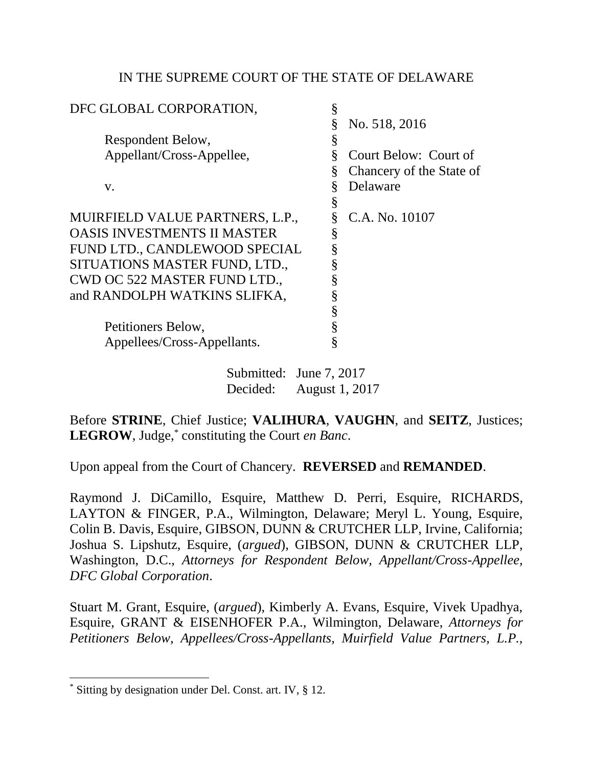## IN THE SUPREME COURT OF THE STATE OF DELAWARE

| DFC GLOBAL CORPORATION,            | § |                          |
|------------------------------------|---|--------------------------|
|                                    | § | No. 518, 2016            |
| Respondent Below,                  | § |                          |
| Appellant/Cross-Appellee,          | Ş | Court Below: Court of    |
|                                    | § | Chancery of the State of |
| V.                                 | § | Delaware                 |
|                                    | § |                          |
| MUIRFIELD VALUE PARTNERS, L.P.,    |   | C.A. No. 10107           |
| <b>OASIS INVESTMENTS II MASTER</b> | § |                          |
| FUND LTD., CANDLEWOOD SPECIAL      | § |                          |
| SITUATIONS MASTER FUND, LTD.,      | § |                          |
| CWD OC 522 MASTER FUND LTD.,       |   |                          |
| and RANDOLPH WATKINS SLIFKA,       | § |                          |
|                                    | § |                          |
| Petitioners Below,                 |   |                          |
| Appellees/Cross-Appellants.        | § |                          |
|                                    |   |                          |

Submitted: June 7, 2017 Decided: August 1, 2017

Before **STRINE**, Chief Justice; **VALIHURA**, **VAUGHN**, and **SEITZ**, Justices; **LEGROW**, Judge,\* constituting the Court *en Banc*.

Upon appeal from the Court of Chancery. **REVERSED** and **REMANDED**.

Raymond J. DiCamillo, Esquire, Matthew D. Perri, Esquire, RICHARDS, LAYTON & FINGER, P.A., Wilmington, Delaware; Meryl L. Young, Esquire, Colin B. Davis, Esquire, GIBSON, DUNN & CRUTCHER LLP, Irvine, California; Joshua S. Lipshutz, Esquire, (*argued*), GIBSON, DUNN & CRUTCHER LLP, Washington, D.C., *Attorneys for Respondent Below, Appellant/Cross-Appellee, DFC Global Corporation*.

Stuart M. Grant, Esquire, (*argued*), Kimberly A. Evans, Esquire, Vivek Upadhya, Esquire, GRANT & EISENHOFER P.A., Wilmington, Delaware, *Attorneys for Petitioners Below, Appellees/Cross-Appellants, Muirfield Value Partners, L.P.,* 

<sup>\*</sup> Sitting by designation under Del. Const. art. IV, § 12.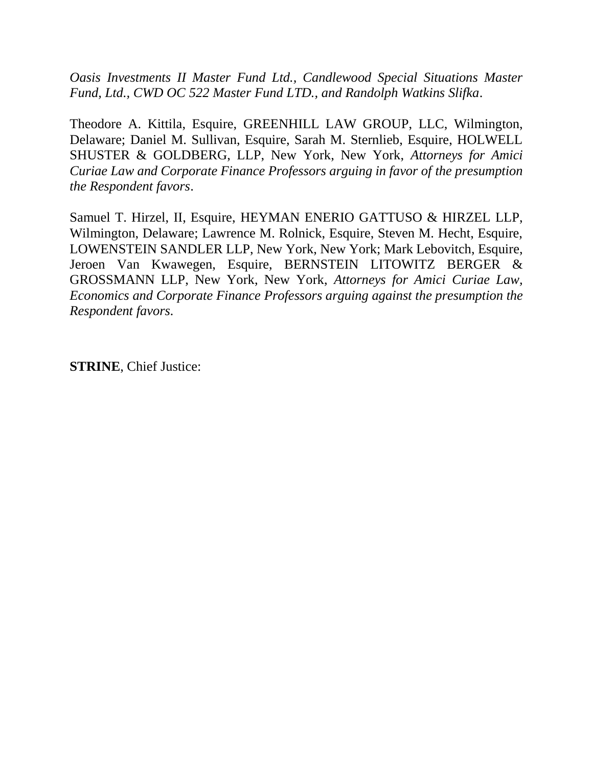*Oasis Investments II Master Fund Ltd., Candlewood Special Situations Master Fund, Ltd., CWD OC 522 Master Fund LTD., and Randolph Watkins Slifka*.

Theodore A. Kittila, Esquire, GREENHILL LAW GROUP, LLC, Wilmington, Delaware; Daniel M. Sullivan, Esquire, Sarah M. Sternlieb, Esquire, HOLWELL SHUSTER & GOLDBERG, LLP, New York, New York, *Attorneys for Amici Curiae Law and Corporate Finance Professors arguing in favor of the presumption the Respondent favors*.

Samuel T. Hirzel, II, Esquire, HEYMAN ENERIO GATTUSO & HIRZEL LLP, Wilmington, Delaware; Lawrence M. Rolnick, Esquire, Steven M. Hecht, Esquire, LOWENSTEIN SANDLER LLP, New York, New York; Mark Lebovitch, Esquire, Jeroen Van Kwawegen, Esquire, BERNSTEIN LITOWITZ BERGER & GROSSMANN LLP, New York, New York, *Attorneys for Amici Curiae Law, Economics and Corporate Finance Professors arguing against the presumption the Respondent favors.*

**STRINE**, Chief Justice: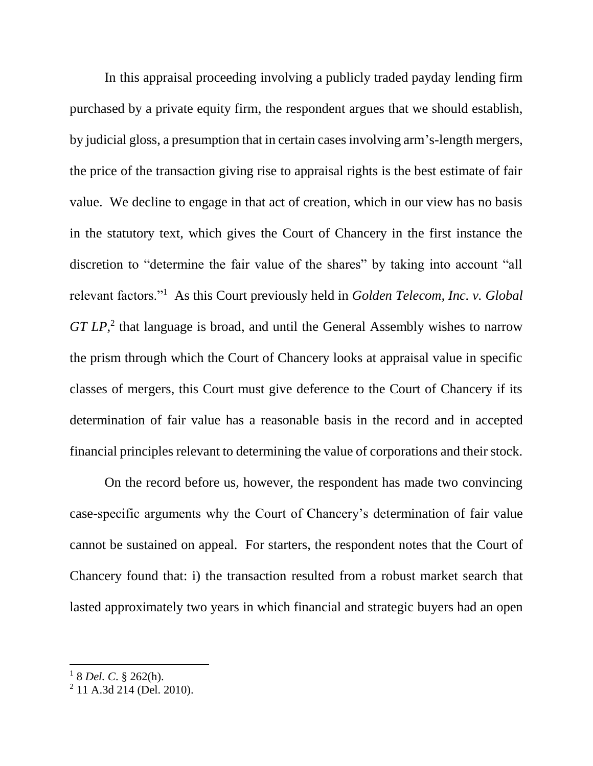In this appraisal proceeding involving a publicly traded payday lending firm purchased by a private equity firm, the respondent argues that we should establish, by judicial gloss, a presumption that in certain cases involving arm's-length mergers, the price of the transaction giving rise to appraisal rights is the best estimate of fair value. We decline to engage in that act of creation, which in our view has no basis in the statutory text, which gives the Court of Chancery in the first instance the discretion to "determine the fair value of the shares" by taking into account "all relevant factors."<sup>1</sup> As this Court previously held in *Golden Telecom, Inc. v. Global* GT LP<sup>2</sup>, that language is broad, and until the General Assembly wishes to narrow the prism through which the Court of Chancery looks at appraisal value in specific classes of mergers, this Court must give deference to the Court of Chancery if its determination of fair value has a reasonable basis in the record and in accepted financial principles relevant to determining the value of corporations and their stock.

On the record before us, however, the respondent has made two convincing case-specific arguments why the Court of Chancery's determination of fair value cannot be sustained on appeal. For starters, the respondent notes that the Court of Chancery found that: i) the transaction resulted from a robust market search that lasted approximately two years in which financial and strategic buyers had an open

<sup>1</sup> 8 *Del. C*. § 262(h).

<sup>&</sup>lt;sup>2</sup> 11 A.3d 214 (Del. 2010).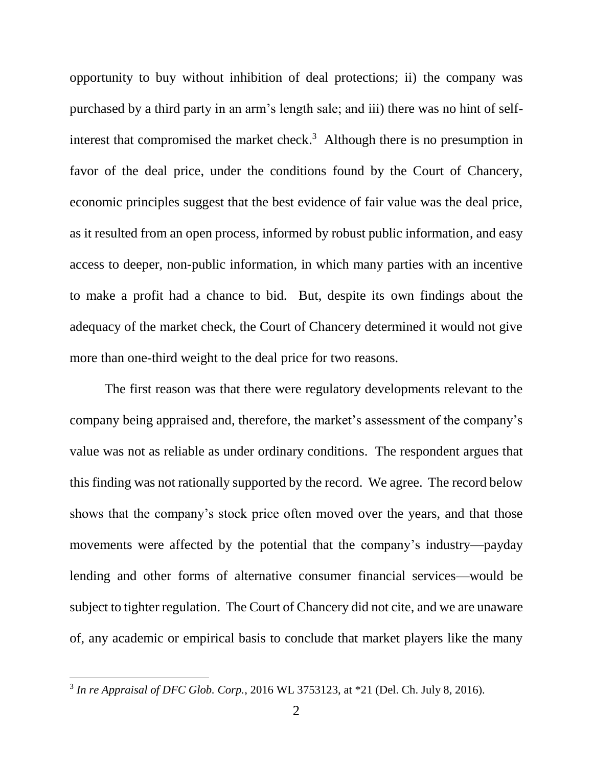opportunity to buy without inhibition of deal protections; ii) the company was purchased by a third party in an arm's length sale; and iii) there was no hint of selfinterest that compromised the market check.<sup>3</sup> Although there is no presumption in favor of the deal price, under the conditions found by the Court of Chancery, economic principles suggest that the best evidence of fair value was the deal price, as it resulted from an open process, informed by robust public information, and easy access to deeper, non-public information, in which many parties with an incentive to make a profit had a chance to bid. But, despite its own findings about the adequacy of the market check, the Court of Chancery determined it would not give more than one-third weight to the deal price for two reasons.

The first reason was that there were regulatory developments relevant to the company being appraised and, therefore, the market's assessment of the company's value was not as reliable as under ordinary conditions. The respondent argues that this finding was not rationally supported by the record. We agree. The record below shows that the company's stock price often moved over the years, and that those movements were affected by the potential that the company's industry—payday lending and other forms of alternative consumer financial services—would be subject to tighter regulation. The Court of Chancery did not cite, and we are unaware of, any academic or empirical basis to conclude that market players like the many

<sup>3</sup> *In re Appraisal of DFC Glob. Corp.*, 2016 WL 3753123, at \*21 (Del. Ch. July 8, 2016).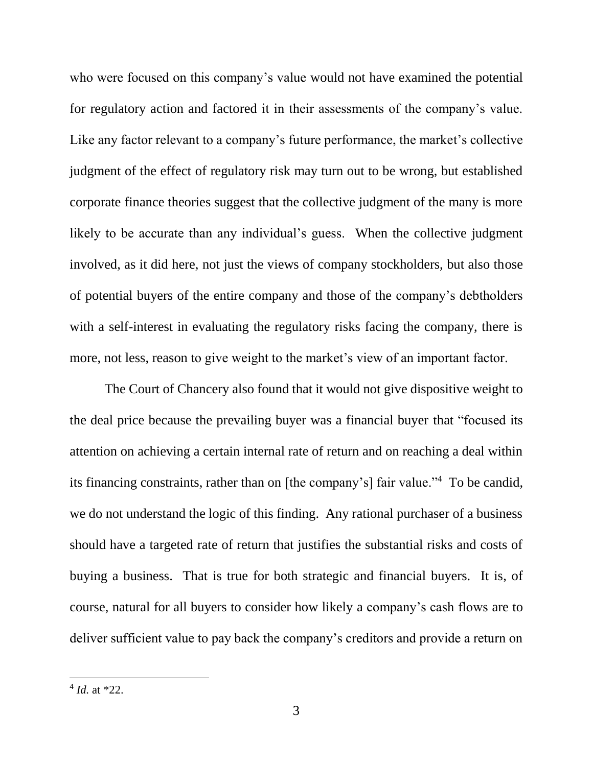who were focused on this company's value would not have examined the potential for regulatory action and factored it in their assessments of the company's value. Like any factor relevant to a company's future performance, the market's collective judgment of the effect of regulatory risk may turn out to be wrong, but established corporate finance theories suggest that the collective judgment of the many is more likely to be accurate than any individual's guess. When the collective judgment involved, as it did here, not just the views of company stockholders, but also those of potential buyers of the entire company and those of the company's debtholders with a self-interest in evaluating the regulatory risks facing the company, there is more, not less, reason to give weight to the market's view of an important factor.

The Court of Chancery also found that it would not give dispositive weight to the deal price because the prevailing buyer was a financial buyer that "focused its attention on achieving a certain internal rate of return and on reaching a deal within its financing constraints, rather than on [the company's] fair value."<sup>4</sup> To be candid, we do not understand the logic of this finding. Any rational purchaser of a business should have a targeted rate of return that justifies the substantial risks and costs of buying a business. That is true for both strategic and financial buyers. It is, of course, natural for all buyers to consider how likely a company's cash flows are to deliver sufficient value to pay back the company's creditors and provide a return on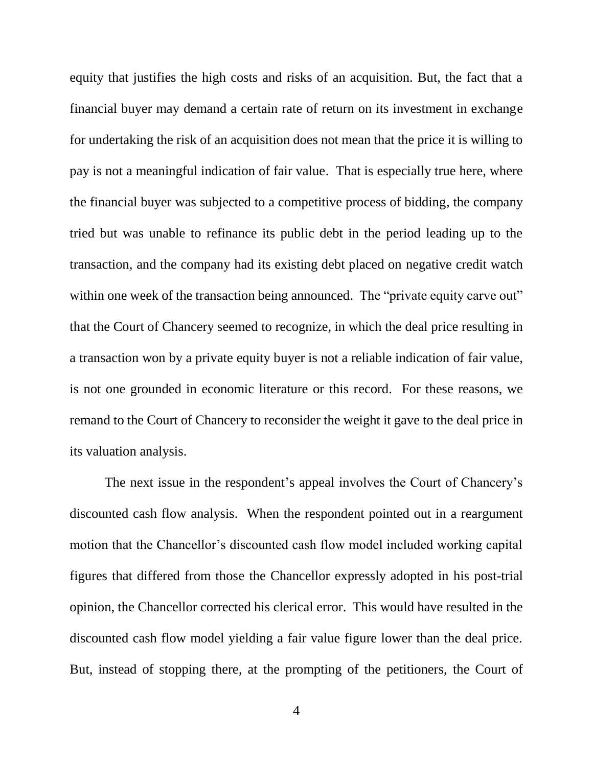equity that justifies the high costs and risks of an acquisition. But, the fact that a financial buyer may demand a certain rate of return on its investment in exchange for undertaking the risk of an acquisition does not mean that the price it is willing to pay is not a meaningful indication of fair value. That is especially true here, where the financial buyer was subjected to a competitive process of bidding, the company tried but was unable to refinance its public debt in the period leading up to the transaction, and the company had its existing debt placed on negative credit watch within one week of the transaction being announced. The "private equity carve out" that the Court of Chancery seemed to recognize, in which the deal price resulting in a transaction won by a private equity buyer is not a reliable indication of fair value, is not one grounded in economic literature or this record. For these reasons, we remand to the Court of Chancery to reconsider the weight it gave to the deal price in its valuation analysis.

The next issue in the respondent's appeal involves the Court of Chancery's discounted cash flow analysis. When the respondent pointed out in a reargument motion that the Chancellor's discounted cash flow model included working capital figures that differed from those the Chancellor expressly adopted in his post-trial opinion, the Chancellor corrected his clerical error. This would have resulted in the discounted cash flow model yielding a fair value figure lower than the deal price. But, instead of stopping there, at the prompting of the petitioners, the Court of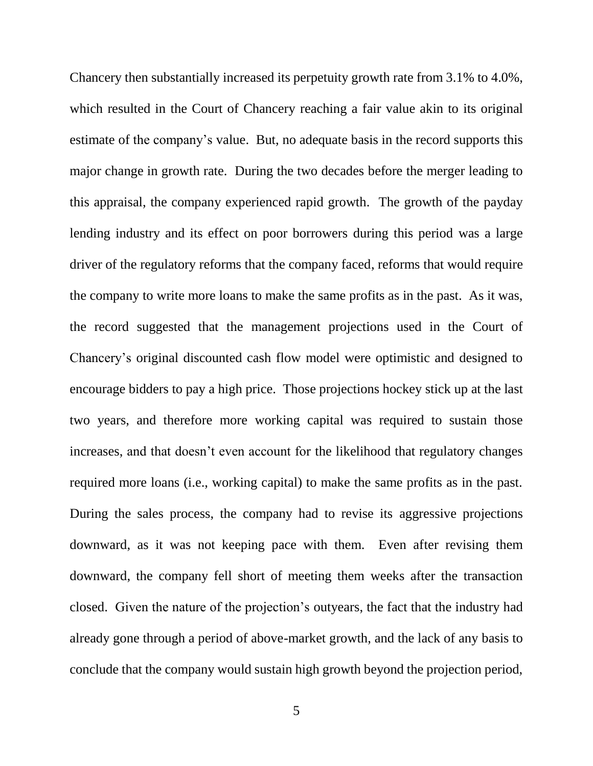Chancery then substantially increased its perpetuity growth rate from 3.1% to 4.0%, which resulted in the Court of Chancery reaching a fair value akin to its original estimate of the company's value. But, no adequate basis in the record supports this major change in growth rate. During the two decades before the merger leading to this appraisal, the company experienced rapid growth. The growth of the payday lending industry and its effect on poor borrowers during this period was a large driver of the regulatory reforms that the company faced, reforms that would require the company to write more loans to make the same profits as in the past. As it was, the record suggested that the management projections used in the Court of Chancery's original discounted cash flow model were optimistic and designed to encourage bidders to pay a high price. Those projections hockey stick up at the last two years, and therefore more working capital was required to sustain those increases, and that doesn't even account for the likelihood that regulatory changes required more loans (i.e., working capital) to make the same profits as in the past. During the sales process, the company had to revise its aggressive projections downward, as it was not keeping pace with them. Even after revising them downward, the company fell short of meeting them weeks after the transaction closed. Given the nature of the projection's outyears, the fact that the industry had already gone through a period of above-market growth, and the lack of any basis to conclude that the company would sustain high growth beyond the projection period,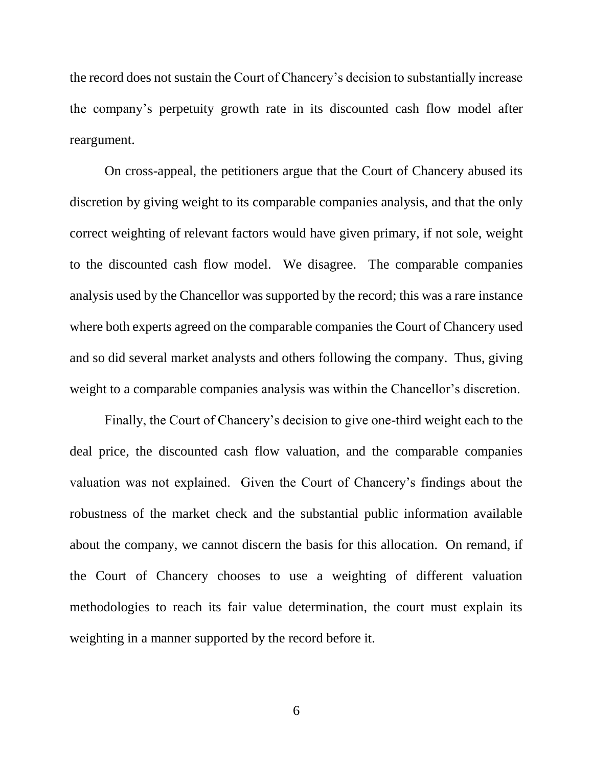the record does not sustain the Court of Chancery's decision to substantially increase the company's perpetuity growth rate in its discounted cash flow model after reargument.

On cross-appeal, the petitioners argue that the Court of Chancery abused its discretion by giving weight to its comparable companies analysis, and that the only correct weighting of relevant factors would have given primary, if not sole, weight to the discounted cash flow model. We disagree. The comparable companies analysis used by the Chancellor was supported by the record; this was a rare instance where both experts agreed on the comparable companies the Court of Chancery used and so did several market analysts and others following the company. Thus, giving weight to a comparable companies analysis was within the Chancellor's discretion.

Finally, the Court of Chancery's decision to give one-third weight each to the deal price, the discounted cash flow valuation, and the comparable companies valuation was not explained. Given the Court of Chancery's findings about the robustness of the market check and the substantial public information available about the company, we cannot discern the basis for this allocation. On remand, if the Court of Chancery chooses to use a weighting of different valuation methodologies to reach its fair value determination, the court must explain its weighting in a manner supported by the record before it.

6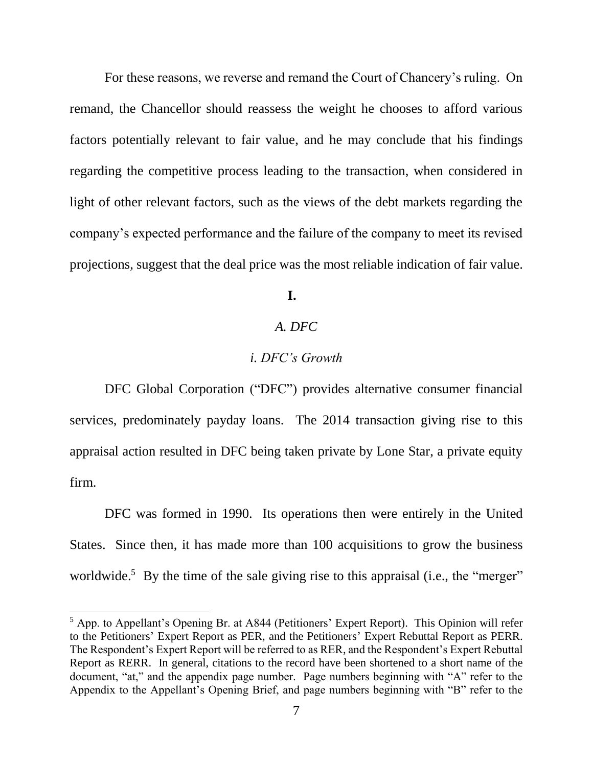For these reasons, we reverse and remand the Court of Chancery's ruling. On remand, the Chancellor should reassess the weight he chooses to afford various factors potentially relevant to fair value, and he may conclude that his findings regarding the competitive process leading to the transaction, when considered in light of other relevant factors, such as the views of the debt markets regarding the company's expected performance and the failure of the company to meet its revised projections, suggest that the deal price was the most reliable indication of fair value.

## **I.**

# *A. DFC*

## *i. DFC's Growth*

DFC Global Corporation ("DFC") provides alternative consumer financial services, predominately payday loans. The 2014 transaction giving rise to this appraisal action resulted in DFC being taken private by Lone Star, a private equity firm.

DFC was formed in 1990. Its operations then were entirely in the United States. Since then, it has made more than 100 acquisitions to grow the business worldwide.<sup>5</sup> By the time of the sale giving rise to this appraisal (i.e., the "merger"

 $<sup>5</sup>$  App. to Appellant's Opening Br. at A844 (Petitioners' Expert Report). This Opinion will refer</sup> to the Petitioners' Expert Report as PER, and the Petitioners' Expert Rebuttal Report as PERR. The Respondent's Expert Report will be referred to as RER, and the Respondent's Expert Rebuttal Report as RERR. In general, citations to the record have been shortened to a short name of the document, "at," and the appendix page number. Page numbers beginning with "A" refer to the Appendix to the Appellant's Opening Brief, and page numbers beginning with "B" refer to the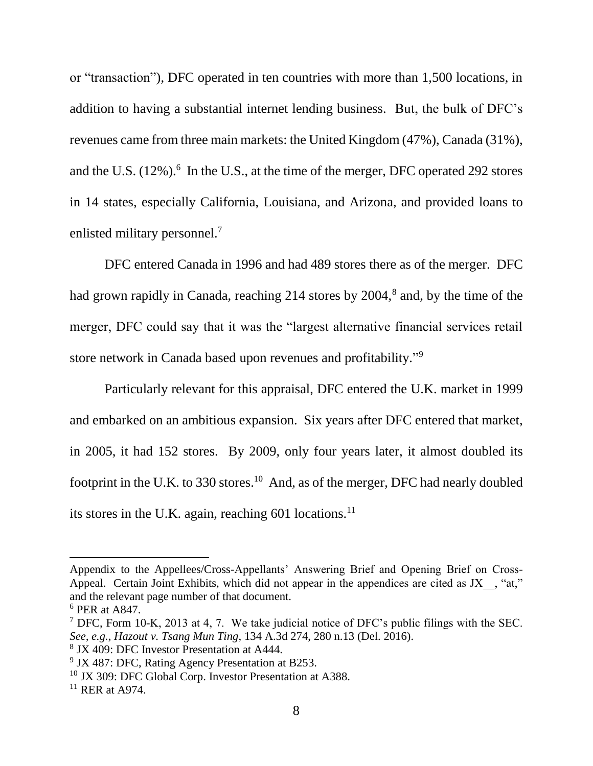or "transaction"), DFC operated in ten countries with more than 1,500 locations, in addition to having a substantial internet lending business. But, the bulk of DFC's revenues came from three main markets: the United Kingdom (47%), Canada (31%), and the U.S.  $(12\%)$ . In the U.S., at the time of the merger, DFC operated 292 stores in 14 states, especially California, Louisiana, and Arizona, and provided loans to enlisted military personnel.<sup>7</sup>

DFC entered Canada in 1996 and had 489 stores there as of the merger. DFC had grown rapidly in Canada, reaching 214 stores by 2004,<sup>8</sup> and, by the time of the merger, DFC could say that it was the "largest alternative financial services retail store network in Canada based upon revenues and profitability."<sup>9</sup>

Particularly relevant for this appraisal, DFC entered the U.K. market in 1999 and embarked on an ambitious expansion. Six years after DFC entered that market, in 2005, it had 152 stores. By 2009, only four years later, it almost doubled its footprint in the U.K. to 330 stores.<sup>10</sup> And, as of the merger, DFC had nearly doubled its stores in the U.K. again, reaching 601 locations.<sup>11</sup>

 $\overline{a}$ 

Appendix to the Appellees/Cross-Appellants' Answering Brief and Opening Brief on Cross-Appeal. Certain Joint Exhibits, which did not appear in the appendices are cited as JX , "at," and the relevant page number of that document.

<sup>6</sup> PER at A847.

<sup>7</sup> DFC, Form 10-K, 2013 at 4, 7. We take judicial notice of DFC's public filings with the SEC. *See, e.g.*, *Hazout v. Tsang Mun Ting*, 134 A.3d 274, 280 n.13 (Del. 2016). 8 JX 409: DFC Investor Presentation at A444.

<sup>&</sup>lt;sup>9</sup> JX 487: DFC, Rating Agency Presentation at B253.

<sup>&</sup>lt;sup>10</sup> JX 309: DFC Global Corp. Investor Presentation at A388.

 $11$  RER at A974.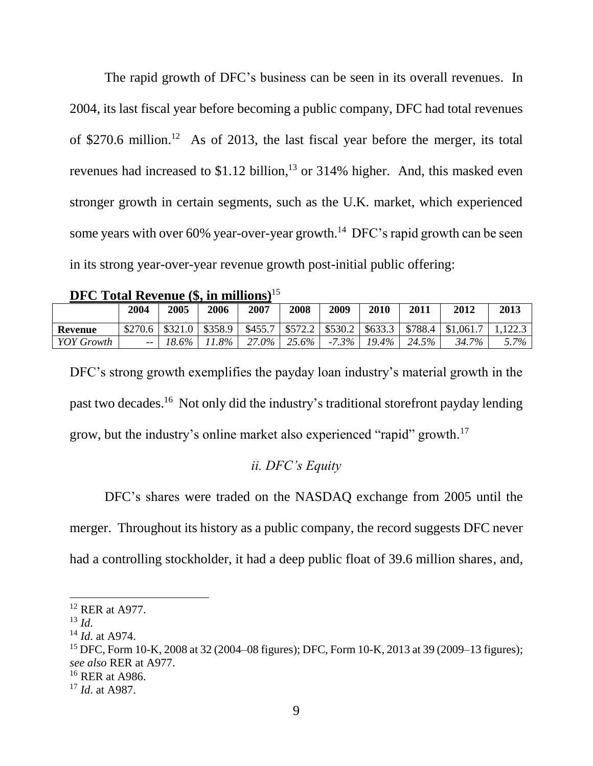The rapid growth of DFC's business can be seen in its overall revenues. In 2004, its last fiscal year before becoming a public company, DFC had total revenues of \$270.6 million.<sup>12</sup> As of 2013, the last fiscal year before the merger, its total revenues had increased to  $$1.12$  billion,<sup>13</sup> or 314% higher. And, this masked even stronger growth in certain segments, such as the U.K. market, which experienced some years with over 60% year-over-year growth.<sup>14</sup> DFC's rapid growth can be seen in its strong year-over-year revenue growth post-initial public offering:

| DFC Total Revenue $(\$, in millions)^{15}$ |  |  |  |  |
|--------------------------------------------|--|--|--|--|
|--------------------------------------------|--|--|--|--|

|                | 2004    | 2005    | 2006    | 2007    | 2008    | 2009     | 2010     | 2011    | 2012      | 2013    |
|----------------|---------|---------|---------|---------|---------|----------|----------|---------|-----------|---------|
| <b>Revenue</b> | \$270.6 | \$321.0 | \$358.9 | \$455.7 | \$572.2 | \$530.2  | \$633.3  | \$788.4 | \$1,061.7 | 1222    |
| YOY Growth     | $- -$   | 18.6%   | $.8\%$  | 27.0%   | 25.6%   | $-7.3\%$ | $19.4\%$ | 24.5%   | 34.7%     | $5.7\%$ |

DFC's strong growth exemplifies the payday loan industry's material growth in the past two decades.<sup>16</sup> Not only did the industry's traditional storefront payday lending grow, but the industry's online market also experienced "rapid" growth.<sup>17</sup>

## *ii. DFC's Equity*

DFC's shares were traded on the NASDAQ exchange from 2005 until the merger. Throughout its history as a public company, the record suggests DFC never had a controlling stockholder, it had a deep public float of 39.6 million shares, and,

<sup>12</sup> RER at A977.

 $^{13}$  *Id.* 

<sup>14</sup> *Id*. at A974.

<sup>15</sup> DFC, Form 10-K, 2008 at 32 (2004–08 figures); DFC, Form 10-K, 2013 at 39 (2009–13 figures); *see also* RER at A977.

<sup>&</sup>lt;sup>16</sup> RER at A986.

<sup>17</sup> *Id*. at A987.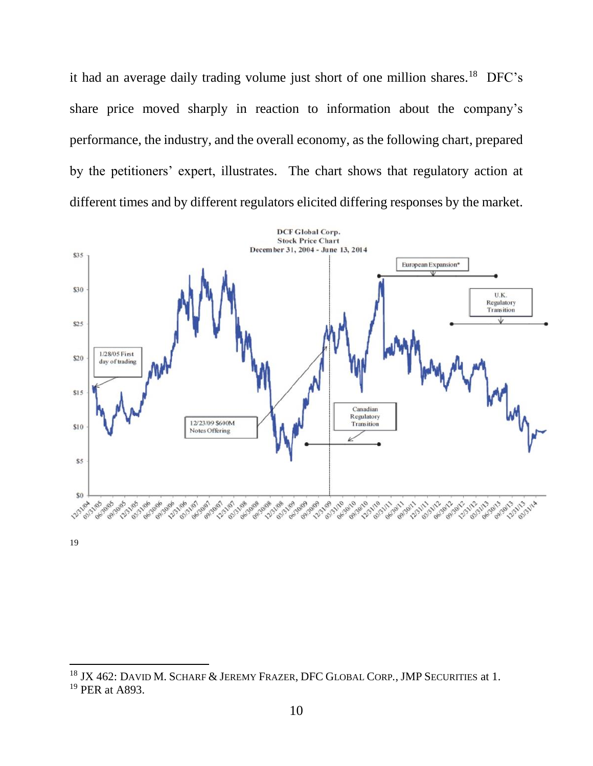it had an average daily trading volume just short of one million shares.<sup>18</sup> DFC's share price moved sharply in reaction to information about the company's performance, the industry, and the overall economy, as the following chart, prepared by the petitioners' expert, illustrates. The chart shows that regulatory action at different times and by different regulators elicited differing responses by the market.



19

<sup>18</sup> JX 462: DAVID M. SCHARF & JEREMY FRAZER, DFC GLOBAL CORP*.*, JMP SECURITIES at 1. <sup>19</sup> PER at A893.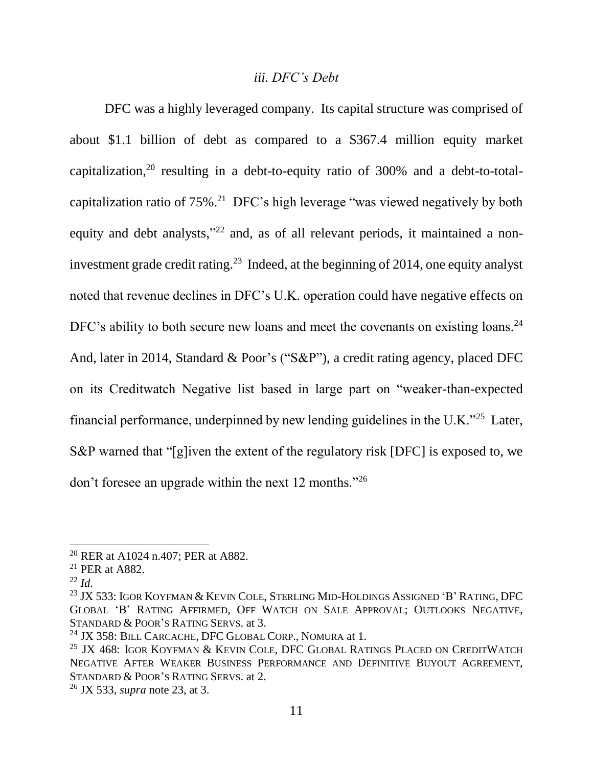### <span id="page-12-0"></span>*iii. DFC's Debt*

DFC was a highly leveraged company. Its capital structure was comprised of about \$1.1 billion of debt as compared to a \$367.4 million equity market capitalization,  $20$  resulting in a debt-to-equity ratio of 300% and a debt-to-totalcapitalization ratio of  $75\%$ .<sup>21</sup> DFC's high leverage "was viewed negatively by both equity and debt analysts,"<sup>22</sup> and, as of all relevant periods, it maintained a noninvestment grade credit rating.<sup>23</sup> Indeed, at the beginning of 2014, one equity analyst noted that revenue declines in DFC's U.K. operation could have negative effects on DFC's ability to both secure new loans and meet the covenants on existing loans.<sup>24</sup> And, later in 2014, Standard & Poor's ("S&P"), a credit rating agency, placed DFC on its Creditwatch Negative list based in large part on "weaker-than-expected financial performance, underpinned by new lending guidelines in the U.K."<sup>25</sup> Later, S&P warned that "[g]iven the extent of the regulatory risk [DFC] is exposed to, we don't foresee an upgrade within the next 12 months."<sup>26</sup>

l

<sup>&</sup>lt;sup>20</sup> RER at A1024 n.407; PER at A882.

<sup>21</sup> PER at A882.

 $^{22}$  *Id.* 

 $^{23}$  JX 533: IGOR KOYFMAN & KEVIN COLE, STERLING MID-HOLDINGS ASSIGNED 'B' RATING, DFC GLOBAL 'B' RATING AFFIRMED, OFF WATCH ON SALE APPROVAL; OUTLOOKS NEGATIVE, STANDARD & POOR'S RATING SERVS. at 3.

<sup>&</sup>lt;sup>24</sup> JX 358: BILL CARCACHE, DFC GLOBAL CORP., NOMURA at 1.

 $25$  JX 468: IGOR KOYFMAN & KEVIN COLE, DFC GLOBAL RATINGS PLACED ON CREDITWATCH NEGATIVE AFTER WEAKER BUSINESS PERFORMANCE AND DEFINITIVE BUYOUT AGREEMENT, STANDARD & POOR'S RATING SERVS. at 2.

<sup>26</sup> JX 533, *supra* note [23,](#page-12-0) at 3.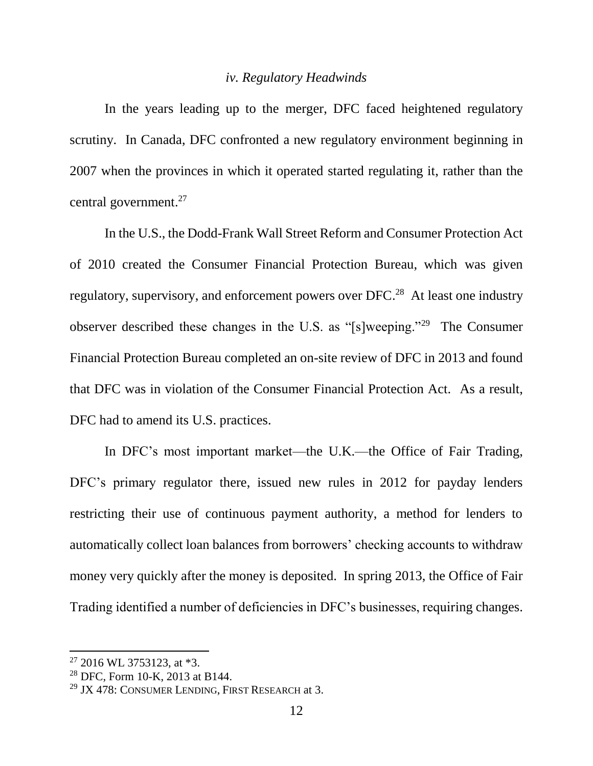### <span id="page-13-0"></span>*iv. Regulatory Headwinds*

In the years leading up to the merger, DFC faced heightened regulatory scrutiny. In Canada, DFC confronted a new regulatory environment beginning in 2007 when the provinces in which it operated started regulating it, rather than the central government. 27

In the U.S., the Dodd-Frank Wall Street Reform and Consumer Protection Act of 2010 created the Consumer Financial Protection Bureau, which was given regulatory, supervisory, and enforcement powers over DFC.<sup>28</sup> At least one industry observer described these changes in the U.S. as "[s]weeping."<sup>29</sup> The Consumer Financial Protection Bureau completed an on-site review of DFC in 2013 and found that DFC was in violation of the Consumer Financial Protection Act. As a result, DFC had to amend its U.S. practices.

In DFC's most important market—the U.K.—the Office of Fair Trading, DFC's primary regulator there, issued new rules in 2012 for payday lenders restricting their use of continuous payment authority, a method for lenders to automatically collect loan balances from borrowers' checking accounts to withdraw money very quickly after the money is deposited. In spring 2013, the Office of Fair Trading identified a number of deficiencies in DFC's businesses, requiring changes.

 $27$  2016 WL 3753123, at  $*3$ .

<sup>28</sup> DFC, Form 10-K, 2013 at B144.

<sup>&</sup>lt;sup>29</sup> JX 478: CONSUMER LENDING, FIRST RESEARCH at 3.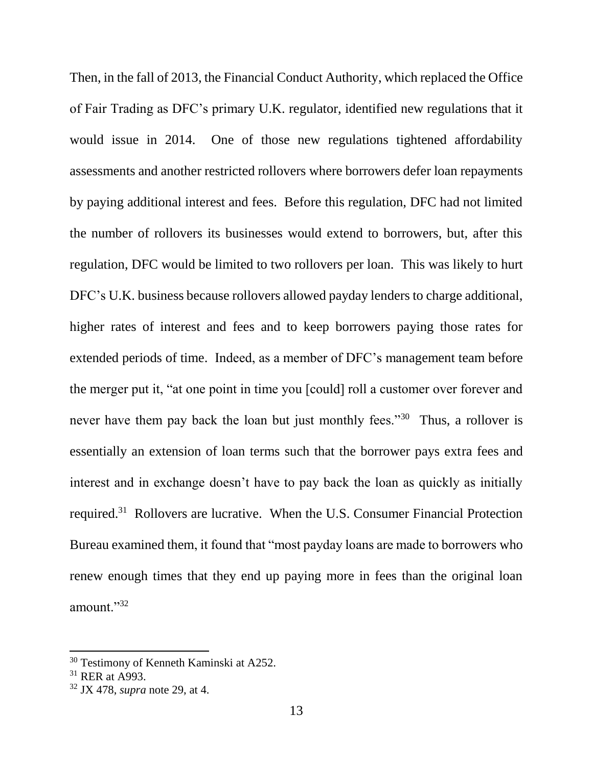Then, in the fall of 2013, the Financial Conduct Authority, which replaced the Office of Fair Trading as DFC's primary U.K. regulator, identified new regulations that it would issue in 2014. One of those new regulations tightened affordability assessments and another restricted rollovers where borrowers defer loan repayments by paying additional interest and fees. Before this regulation, DFC had not limited the number of rollovers its businesses would extend to borrowers, but, after this regulation, DFC would be limited to two rollovers per loan. This was likely to hurt DFC's U.K. business because rollovers allowed payday lenders to charge additional, higher rates of interest and fees and to keep borrowers paying those rates for extended periods of time. Indeed, as a member of DFC's management team before the merger put it, "at one point in time you [could] roll a customer over forever and never have them pay back the loan but just monthly fees."<sup>30</sup> Thus, a rollover is essentially an extension of loan terms such that the borrower pays extra fees and interest and in exchange doesn't have to pay back the loan as quickly as initially required.<sup>31</sup> Rollovers are lucrative. When the U.S. Consumer Financial Protection Bureau examined them, it found that "most payday loans are made to borrowers who renew enough times that they end up paying more in fees than the original loan amount."<sup>32</sup>

<sup>&</sup>lt;sup>30</sup> Testimony of Kenneth Kaminski at A252.

<sup>31</sup> RER at A993.

<sup>32</sup> JX 478, *supra* note [29,](#page-13-0) at 4.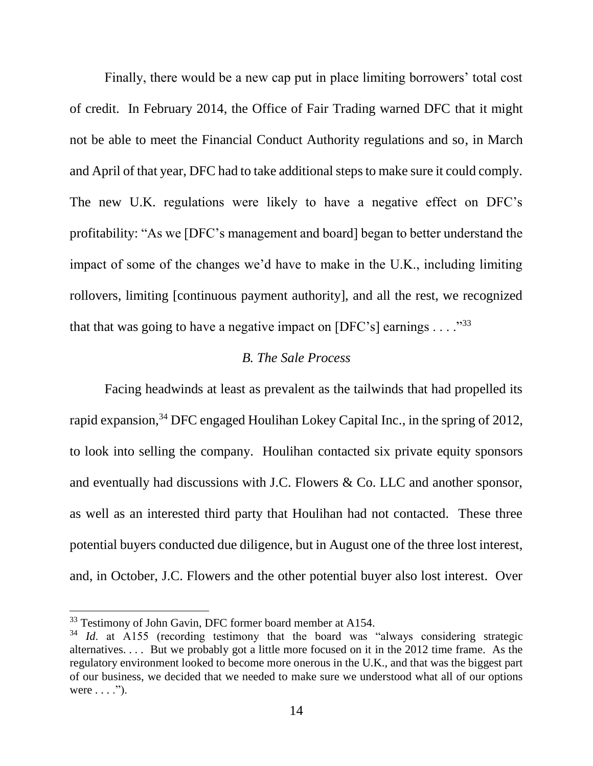Finally, there would be a new cap put in place limiting borrowers' total cost of credit. In February 2014, the Office of Fair Trading warned DFC that it might not be able to meet the Financial Conduct Authority regulations and so, in March and April of that year, DFC had to take additional steps to make sure it could comply. The new U.K. regulations were likely to have a negative effect on DFC's profitability: "As we [DFC's management and board] began to better understand the impact of some of the changes we'd have to make in the U.K., including limiting rollovers, limiting [continuous payment authority], and all the rest, we recognized that that was going to have a negative impact on  $[DFC's]$  earnings  $\dots$ <sup>33</sup>

## *B. The Sale Process*

Facing headwinds at least as prevalent as the tailwinds that had propelled its rapid expansion,<sup>34</sup> DFC engaged Houlihan Lokey Capital Inc., in the spring of 2012, to look into selling the company. Houlihan contacted six private equity sponsors and eventually had discussions with J.C. Flowers & Co. LLC and another sponsor, as well as an interested third party that Houlihan had not contacted. These three potential buyers conducted due diligence, but in August one of the three lost interest, and, in October, J.C. Flowers and the other potential buyer also lost interest. Over

<sup>&</sup>lt;sup>33</sup> Testimony of John Gavin, DFC former board member at A154.

<sup>&</sup>lt;sup>34</sup> *Id.* at A155 (recording testimony that the board was "always considering strategic alternatives. . . . But we probably got a little more focused on it in the 2012 time frame. As the regulatory environment looked to become more onerous in the U.K., and that was the biggest part of our business, we decided that we needed to make sure we understood what all of our options were  $\dots$ .").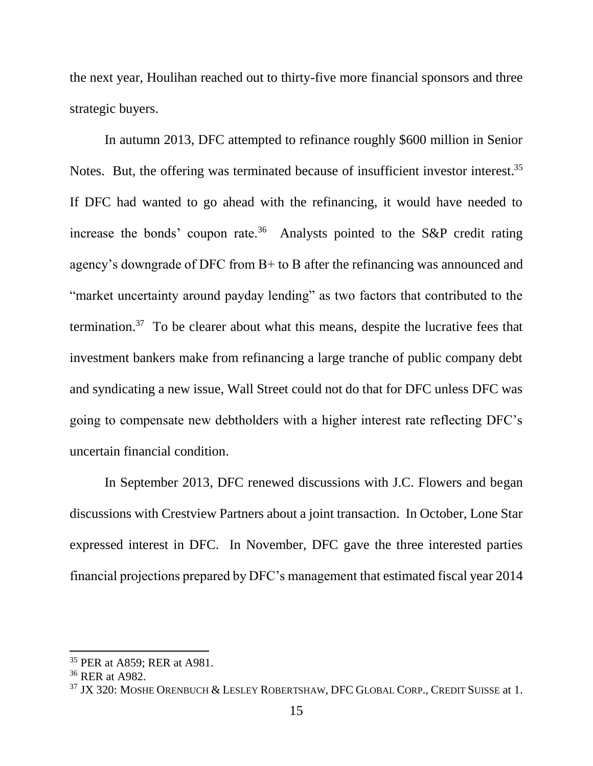the next year, Houlihan reached out to thirty-five more financial sponsors and three strategic buyers.

In autumn 2013, DFC attempted to refinance roughly \$600 million in Senior Notes. But, the offering was terminated because of insufficient investor interest.<sup>35</sup> If DFC had wanted to go ahead with the refinancing, it would have needed to increase the bonds' coupon rate.<sup>36</sup> Analysts pointed to the S&P credit rating agency's downgrade of DFC from B+ to B after the refinancing was announced and "market uncertainty around payday lending" as two factors that contributed to the termination.<sup>37</sup> To be clearer about what this means, despite the lucrative fees that investment bankers make from refinancing a large tranche of public company debt and syndicating a new issue, Wall Street could not do that for DFC unless DFC was going to compensate new debtholders with a higher interest rate reflecting DFC's uncertain financial condition.

In September 2013, DFC renewed discussions with J.C. Flowers and began discussions with Crestview Partners about a joint transaction. In October, Lone Star expressed interest in DFC. In November, DFC gave the three interested parties financial projections prepared by DFC's management that estimated fiscal year 2014

<sup>35</sup> PER at A859; RER at A981.

<sup>36</sup> RER at A982.

<sup>&</sup>lt;sup>37</sup> JX 320: MOSHE ORENBUCH & LESLEY ROBERTSHAW, DFC GLOBAL CORP., CREDIT SUISSE at 1.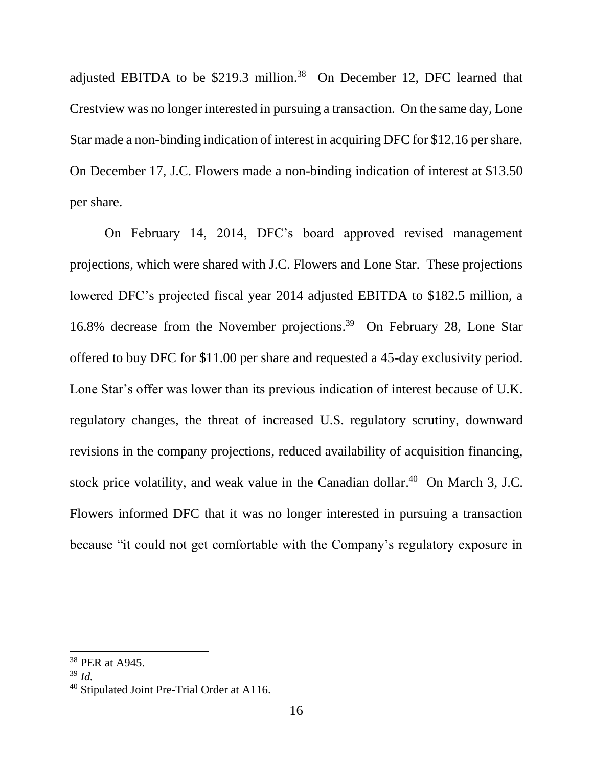adjusted EBITDA to be  $$219.3$  million.<sup>38</sup> On December 12, DFC learned that Crestview was no longer interested in pursuing a transaction. On the same day, Lone Star made a non-binding indication of interest in acquiring DFC for \$12.16 per share. On December 17, J.C. Flowers made a non-binding indication of interest at \$13.50 per share.

On February 14, 2014, DFC's board approved revised management projections, which were shared with J.C. Flowers and Lone Star. These projections lowered DFC's projected fiscal year 2014 adjusted EBITDA to \$182.5 million, a 16.8% decrease from the November projections. 39 On February 28, Lone Star offered to buy DFC for \$11.00 per share and requested a 45-day exclusivity period. Lone Star's offer was lower than its previous indication of interest because of U.K. regulatory changes, the threat of increased U.S. regulatory scrutiny, downward revisions in the company projections, reduced availability of acquisition financing, stock price volatility, and weak value in the Canadian dollar.<sup>40</sup> On March 3, J.C. Flowers informed DFC that it was no longer interested in pursuing a transaction because "it could not get comfortable with the Company's regulatory exposure in

<sup>38</sup> PER at A945.

<sup>39</sup> *Id.* 

<sup>40</sup> Stipulated Joint Pre-Trial Order at A116.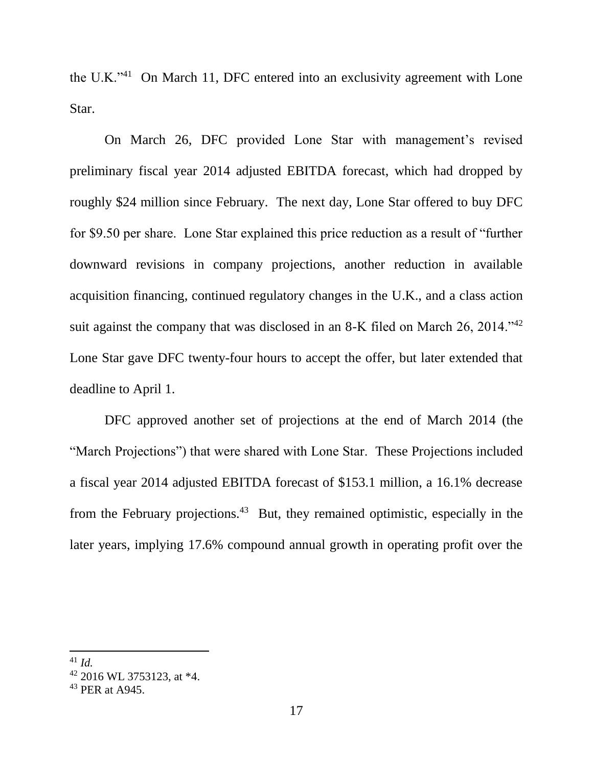the U.K."<sup>41</sup> On March 11, DFC entered into an exclusivity agreement with Lone Star.

On March 26, DFC provided Lone Star with management's revised preliminary fiscal year 2014 adjusted EBITDA forecast, which had dropped by roughly \$24 million since February. The next day, Lone Star offered to buy DFC for \$9.50 per share. Lone Star explained this price reduction as a result of "further downward revisions in company projections, another reduction in available acquisition financing, continued regulatory changes in the U.K., and a class action suit against the company that was disclosed in an 8-K filed on March 26, 2014.<sup>142</sup> Lone Star gave DFC twenty-four hours to accept the offer, but later extended that deadline to April 1.

DFC approved another set of projections at the end of March 2014 (the "March Projections") that were shared with Lone Star. These Projections included a fiscal year 2014 adjusted EBITDA forecast of \$153.1 million, a 16.1% decrease from the February projections.<sup>43</sup> But, they remained optimistic, especially in the later years, implying 17.6% compound annual growth in operating profit over the

<sup>41</sup> *Id.*

<sup>42</sup> 2016 WL 3753123, at \*4.

<sup>43</sup> PER at A945.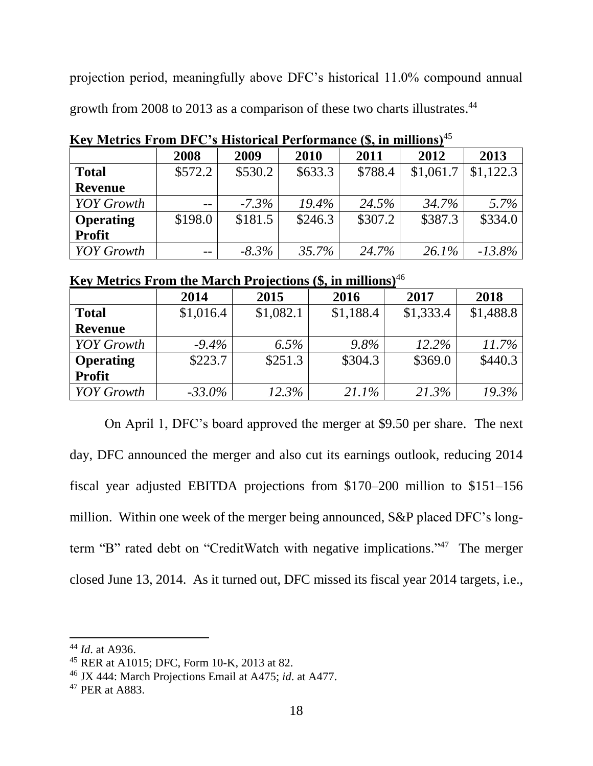projection period, meaningfully above DFC's historical 11.0% compound annual growth from 2008 to 2013 as a comparison of these two charts illustrates.<sup>44</sup>

| AVI RODOLO I ROM DI U S ANSVITUM I VITOI MANU (SI MI MINIVIS |         |          |          |         |           |           |  |  |
|--------------------------------------------------------------|---------|----------|----------|---------|-----------|-----------|--|--|
|                                                              | 2008    | 2009     | 2010     | 2011    | 2012      | 2013      |  |  |
| <b>Total</b>                                                 | \$572.2 | \$530.2  | \$633.3  | \$788.4 | \$1,061.7 | \$1,122.3 |  |  |
| <b>Revenue</b>                                               |         |          |          |         |           |           |  |  |
| <b>YOY</b> Growth                                            | $-$     | $-7.3\%$ | $19.4\%$ | 24.5%   | 34.7%     | $5.7\%$   |  |  |
| <b>Operating</b>                                             | \$198.0 | \$181.5  | \$246.3  | \$307.2 | \$387.3   | \$334.0   |  |  |
| <b>Profit</b>                                                |         |          |          |         |           |           |  |  |
| <b>YOY</b> Growth                                            | $ -$    | $-8.3\%$ | 35.7%    | 24.7%   | $26.1\%$  | $-13.8\%$ |  |  |

**Key Metrics From DFC's Historical Performance (\$, in millions)**<sup>45</sup>

# **Key Metrics From the March Projections (\$, in millions)**<sup>46</sup>

|                   | 2014      | 2015      | 2016      | 2017      | 2018      |
|-------------------|-----------|-----------|-----------|-----------|-----------|
| <b>Total</b>      | \$1,016.4 | \$1,082.1 | \$1,188.4 | \$1,333.4 | \$1,488.8 |
| <b>Revenue</b>    |           |           |           |           |           |
| <b>YOY</b> Growth | $-9.4\%$  | $6.5\%$   | $9.8\%$   | 12.2%     | $11.7\%$  |
| <b>Operating</b>  | \$223.7   | \$251.3   | \$304.3   | \$369.0   | \$440.3   |
| <b>Profit</b>     |           |           |           |           |           |
| <b>YOY</b> Growth | $-33.0\%$ | $12.3\%$  | $21.1\%$  | 21.3%     | 19.3%     |

On April 1, DFC's board approved the merger at \$9.50 per share. The next day, DFC announced the merger and also cut its earnings outlook, reducing 2014 fiscal year adjusted EBITDA projections from \$170–200 million to \$151–156 million. Within one week of the merger being announced, S&P placed DFC's longterm "B" rated debt on "CreditWatch with negative implications." <sup>47</sup> The merger closed June 13, 2014. As it turned out, DFC missed its fiscal year 2014 targets, i.e.,

 $\overline{a}$ 

<sup>44</sup> *Id*. at A936.

<sup>45</sup> RER at A1015; DFC, Form 10-K, 2013 at 82.

<sup>46</sup> JX 444: March Projections Email at A475; *id*. at A477.

<sup>47</sup> PER at A883.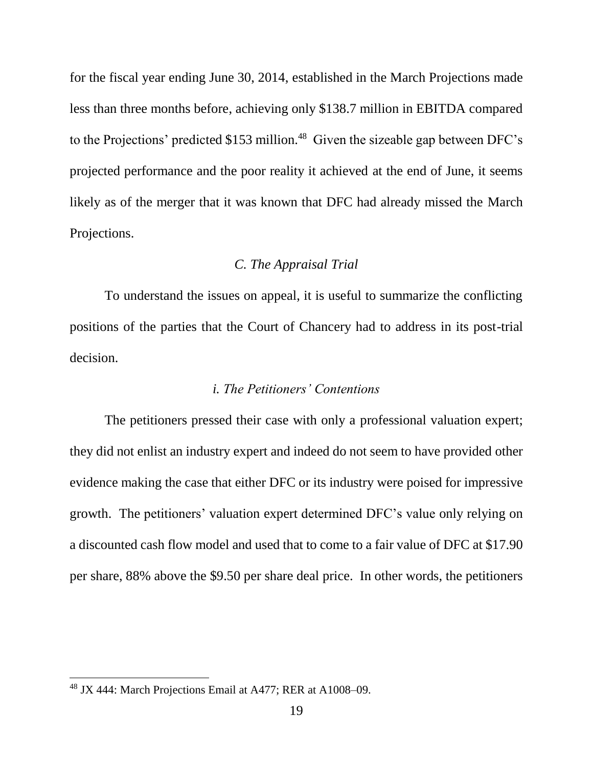for the fiscal year ending June 30, 2014, established in the March Projections made less than three months before, achieving only \$138.7 million in EBITDA compared to the Projections' predicted  $$153$  million.<sup>48</sup> Given the sizeable gap between DFC's projected performance and the poor reality it achieved at the end of June, it seems likely as of the merger that it was known that DFC had already missed the March Projections.

# *C. The Appraisal Trial*

To understand the issues on appeal, it is useful to summarize the conflicting positions of the parties that the Court of Chancery had to address in its post-trial decision.

### *i. The Petitioners' Contentions*

The petitioners pressed their case with only a professional valuation expert; they did not enlist an industry expert and indeed do not seem to have provided other evidence making the case that either DFC or its industry were poised for impressive growth. The petitioners' valuation expert determined DFC's value only relying on a discounted cash flow model and used that to come to a fair value of DFC at \$17.90 per share, 88% above the \$9.50 per share deal price. In other words, the petitioners

<sup>48</sup> JX 444: March Projections Email at A477; RER at A1008–09.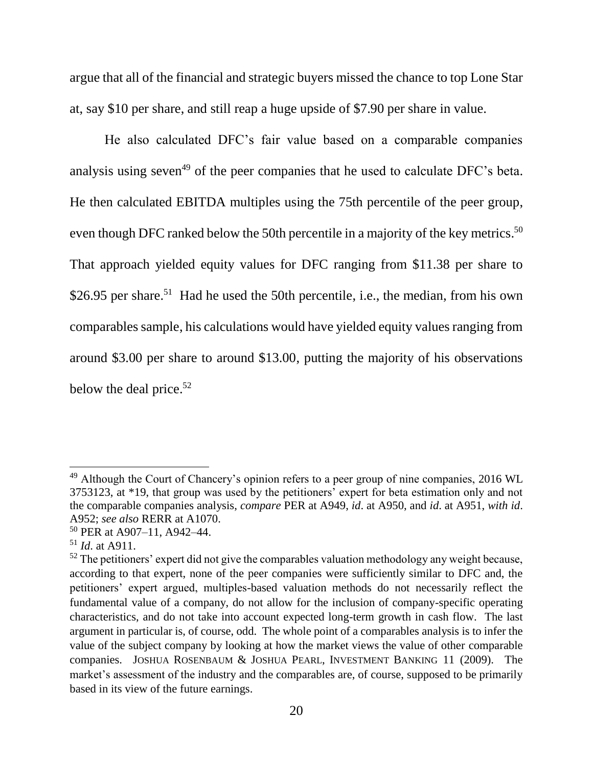argue that all of the financial and strategic buyers missed the chance to top Lone Star at, say \$10 per share, and still reap a huge upside of \$7.90 per share in value.

He also calculated DFC's fair value based on a comparable companies analysis using seven<sup>49</sup> of the peer companies that he used to calculate  $DFC$ 's beta. He then calculated EBITDA multiples using the 75th percentile of the peer group, even though DFC ranked below the 50th percentile in a majority of the key metrics.<sup>50</sup> That approach yielded equity values for DFC ranging from \$11.38 per share to \$26.95 per share.<sup>51</sup> Had he used the 50th percentile, i.e., the median, from his own comparables sample, his calculations would have yielded equity values ranging from around \$3.00 per share to around \$13.00, putting the majority of his observations below the deal price.<sup>52</sup>

l

<sup>&</sup>lt;sup>49</sup> Although the Court of Chancery's opinion refers to a peer group of nine companies, 2016 WL 3753123, at \*19, that group was used by the petitioners' expert for beta estimation only and not the comparable companies analysis, *compare* PER at A949, *id*. at A950, and *id*. at A951, *with id*. A952; *see also* RERR at A1070.

<sup>50</sup> PER at A907–11, A942–44.

<sup>51</sup> *Id*. at A911.

 $52$  The petitioners' expert did not give the comparables valuation methodology any weight because, according to that expert, none of the peer companies were sufficiently similar to DFC and, the petitioners' expert argued, multiples-based valuation methods do not necessarily reflect the fundamental value of a company, do not allow for the inclusion of company-specific operating characteristics, and do not take into account expected long-term growth in cash flow. The last argument in particular is, of course, odd. The whole point of a comparables analysis is to infer the value of the subject company by looking at how the market views the value of other comparable companies. JOSHUA ROSENBAUM & JOSHUA PEARL, INVESTMENT BANKING 11 (2009). The market's assessment of the industry and the comparables are, of course, supposed to be primarily based in its view of the future earnings.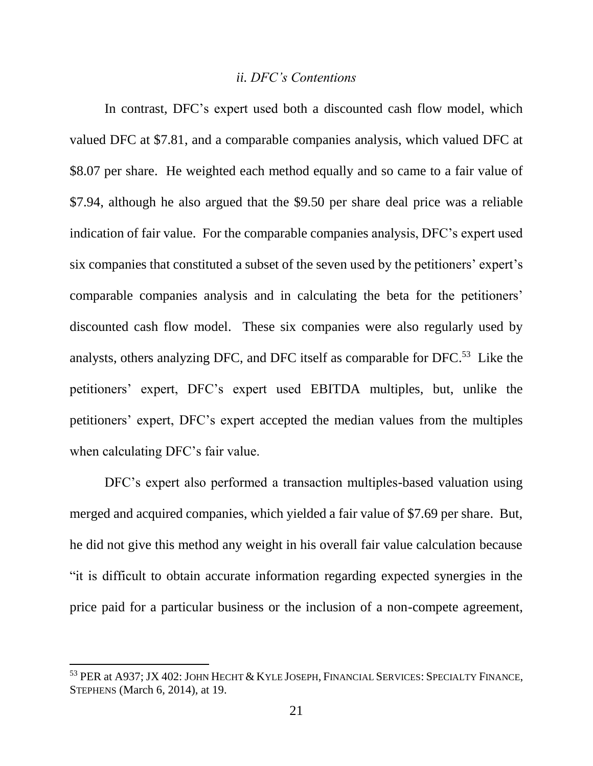### *ii. DFC's Contentions*

In contrast, DFC's expert used both a discounted cash flow model, which valued DFC at \$7.81, and a comparable companies analysis, which valued DFC at \$8.07 per share. He weighted each method equally and so came to a fair value of \$7.94, although he also argued that the \$9.50 per share deal price was a reliable indication of fair value. For the comparable companies analysis, DFC's expert used six companies that constituted a subset of the seven used by the petitioners' expert's comparable companies analysis and in calculating the beta for the petitioners' discounted cash flow model. These six companies were also regularly used by analysts, others analyzing DFC, and DFC itself as comparable for DFC.<sup>53</sup> Like the petitioners' expert, DFC's expert used EBITDA multiples, but, unlike the petitioners' expert, DFC's expert accepted the median values from the multiples when calculating DFC's fair value.

DFC's expert also performed a transaction multiples-based valuation using merged and acquired companies, which yielded a fair value of \$7.69 per share. But, he did not give this method any weight in his overall fair value calculation because "it is difficult to obtain accurate information regarding expected synergies in the price paid for a particular business or the inclusion of a non-compete agreement,

<sup>53</sup> PER at A937; JX 402: JOHN HECHT & KYLE JOSEPH, FINANCIAL SERVICES: SPECIALTY FINANCE, STEPHENS (March 6, 2014), at 19.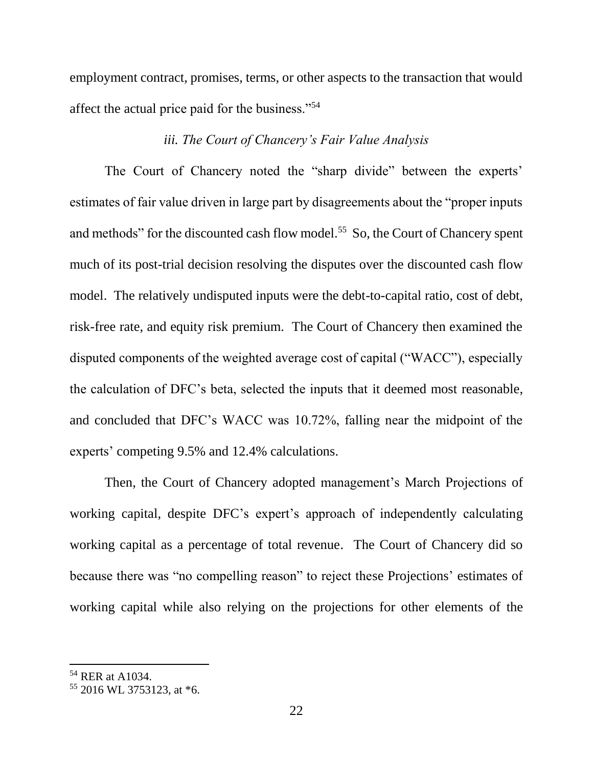employment contract, promises, terms, or other aspects to the transaction that would affect the actual price paid for the business."<sup>54</sup>

# *iii. The Court of Chancery's Fair Value Analysis*

The Court of Chancery noted the "sharp divide" between the experts' estimates of fair value driven in large part by disagreements about the "proper inputs and methods" for the discounted cash flow model.<sup>55</sup> So, the Court of Chancery spent much of its post-trial decision resolving the disputes over the discounted cash flow model. The relatively undisputed inputs were the debt-to-capital ratio, cost of debt, risk-free rate, and equity risk premium. The Court of Chancery then examined the disputed components of the weighted average cost of capital ("WACC"), especially the calculation of DFC's beta, selected the inputs that it deemed most reasonable, and concluded that DFC's WACC was 10.72%, falling near the midpoint of the experts' competing 9.5% and 12.4% calculations.

Then, the Court of Chancery adopted management's March Projections of working capital, despite DFC's expert's approach of independently calculating working capital as a percentage of total revenue. The Court of Chancery did so because there was "no compelling reason" to reject these Projections' estimates of working capital while also relying on the projections for other elements of the

<sup>54</sup> RER at A1034.

<sup>55</sup> 2016 WL 3753123, at \*6.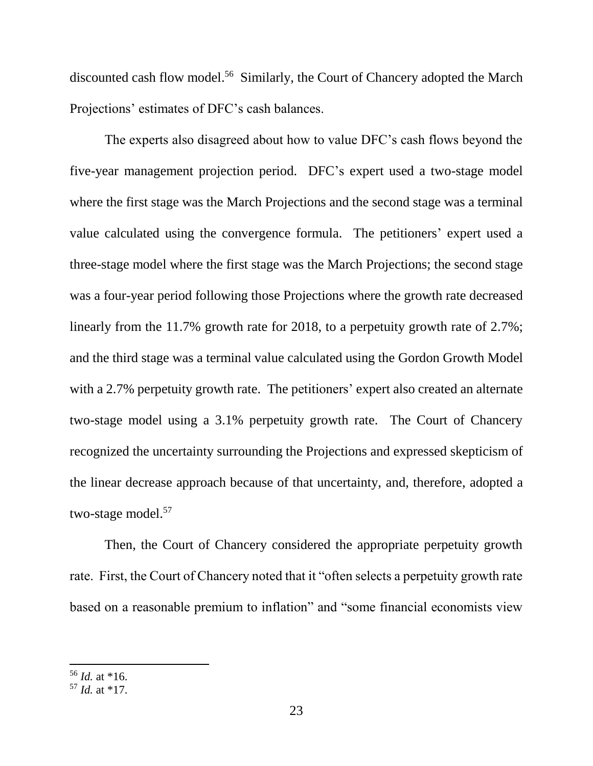discounted cash flow model. 56 Similarly, the Court of Chancery adopted the March Projections' estimates of DFC's cash balances.

The experts also disagreed about how to value DFC's cash flows beyond the five-year management projection period. DFC's expert used a two-stage model where the first stage was the March Projections and the second stage was a terminal value calculated using the convergence formula. The petitioners' expert used a three-stage model where the first stage was the March Projections; the second stage was a four-year period following those Projections where the growth rate decreased linearly from the 11.7% growth rate for 2018, to a perpetuity growth rate of 2.7%; and the third stage was a terminal value calculated using the Gordon Growth Model with a 2.7% perpetuity growth rate. The petitioners' expert also created an alternate two-stage model using a 3.1% perpetuity growth rate. The Court of Chancery recognized the uncertainty surrounding the Projections and expressed skepticism of the linear decrease approach because of that uncertainty, and, therefore, adopted a two-stage model.<sup>57</sup>

Then, the Court of Chancery considered the appropriate perpetuity growth rate. First, the Court of Chancery noted that it "often selects a perpetuity growth rate based on a reasonable premium to inflation" and "some financial economists view

<sup>56</sup> *Id.* at \*16.

<sup>57</sup> *Id.* at \*17.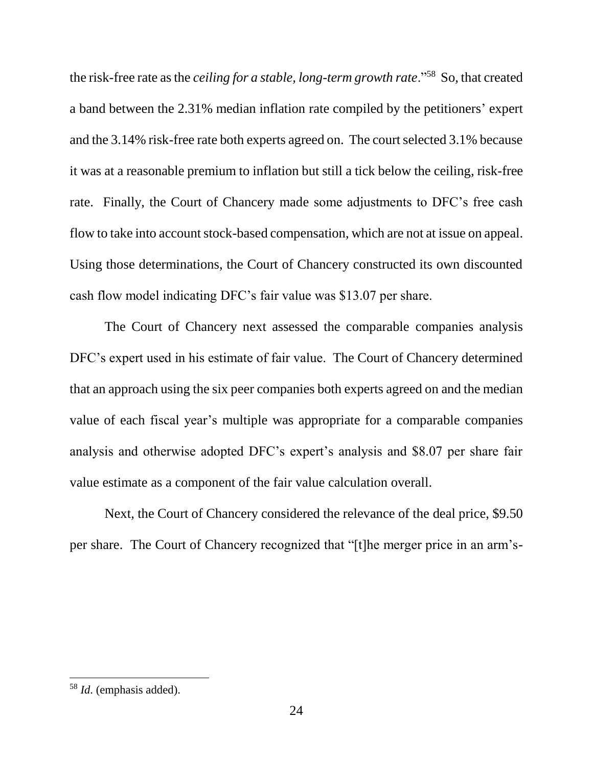the risk-free rate as the *ceiling for a stable, long-term growth rate*."<sup>58</sup> So, that created a band between the 2.31% median inflation rate compiled by the petitioners' expert and the 3.14% risk-free rate both experts agreed on. The court selected 3.1% because it was at a reasonable premium to inflation but still a tick below the ceiling, risk-free rate. Finally, the Court of Chancery made some adjustments to DFC's free cash flow to take into account stock-based compensation, which are not at issue on appeal. Using those determinations, the Court of Chancery constructed its own discounted cash flow model indicating DFC's fair value was \$13.07 per share.

The Court of Chancery next assessed the comparable companies analysis DFC's expert used in his estimate of fair value. The Court of Chancery determined that an approach using the six peer companies both experts agreed on and the median value of each fiscal year's multiple was appropriate for a comparable companies analysis and otherwise adopted DFC's expert's analysis and \$8.07 per share fair value estimate as a component of the fair value calculation overall.

Next, the Court of Chancery considered the relevance of the deal price, \$9.50 per share. The Court of Chancery recognized that "[t]he merger price in an arm's-

<sup>58</sup> *Id*. (emphasis added).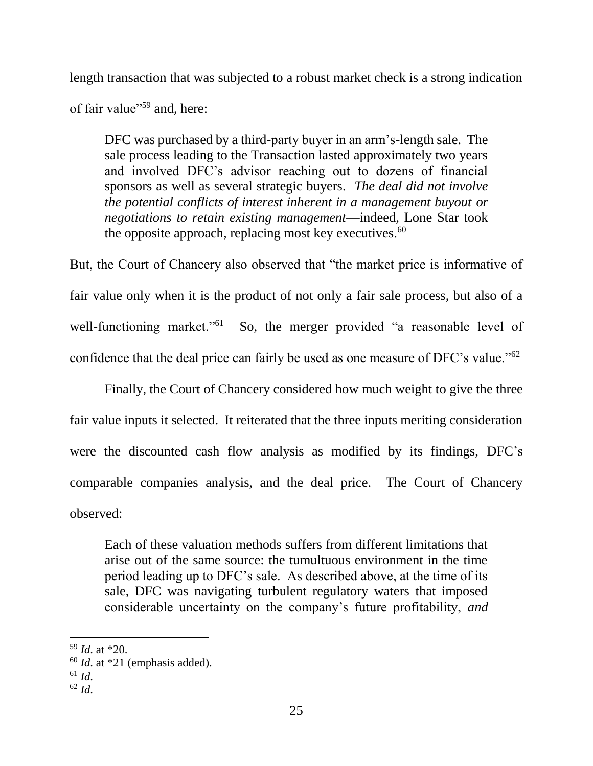length transaction that was subjected to a robust market check is a strong indication of fair value"<sup>59</sup> and, here:

DFC was purchased by a third-party buyer in an arm's-length sale. The sale process leading to the Transaction lasted approximately two years and involved DFC's advisor reaching out to dozens of financial sponsors as well as several strategic buyers. *The deal did not involve the potential conflicts of interest inherent in a management buyout or negotiations to retain existing management*—indeed, Lone Star took the opposite approach, replacing most key executives.<sup>60</sup>

But, the Court of Chancery also observed that "the market price is informative of fair value only when it is the product of not only a fair sale process, but also of a well-functioning market."<sup>61</sup> So, the merger provided "a reasonable level of confidence that the deal price can fairly be used as one measure of DFC's value."<sup>62</sup>

Finally, the Court of Chancery considered how much weight to give the three fair value inputs it selected. It reiterated that the three inputs meriting consideration were the discounted cash flow analysis as modified by its findings, DFC's comparable companies analysis, and the deal price. The Court of Chancery observed:

Each of these valuation methods suffers from different limitations that arise out of the same source: the tumultuous environment in the time period leading up to DFC's sale. As described above, at the time of its sale, DFC was navigating turbulent regulatory waters that imposed considerable uncertainty on the company's future profitability, *and* 

 $\overline{a}$ 

<sup>59</sup> *Id*. at \*20.

<sup>60</sup> *Id*. at \*21 (emphasis added).

 $61$  *Id.* 

 $62$  *Id.*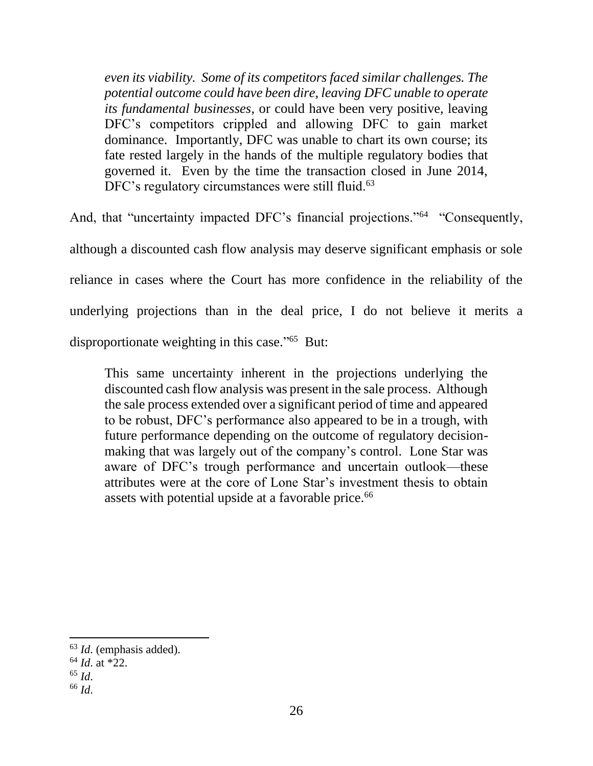*even its viability. Some of its competitors faced similar challenges. The potential outcome could have been dire, leaving DFC unable to operate its fundamental businesses*, or could have been very positive, leaving DFC's competitors crippled and allowing DFC to gain market dominance. Importantly, DFC was unable to chart its own course; its fate rested largely in the hands of the multiple regulatory bodies that governed it. Even by the time the transaction closed in June 2014, DFC's regulatory circumstances were still fluid.<sup>63</sup>

And, that "uncertainty impacted DFC's financial projections."<sup>64</sup> "Consequently, although a discounted cash flow analysis may deserve significant emphasis or sole reliance in cases where the Court has more confidence in the reliability of the underlying projections than in the deal price, I do not believe it merits a disproportionate weighting in this case."<sup>65</sup> But:

This same uncertainty inherent in the projections underlying the discounted cash flow analysis was present in the sale process. Although the sale process extended over a significant period of time and appeared to be robust, DFC's performance also appeared to be in a trough, with future performance depending on the outcome of regulatory decisionmaking that was largely out of the company's control. Lone Star was aware of DFC's trough performance and uncertain outlook—these attributes were at the core of Lone Star's investment thesis to obtain assets with potential upside at a favorable price.<sup>66</sup>

 $\overline{a}$ 

<sup>63</sup> *Id*. (emphasis added).

<sup>64</sup> *Id*. at \*22.

<sup>65</sup> *Id*.

<sup>66</sup> *Id*.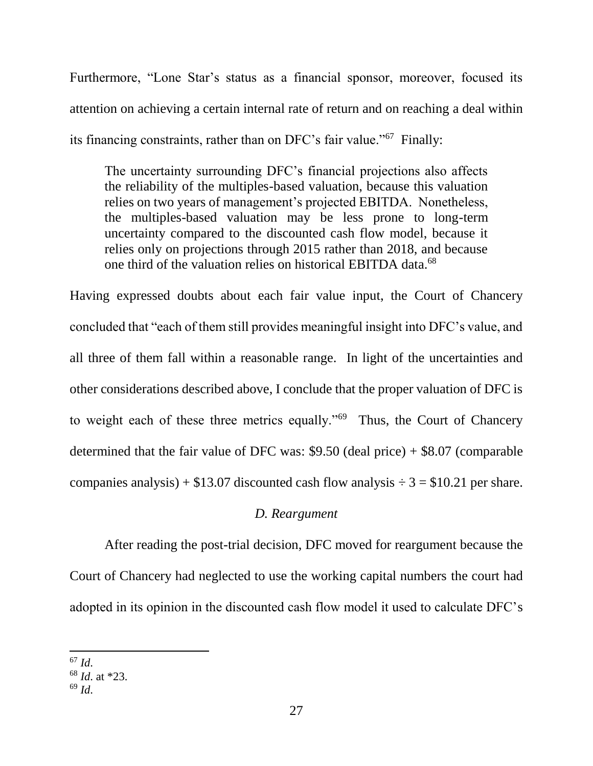Furthermore, "Lone Star's status as a financial sponsor, moreover, focused its attention on achieving a certain internal rate of return and on reaching a deal within its financing constraints, rather than on DFC's fair value."<sup>67</sup> Finally:

The uncertainty surrounding DFC's financial projections also affects the reliability of the multiples-based valuation, because this valuation relies on two years of management's projected EBITDA. Nonetheless, the multiples-based valuation may be less prone to long-term uncertainty compared to the discounted cash flow model, because it relies only on projections through 2015 rather than 2018, and because one third of the valuation relies on historical EBITDA data.<sup>68</sup>

Having expressed doubts about each fair value input, the Court of Chancery concluded that "each of them still provides meaningful insight into DFC's value, and all three of them fall within a reasonable range. In light of the uncertainties and other considerations described above, I conclude that the proper valuation of DFC is to weight each of these three metrics equally."<sup>69</sup> Thus, the Court of Chancery determined that the fair value of DFC was: \$9.50 (deal price) + \$8.07 (comparable companies analysis) +  $$13.07$  discounted cash flow analysis  $\div 3 = $10.21$  per share.

# *D. Reargument*

After reading the post-trial decision, DFC moved for reargument because the Court of Chancery had neglected to use the working capital numbers the court had adopted in its opinion in the discounted cash flow model it used to calculate DFC's

 $\overline{\phantom{a}}$ <sup>67</sup> *Id*.

<sup>68</sup> *Id*. at \*23.

<sup>69</sup> *Id*.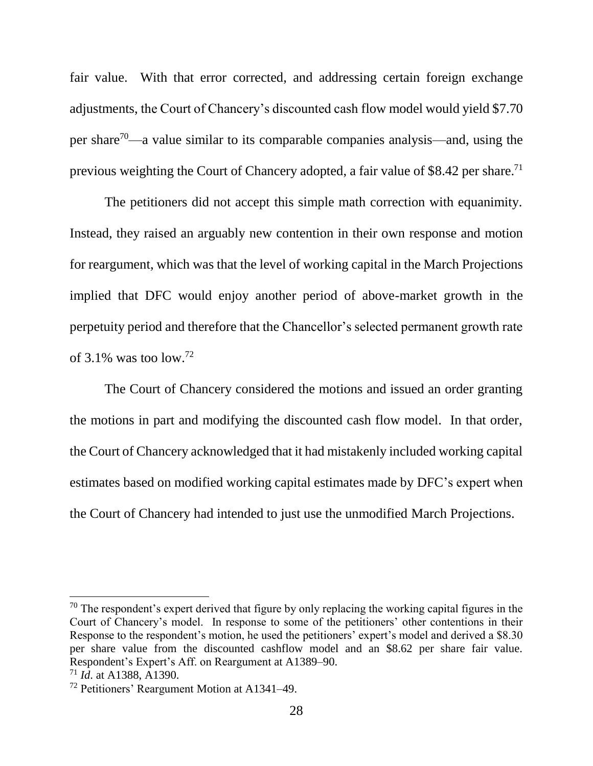fair value. With that error corrected, and addressing certain foreign exchange adjustments, the Court of Chancery's discounted cash flow model would yield \$7.70 per share<sup>70</sup>—a value similar to its comparable companies analysis—and, using the previous weighting the Court of Chancery adopted, a fair value of \$8.42 per share.<sup>71</sup>

The petitioners did not accept this simple math correction with equanimity. Instead, they raised an arguably new contention in their own response and motion for reargument, which was that the level of working capital in the March Projections implied that DFC would enjoy another period of above-market growth in the perpetuity period and therefore that the Chancellor's selected permanent growth rate of 3.1% was too low.<sup>72</sup>

The Court of Chancery considered the motions and issued an order granting the motions in part and modifying the discounted cash flow model. In that order, the Court of Chancery acknowledged that it had mistakenly included working capital estimates based on modified working capital estimates made by DFC's expert when the Court of Chancery had intended to just use the unmodified March Projections.

 $70$  The respondent's expert derived that figure by only replacing the working capital figures in the Court of Chancery's model. In response to some of the petitioners' other contentions in their Response to the respondent's motion, he used the petitioners' expert's model and derived a \$8.30 per share value from the discounted cashflow model and an \$8.62 per share fair value. Respondent's Expert's Aff. on Reargument at A1389–90.

<sup>71</sup> *Id*. at A1388, A1390.

<sup>72</sup> Petitioners' Reargument Motion at A1341–49.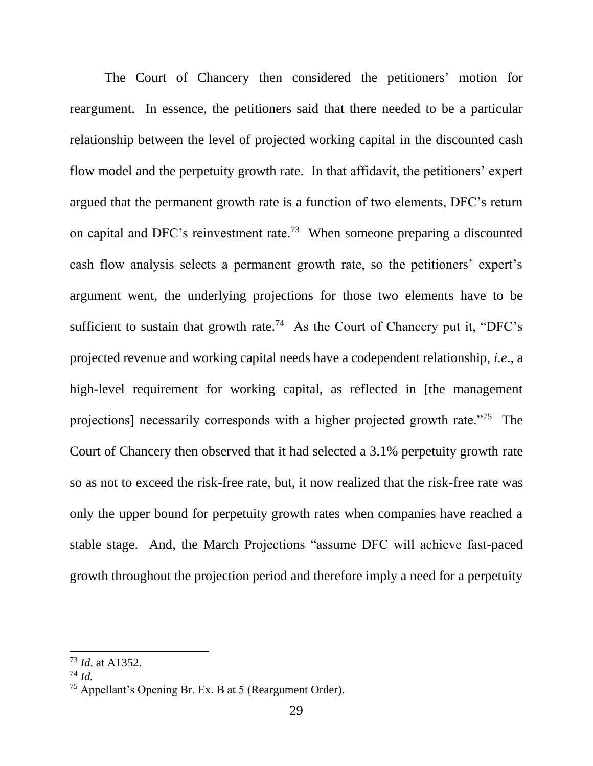The Court of Chancery then considered the petitioners' motion for reargument. In essence, the petitioners said that there needed to be a particular relationship between the level of projected working capital in the discounted cash flow model and the perpetuity growth rate. In that affidavit, the petitioners' expert argued that the permanent growth rate is a function of two elements, DFC's return on capital and DFC's reinvestment rate.<sup>73</sup> When someone preparing a discounted cash flow analysis selects a permanent growth rate, so the petitioners' expert's argument went, the underlying projections for those two elements have to be sufficient to sustain that growth rate.<sup>74</sup> As the Court of Chancery put it, "DFC's projected revenue and working capital needs have a codependent relationship, *i.e*., a high-level requirement for working capital, as reflected in [the management] projections] necessarily corresponds with a higher projected growth rate."<sup>75</sup> The Court of Chancery then observed that it had selected a 3.1% perpetuity growth rate so as not to exceed the risk-free rate, but, it now realized that the risk-free rate was only the upper bound for perpetuity growth rates when companies have reached a stable stage. And, the March Projections "assume DFC will achieve fast-paced growth throughout the projection period and therefore imply a need for a perpetuity

<sup>73</sup> *Id*. at A1352.

<sup>74</sup> *Id.*

<sup>75</sup> Appellant's Opening Br. Ex. B at 5 (Reargument Order).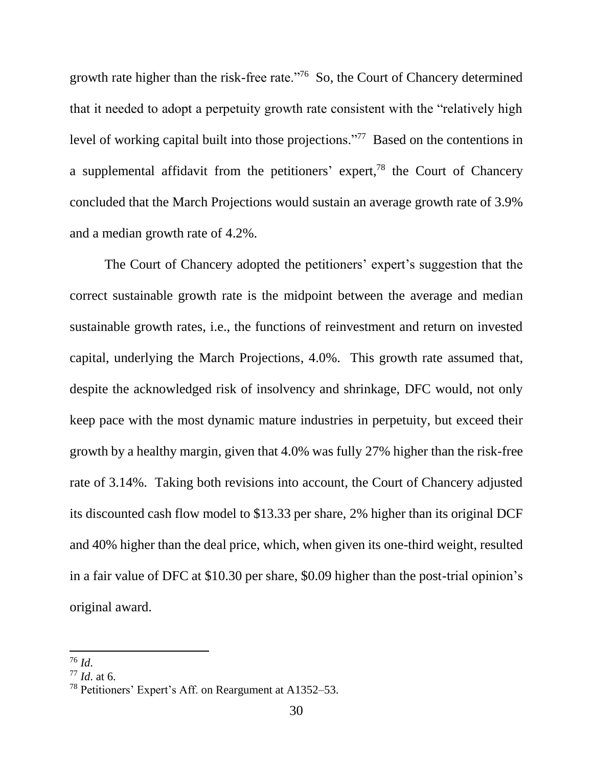growth rate higher than the risk-free rate."<sup>76</sup> So, the Court of Chancery determined that it needed to adopt a perpetuity growth rate consistent with the "relatively high level of working capital built into those projections."<sup>77</sup> Based on the contentions in a supplemental affidavit from the petitioners' expert, $78$  the Court of Chancery concluded that the March Projections would sustain an average growth rate of 3.9% and a median growth rate of 4.2%.

The Court of Chancery adopted the petitioners' expert's suggestion that the correct sustainable growth rate is the midpoint between the average and median sustainable growth rates, i.e., the functions of reinvestment and return on invested capital, underlying the March Projections, 4.0%. This growth rate assumed that, despite the acknowledged risk of insolvency and shrinkage, DFC would, not only keep pace with the most dynamic mature industries in perpetuity, but exceed their growth by a healthy margin, given that 4.0% was fully 27% higher than the risk-free rate of 3.14%. Taking both revisions into account, the Court of Chancery adjusted its discounted cash flow model to \$13.33 per share, 2% higher than its original DCF and 40% higher than the deal price, which, when given its one-third weight, resulted in a fair value of DFC at \$10.30 per share, \$0.09 higher than the post-trial opinion's original award.

<sup>76</sup> *Id*.

<sup>77</sup> *Id*. at 6.

<sup>78</sup> Petitioners' Expert's Aff. on Reargument at A1352–53.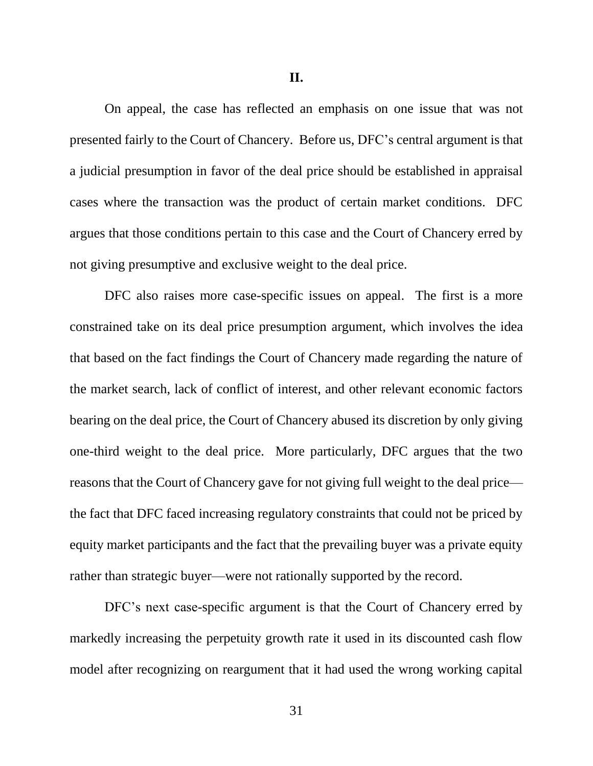On appeal, the case has reflected an emphasis on one issue that was not presented fairly to the Court of Chancery. Before us, DFC's central argument is that a judicial presumption in favor of the deal price should be established in appraisal cases where the transaction was the product of certain market conditions. DFC argues that those conditions pertain to this case and the Court of Chancery erred by not giving presumptive and exclusive weight to the deal price.

DFC also raises more case-specific issues on appeal. The first is a more constrained take on its deal price presumption argument, which involves the idea that based on the fact findings the Court of Chancery made regarding the nature of the market search, lack of conflict of interest, and other relevant economic factors bearing on the deal price, the Court of Chancery abused its discretion by only giving one-third weight to the deal price. More particularly, DFC argues that the two reasons that the Court of Chancery gave for not giving full weight to the deal price the fact that DFC faced increasing regulatory constraints that could not be priced by equity market participants and the fact that the prevailing buyer was a private equity rather than strategic buyer—were not rationally supported by the record.

DFC's next case-specific argument is that the Court of Chancery erred by markedly increasing the perpetuity growth rate it used in its discounted cash flow model after recognizing on reargument that it had used the wrong working capital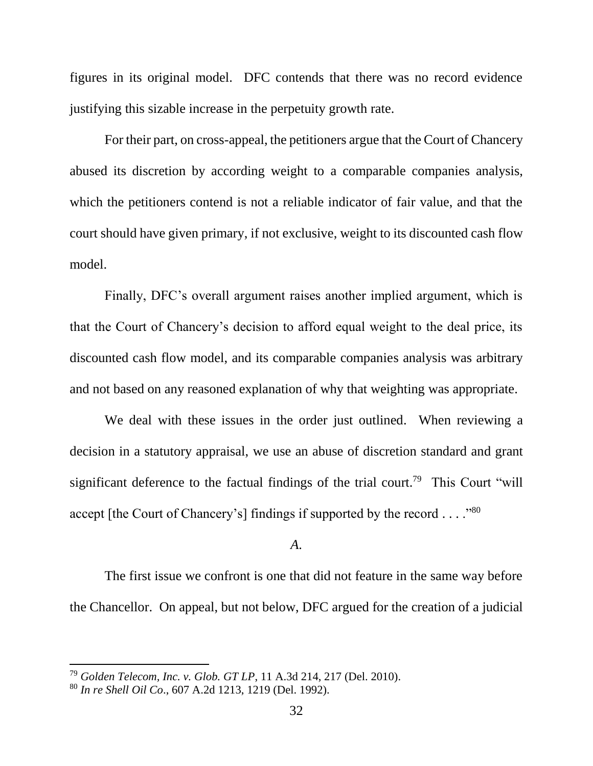figures in its original model. DFC contends that there was no record evidence justifying this sizable increase in the perpetuity growth rate.

For their part, on cross-appeal, the petitioners argue that the Court of Chancery abused its discretion by according weight to a comparable companies analysis, which the petitioners contend is not a reliable indicator of fair value, and that the court should have given primary, if not exclusive, weight to its discounted cash flow model.

Finally, DFC's overall argument raises another implied argument, which is that the Court of Chancery's decision to afford equal weight to the deal price, its discounted cash flow model, and its comparable companies analysis was arbitrary and not based on any reasoned explanation of why that weighting was appropriate.

We deal with these issues in the order just outlined. When reviewing a decision in a statutory appraisal, we use an abuse of discretion standard and grant significant deference to the factual findings of the trial court.<sup>79</sup> This Court "will accept [the Court of Chancery's] findings if supported by the record . . . . "80

### *A*.

The first issue we confront is one that did not feature in the same way before the Chancellor. On appeal, but not below, DFC argued for the creation of a judicial

<sup>79</sup> *Golden Telecom, Inc. v. Glob. GT LP*, 11 A.3d 214, 217 (Del. 2010).

<sup>80</sup> *In re Shell Oil Co*., 607 A.2d 1213, 1219 (Del. 1992).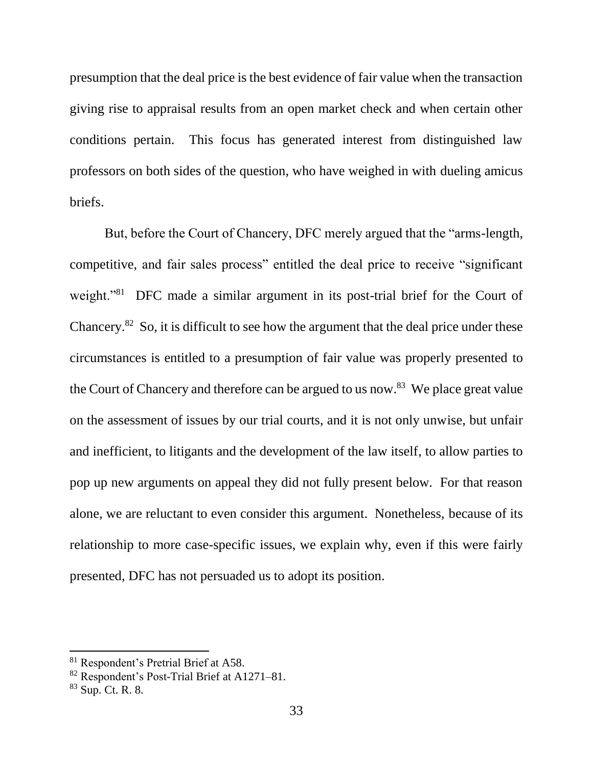presumption that the deal price is the best evidence of fair value when the transaction giving rise to appraisal results from an open market check and when certain other conditions pertain. This focus has generated interest from distinguished law professors on both sides of the question, who have weighed in with dueling amicus briefs.

But, before the Court of Chancery, DFC merely argued that the "arms-length, competitive, and fair sales process" entitled the deal price to receive "significant weight."<sup>81</sup> DFC made a similar argument in its post-trial brief for the Court of Chancery.<sup>82</sup> So, it is difficult to see how the argument that the deal price under these circumstances is entitled to a presumption of fair value was properly presented to the Court of Chancery and therefore can be argued to us now.<sup>83</sup> We place great value on the assessment of issues by our trial courts, and it is not only unwise, but unfair and inefficient, to litigants and the development of the law itself, to allow parties to pop up new arguments on appeal they did not fully present below. For that reason alone, we are reluctant to even consider this argument. Nonetheless, because of its relationship to more case-specific issues, we explain why, even if this were fairly presented, DFC has not persuaded us to adopt its position.

<sup>81</sup> Respondent's Pretrial Brief at A58.

<sup>82</sup> Respondent's Post-Trial Brief at A1271–81.

<sup>83</sup> Sup. Ct. R. 8.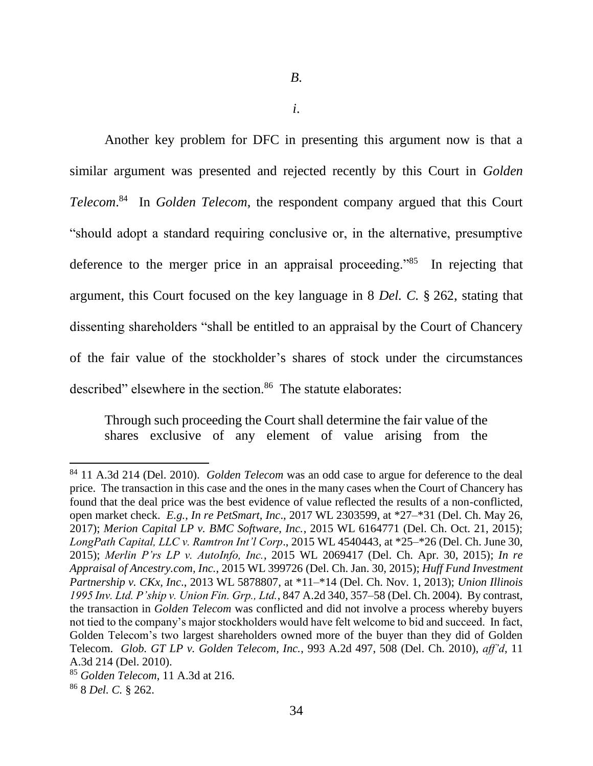*i*.

Another key problem for DFC in presenting this argument now is that a similar argument was presented and rejected recently by this Court in *Golden Telecom*. <sup>84</sup> In *Golden Telecom*, the respondent company argued that this Court "should adopt a standard requiring conclusive or, in the alternative, presumptive deference to the merger price in an appraisal proceeding."<sup>85</sup> In rejecting that argument, this Court focused on the key language in 8 *Del. C.* § 262, stating that dissenting shareholders "shall be entitled to an appraisal by the Court of Chancery of the fair value of the stockholder's shares of stock under the circumstances described" elsewhere in the section.<sup>86</sup> The statute elaborates:

Through such proceeding the Court shall determine the fair value of the shares exclusive of any element of value arising from the

<sup>84</sup> 11 A.3d 214 (Del. 2010). *Golden Telecom* was an odd case to argue for deference to the deal price. The transaction in this case and the ones in the many cases when the Court of Chancery has found that the deal price was the best evidence of value reflected the results of a non-conflicted, open market check. *E.g.*, *In re PetSmart, Inc*., 2017 WL 2303599, at \*27–\*31 (Del. Ch. May 26, 2017); *Merion Capital LP v. BMC Software, Inc.*, 2015 WL 6164771 (Del. Ch. Oct. 21, 2015); *LongPath Capital, LLC v. Ramtron Int'l Corp*., 2015 WL 4540443, at \*25–\*26 (Del. Ch. June 30, 2015); *Merlin P'rs LP v. AutoInfo, Inc.*, 2015 WL 2069417 (Del. Ch. Apr. 30, 2015); *In re Appraisal of Ancestry.com, Inc.*, 2015 WL 399726 (Del. Ch. Jan. 30, 2015); *Huff Fund Investment Partnership v. CKx, Inc*., 2013 WL 5878807, at \*11–\*14 (Del. Ch. Nov. 1, 2013); *Union Illinois 1995 Inv. Ltd. P'ship v. Union Fin. Grp., Ltd.*, 847 A.2d 340, 357–58 (Del. Ch. 2004). By contrast, the transaction in *Golden Telecom* was conflicted and did not involve a process whereby buyers not tied to the company's major stockholders would have felt welcome to bid and succeed. In fact, Golden Telecom's two largest shareholders owned more of the buyer than they did of Golden Telecom. *Glob. GT LP v. Golden Telecom, Inc.*, 993 A.2d 497, 508 (Del. Ch. 2010), *aff'd*, 11 A.3d 214 (Del. 2010).

<sup>85</sup> *Golden Telecom*, 11 A.3d at 216.

<sup>86</sup> 8 *Del. C.* § 262.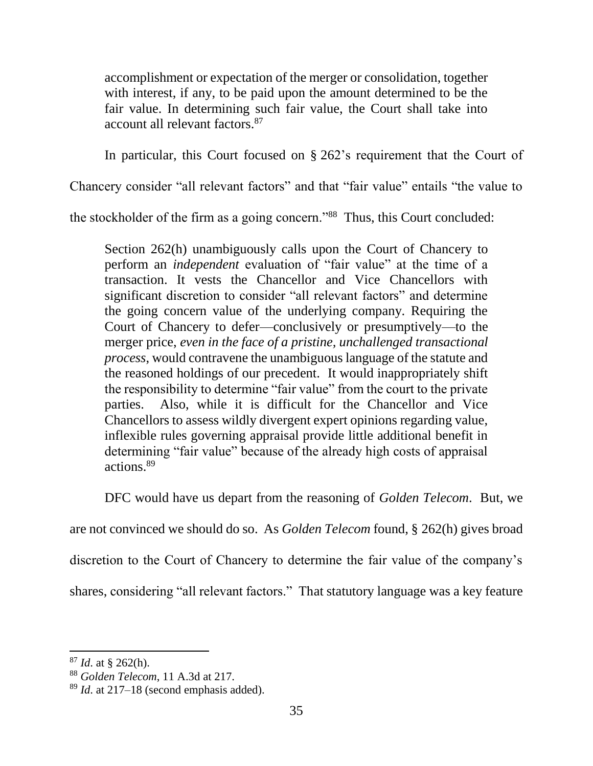accomplishment or expectation of the merger or consolidation, together with interest, if any, to be paid upon the amount determined to be the fair value. In determining such fair value, the Court shall take into account all relevant factors.<sup>87</sup>

In particular, this Court focused on § 262's requirement that the Court of

Chancery consider "all relevant factors" and that "fair value" entails "the value to

the stockholder of the firm as a going concern."<sup>88</sup> Thus, this Court concluded:

Section 262(h) unambiguously calls upon the Court of Chancery to perform an *independent* evaluation of "fair value" at the time of a transaction. It vests the Chancellor and Vice Chancellors with significant discretion to consider "all relevant factors" and determine the going concern value of the underlying company. Requiring the Court of Chancery to defer—conclusively or presumptively—to the merger price, *even in the face of a pristine, unchallenged transactional process*, would contravene the unambiguous language of the statute and the reasoned holdings of our precedent. It would inappropriately shift the responsibility to determine "fair value" from the court to the private parties. Also, while it is difficult for the Chancellor and Vice Chancellors to assess wildly divergent expert opinions regarding value, inflexible rules governing appraisal provide little additional benefit in determining "fair value" because of the already high costs of appraisal actions.<sup>89</sup>

DFC would have us depart from the reasoning of *Golden Telecom*. But, we

are not convinced we should do so. As *Golden Telecom* found, § 262(h) gives broad

discretion to the Court of Chancery to determine the fair value of the company's

shares, considering "all relevant factors." That statutory language was a key feature

<sup>87</sup> *Id*. at § 262(h).

<sup>88</sup> *Golden Telecom*, 11 A.3d at 217.

<sup>89</sup> *Id*. at 217–18 (second emphasis added).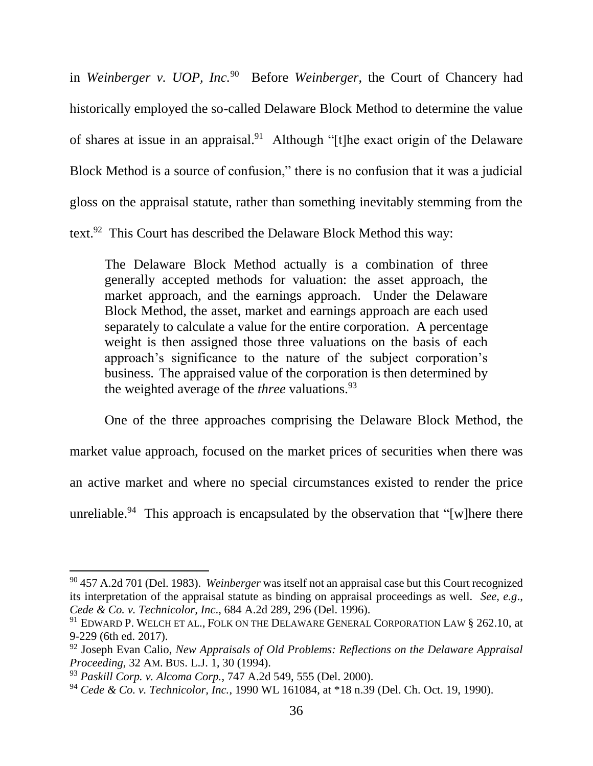in *Weinberger v. UOP, Inc.*<sup>90</sup> Before *Weinberger*, the Court of Chancery had historically employed the so-called Delaware Block Method to determine the value of shares at issue in an appraisal.<sup>91</sup> Although "[t]he exact origin of the Delaware Block Method is a source of confusion," there is no confusion that it was a judicial gloss on the appraisal statute, rather than something inevitably stemming from the text.<sup>92</sup> This Court has described the Delaware Block Method this way:

The Delaware Block Method actually is a combination of three generally accepted methods for valuation: the asset approach, the market approach, and the earnings approach. Under the Delaware Block Method, the asset, market and earnings approach are each used separately to calculate a value for the entire corporation. A percentage weight is then assigned those three valuations on the basis of each approach's significance to the nature of the subject corporation's business. The appraised value of the corporation is then determined by the weighted average of the *three* valuations.<sup>93</sup>

One of the three approaches comprising the Delaware Block Method, the market value approach, focused on the market prices of securities when there was an active market and where no special circumstances existed to render the price unreliable.<sup>94</sup> This approach is encapsulated by the observation that "[w]here there

<sup>90</sup> 457 A.2d 701 (Del. 1983). *Weinberger* was itself not an appraisal case but this Court recognized its interpretation of the appraisal statute as binding on appraisal proceedings as well. *See, e.g*., *Cede & Co. v. Technicolor, Inc*., 684 A.2d 289, 296 (Del. 1996).

<sup>&</sup>lt;sup>91</sup> EDWARD P. WELCH ET AL., FOLK ON THE DELAWARE GENERAL CORPORATION LAW § 262.10, at 9-229 (6th ed. 2017).

<sup>92</sup> Joseph Evan Calio, *New Appraisals of Old Problems: Reflections on the Delaware Appraisal Proceeding*, 32 AM. BUS. L.J. 1, 30 (1994).

<sup>93</sup> *Paskill Corp. v. Alcoma Corp.*, 747 A.2d 549, 555 (Del. 2000).

<sup>94</sup> *Cede & Co. v. Technicolor, Inc.*, 1990 WL 161084, at \*18 n.39 (Del. Ch. Oct. 19, 1990).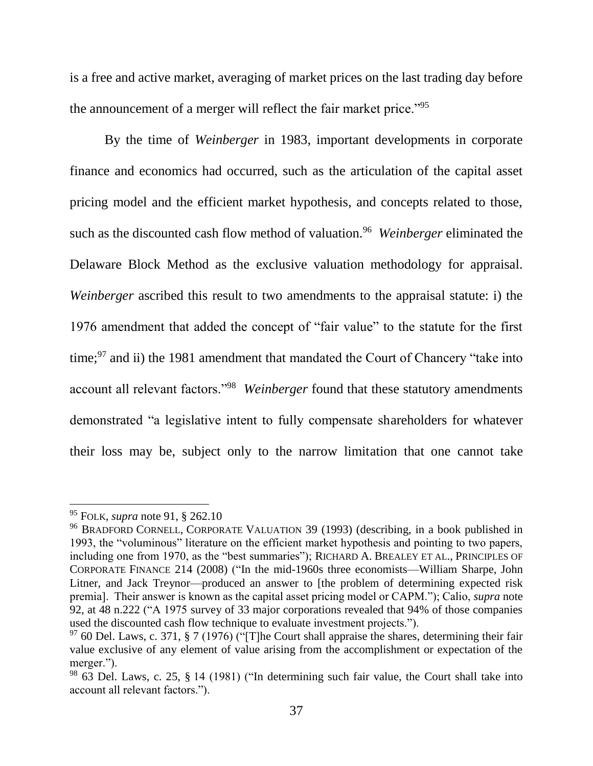is a free and active market, averaging of market prices on the last trading day before the announcement of a merger will reflect the fair market price."<sup>95</sup>

By the time of *Weinberger* in 1983, important developments in corporate finance and economics had occurred, such as the articulation of the capital asset pricing model and the efficient market hypothesis, and concepts related to those, such as the discounted cash flow method of valuation.<sup>96</sup> Weinberger eliminated the Delaware Block Method as the exclusive valuation methodology for appraisal. *Weinberger* ascribed this result to two amendments to the appraisal statute: i) the 1976 amendment that added the concept of "fair value" to the statute for the first time; $97$  and ii) the 1981 amendment that mandated the Court of Chancery "take into account all relevant factors."<sup>98</sup> *Weinberger* found that these statutory amendments demonstrated "a legislative intent to fully compensate shareholders for whatever their loss may be, subject only to the narrow limitation that one cannot take

<sup>95</sup> FOLK, *supra* note 91, § 262.10

<sup>96</sup> BRADFORD CORNELL, CORPORATE VALUATION 39 (1993) (describing, in a book published in 1993, the "voluminous" literature on the efficient market hypothesis and pointing to two papers, including one from 1970, as the "best summaries"); RICHARD A. BREALEY ET AL., PRINCIPLES OF CORPORATE FINANCE 214 (2008) ("In the mid-1960s three economists—William Sharpe, John Litner, and Jack Treynor—produced an answer to [the problem of determining expected risk premia]. Their answer is known as the capital asset pricing model or CAPM."); Calio, *supra* note 92, at 48 n.222 ("A 1975 survey of 33 major corporations revealed that 94% of those companies used the discounted cash flow technique to evaluate investment projects.").

 $97$  60 Del. Laws, c. 371, § 7 (1976) ("The Court shall appraise the shares, determining their fair value exclusive of any element of value arising from the accomplishment or expectation of the merger.").

 $98$  63 Del. Laws, c. 25, § 14 (1981) ("In determining such fair value, the Court shall take into account all relevant factors.").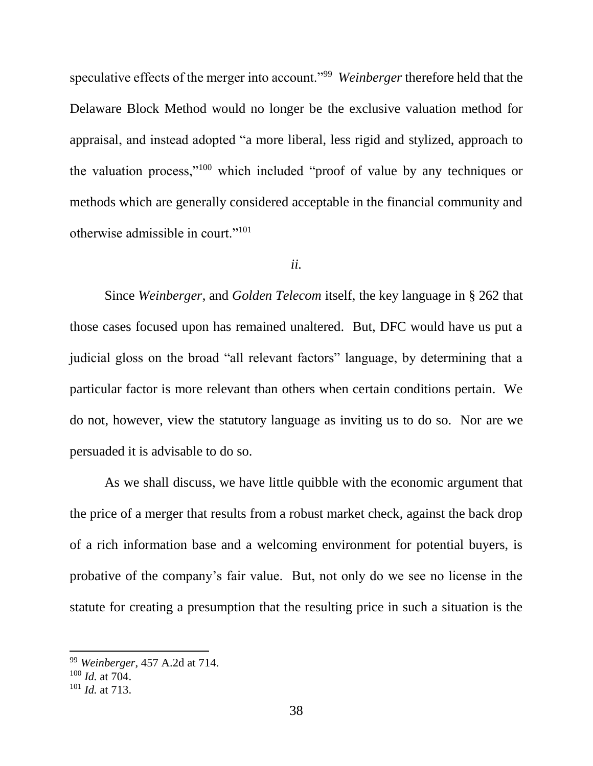speculative effects of the merger into account."<sup>99</sup> Weinberger therefore held that the Delaware Block Method would no longer be the exclusive valuation method for appraisal, and instead adopted "a more liberal, less rigid and stylized, approach to the valuation process,"<sup>100</sup> which included "proof of value by any techniques or methods which are generally considered acceptable in the financial community and otherwise admissible in court."<sup>101</sup>

#### *ii.*

Since *Weinberger*, and *Golden Telecom* itself, the key language in § 262 that those cases focused upon has remained unaltered. But, DFC would have us put a judicial gloss on the broad "all relevant factors" language, by determining that a particular factor is more relevant than others when certain conditions pertain. We do not, however, view the statutory language as inviting us to do so. Nor are we persuaded it is advisable to do so.

As we shall discuss, we have little quibble with the economic argument that the price of a merger that results from a robust market check, against the back drop of a rich information base and a welcoming environment for potential buyers, is probative of the company's fair value. But, not only do we see no license in the statute for creating a presumption that the resulting price in such a situation is the

<sup>99</sup> *Weinberger*, 457 A.2d at 714.

<sup>100</sup> *Id.* at 704.

<sup>101</sup> *Id.* at 713.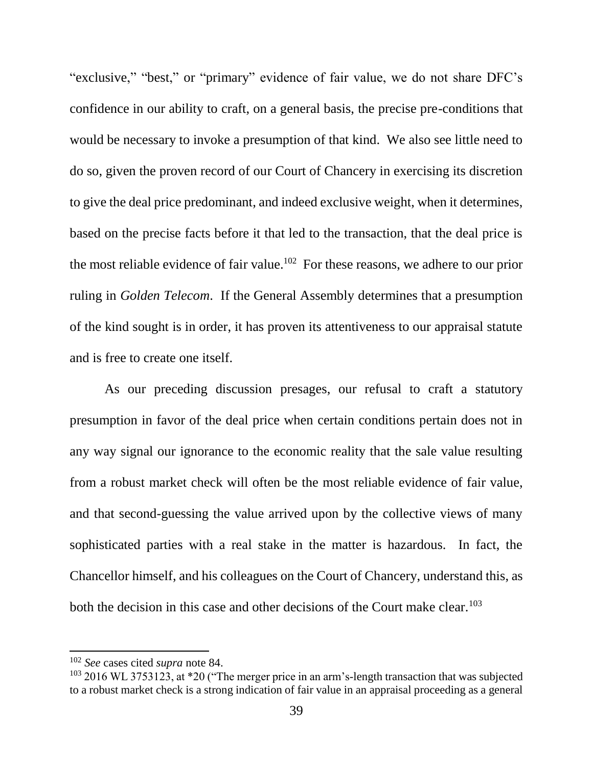"exclusive," "best," or "primary" evidence of fair value, we do not share DFC's confidence in our ability to craft, on a general basis, the precise pre-conditions that would be necessary to invoke a presumption of that kind. We also see little need to do so, given the proven record of our Court of Chancery in exercising its discretion to give the deal price predominant, and indeed exclusive weight, when it determines, based on the precise facts before it that led to the transaction, that the deal price is the most reliable evidence of fair value.<sup>102</sup> For these reasons, we adhere to our prior ruling in *Golden Telecom*. If the General Assembly determines that a presumption of the kind sought is in order, it has proven its attentiveness to our appraisal statute and is free to create one itself.

As our preceding discussion presages, our refusal to craft a statutory presumption in favor of the deal price when certain conditions pertain does not in any way signal our ignorance to the economic reality that the sale value resulting from a robust market check will often be the most reliable evidence of fair value, and that second-guessing the value arrived upon by the collective views of many sophisticated parties with a real stake in the matter is hazardous. In fact, the Chancellor himself, and his colleagues on the Court of Chancery, understand this, as both the decision in this case and other decisions of the Court make clear.<sup>103</sup>

<sup>102</sup> *See* cases cited *supra* note 84.

 $103$  2016 WL 3753123, at \*20 ("The merger price in an arm's-length transaction that was subjected to a robust market check is a strong indication of fair value in an appraisal proceeding as a general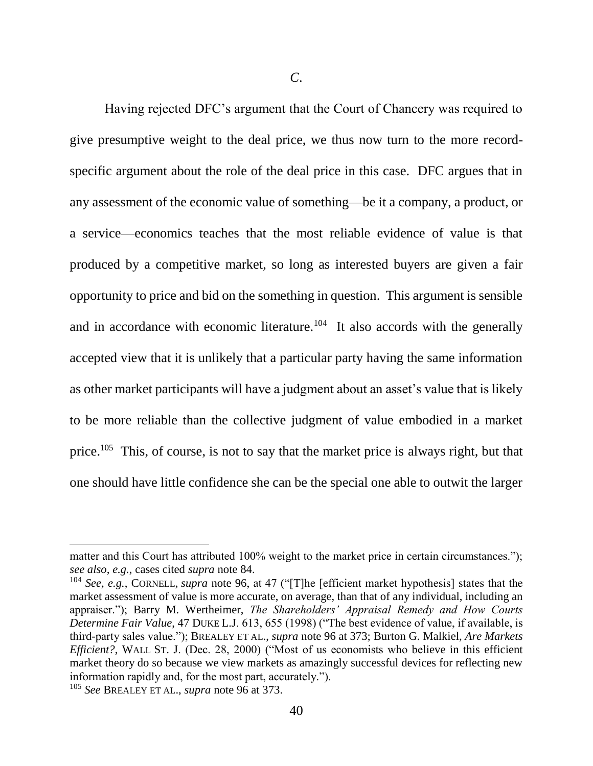*C*.

Having rejected DFC's argument that the Court of Chancery was required to give presumptive weight to the deal price, we thus now turn to the more recordspecific argument about the role of the deal price in this case. DFC argues that in any assessment of the economic value of something—be it a company, a product, or a service—economics teaches that the most reliable evidence of value is that produced by a competitive market, so long as interested buyers are given a fair opportunity to price and bid on the something in question. This argument is sensible and in accordance with economic literature.<sup>104</sup> It also accords with the generally accepted view that it is unlikely that a particular party having the same information as other market participants will have a judgment about an asset's value that is likely to be more reliable than the collective judgment of value embodied in a market price.<sup>105</sup> This, of course, is not to say that the market price is always right, but that one should have little confidence she can be the special one able to outwit the larger

l

matter and this Court has attributed 100% weight to the market price in certain circumstances."); *see also, e.g.*, cases cited *supra* note 84.

<sup>104</sup> *See, e.g.*, CORNELL, *supra* note 96, at 47 ("[T]he [efficient market hypothesis] states that the market assessment of value is more accurate, on average, than that of any individual, including an appraiser."); Barry M. Wertheimer, *The Shareholders' Appraisal Remedy and How Courts Determine Fair Value*, 47 DUKE L.J. 613, 655 (1998) ("The best evidence of value, if available, is third-party sales value."); BREALEY ET AL., *supra* note 96 at 373; Burton G. Malkiel, *Are Markets Efficient?*, WALL ST. J. (Dec. 28, 2000) ("Most of us economists who believe in this efficient market theory do so because we view markets as amazingly successful devices for reflecting new information rapidly and, for the most part, accurately.").

<sup>105</sup> *See* BREALEY ET AL., *supra* note 96 at 373.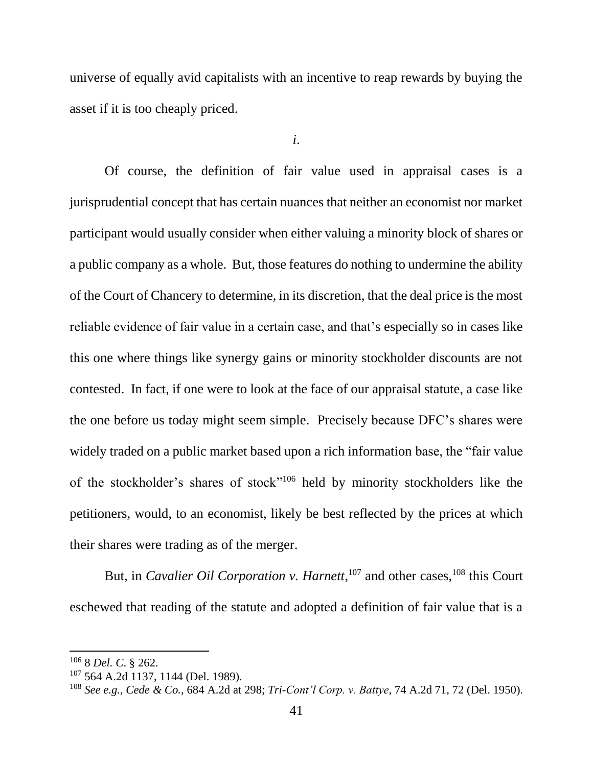universe of equally avid capitalists with an incentive to reap rewards by buying the asset if it is too cheaply priced.

*i*.

Of course, the definition of fair value used in appraisal cases is a jurisprudential concept that has certain nuances that neither an economist nor market participant would usually consider when either valuing a minority block of shares or a public company as a whole. But, those features do nothing to undermine the ability of the Court of Chancery to determine, in its discretion, that the deal price is the most reliable evidence of fair value in a certain case, and that's especially so in cases like this one where things like synergy gains or minority stockholder discounts are not contested. In fact, if one were to look at the face of our appraisal statute, a case like the one before us today might seem simple. Precisely because DFC's shares were widely traded on a public market based upon a rich information base, the "fair value of the stockholder's shares of stock" <sup>106</sup> held by minority stockholders like the petitioners, would, to an economist, likely be best reflected by the prices at which their shares were trading as of the merger.

But, in *Cavalier Oil Corporation v. Harnett*,<sup>107</sup> and other cases,<sup>108</sup> this Court eschewed that reading of the statute and adopted a definition of fair value that is a

<sup>106</sup> 8 *Del. C*. § 262.

<sup>107</sup> 564 A.2d 1137, 1144 (Del. 1989).

<sup>108</sup> *See e.g.*, *Cede & Co.*, 684 A.2d at 298; *Tri-Cont'l Corp. v. Battye*, 74 A.2d 71, 72 (Del. 1950).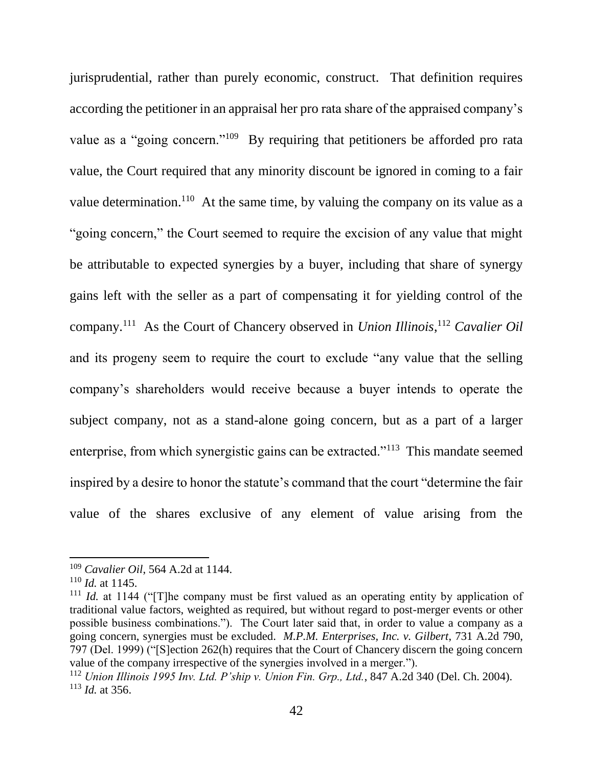jurisprudential, rather than purely economic, construct. That definition requires according the petitioner in an appraisal her pro rata share of the appraised company's value as a "going concern."<sup>109</sup> By requiring that petitioners be afforded pro rata value, the Court required that any minority discount be ignored in coming to a fair value determination.<sup>110</sup> At the same time, by valuing the company on its value as a "going concern," the Court seemed to require the excision of any value that might be attributable to expected synergies by a buyer, including that share of synergy gains left with the seller as a part of compensating it for yielding control of the company.<sup>111</sup> As the Court of Chancery observed in *Union Illinois*, <sup>112</sup> *Cavalier Oil* and its progeny seem to require the court to exclude "any value that the selling company's shareholders would receive because a buyer intends to operate the subject company, not as a stand-alone going concern, but as a part of a larger enterprise, from which synergistic gains can be extracted."<sup>113</sup> This mandate seemed inspired by a desire to honor the statute's command that the court "determine the fair value of the shares exclusive of any element of value arising from the

<sup>109</sup> *Cavalier Oil*, 564 A.2d at 1144.

 $110$  *Id.* at 1145.

<sup>111</sup> *Id.* at 1144 ("[T]he company must be first valued as an operating entity by application of traditional value factors, weighted as required, but without regard to post-merger events or other possible business combinations."). The Court later said that, in order to value a company as a going concern, synergies must be excluded. *M.P.M. Enterprises, Inc. v. Gilbert*, 731 A.2d 790, 797 (Del. 1999) ("[S]ection 262(h) requires that the Court of Chancery discern the going concern value of the company irrespective of the synergies involved in a merger.").

<sup>112</sup> *Union Illinois 1995 Inv. Ltd. P'ship v. Union Fin. Grp., Ltd.*, 847 A.2d 340 (Del. Ch. 2004). <sup>113</sup> *Id.* at 356.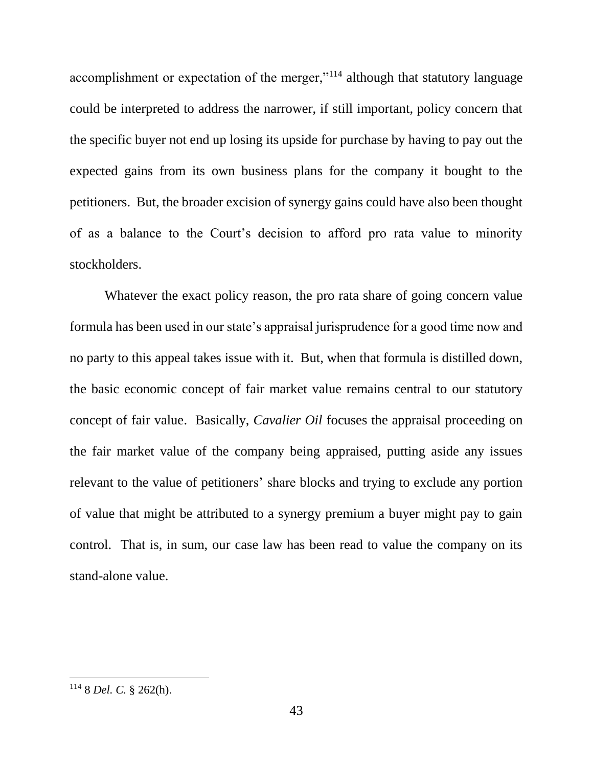accomplishment or expectation of the merger,"<sup>114</sup> although that statutory language could be interpreted to address the narrower, if still important, policy concern that the specific buyer not end up losing its upside for purchase by having to pay out the expected gains from its own business plans for the company it bought to the petitioners. But, the broader excision of synergy gains could have also been thought of as a balance to the Court's decision to afford pro rata value to minority stockholders.

Whatever the exact policy reason, the pro rata share of going concern value formula has been used in our state's appraisal jurisprudence for a good time now and no party to this appeal takes issue with it. But, when that formula is distilled down, the basic economic concept of fair market value remains central to our statutory concept of fair value. Basically, *Cavalier Oil* focuses the appraisal proceeding on the fair market value of the company being appraised, putting aside any issues relevant to the value of petitioners' share blocks and trying to exclude any portion of value that might be attributed to a synergy premium a buyer might pay to gain control. That is, in sum, our case law has been read to value the company on its stand-alone value.

<sup>114</sup> 8 *Del. C.* § 262(h).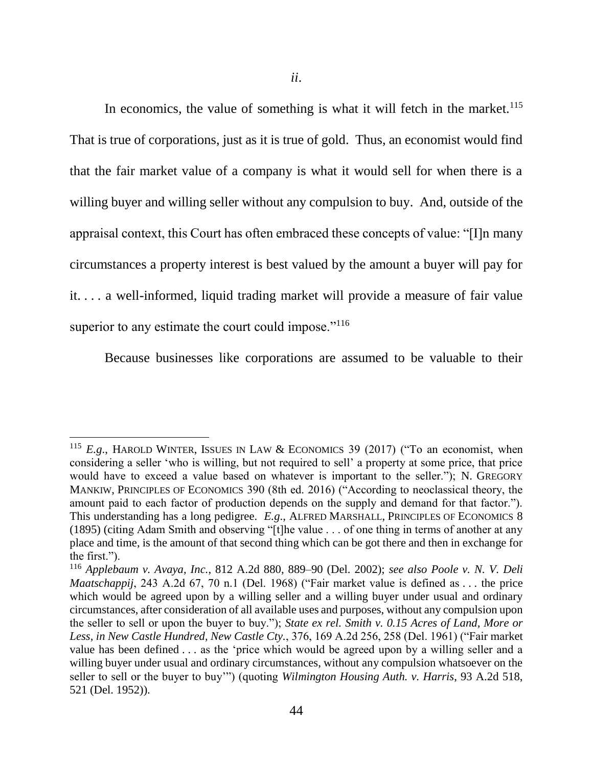In economics, the value of something is what it will fetch in the market.<sup>115</sup> That is true of corporations, just as it is true of gold. Thus, an economist would find that the fair market value of a company is what it would sell for when there is a willing buyer and willing seller without any compulsion to buy. And, outside of the appraisal context, this Court has often embraced these concepts of value: "[I]n many circumstances a property interest is best valued by the amount a buyer will pay for it. . . . a well-informed, liquid trading market will provide a measure of fair value superior to any estimate the court could impose."<sup>116</sup>

Because businesses like corporations are assumed to be valuable to their

<sup>115</sup> *E.g*., HAROLD WINTER, ISSUES IN LAW & ECONOMICS 39 (2017) ("To an economist, when considering a seller 'who is willing, but not required to sell' a property at some price, that price would have to exceed a value based on whatever is important to the seller."); N. GREGORY MANKIW, PRINCIPLES OF ECONOMICS 390 (8th ed. 2016) ("According to neoclassical theory, the amount paid to each factor of production depends on the supply and demand for that factor."). This understanding has a long pedigree. *E.g*., ALFRED MARSHALL, PRINCIPLES OF ECONOMICS 8 (1895) (citing Adam Smith and observing "[t]he value . . . of one thing in terms of another at any place and time, is the amount of that second thing which can be got there and then in exchange for the first.").

<sup>116</sup> *Applebaum v. Avaya, Inc.*, 812 A.2d 880, 889–90 (Del. 2002); *see also Poole v. N. V. Deli Maatschappij*, 243 A.2d 67, 70 n.1 (Del. 1968) ("Fair market value is defined as . . . the price which would be agreed upon by a willing seller and a willing buyer under usual and ordinary circumstances, after consideration of all available uses and purposes, without any compulsion upon the seller to sell or upon the buyer to buy."); *State ex rel. Smith v. 0.15 Acres of Land, More or Less, in New Castle Hundred, New Castle Cty.*, 376, 169 A.2d 256, 258 (Del. 1961) ("Fair market value has been defined . . . as the 'price which would be agreed upon by a willing seller and a willing buyer under usual and ordinary circumstances, without any compulsion whatsoever on the seller to sell or the buyer to buy'") (quoting *Wilmington Housing Auth. v. Harris*, 93 A.2d 518, 521 (Del. 1952)).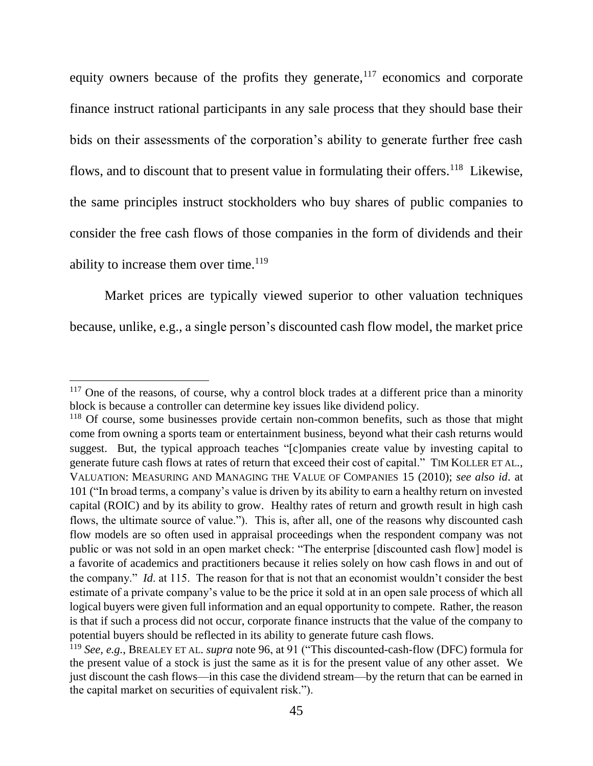equity owners because of the profits they generate,  $117$  economics and corporate finance instruct rational participants in any sale process that they should base their bids on their assessments of the corporation's ability to generate further free cash flows, and to discount that to present value in formulating their offers.<sup>118</sup> Likewise, the same principles instruct stockholders who buy shares of public companies to consider the free cash flows of those companies in the form of dividends and their ability to increase them over time.<sup>119</sup>

Market prices are typically viewed superior to other valuation techniques because, unlike, e.g., a single person's discounted cash flow model, the market price

 $117$  One of the reasons, of course, why a control block trades at a different price than a minority block is because a controller can determine key issues like dividend policy.

<sup>&</sup>lt;sup>118</sup> Of course, some businesses provide certain non-common benefits, such as those that might come from owning a sports team or entertainment business, beyond what their cash returns would suggest. But, the typical approach teaches "[c]ompanies create value by investing capital to generate future cash flows at rates of return that exceed their cost of capital." TIM KOLLER ET AL., VALUATION: MEASURING AND MANAGING THE VALUE OF COMPANIES 15 (2010); *see also id*. at 101 ("In broad terms, a company's value is driven by its ability to earn a healthy return on invested capital (ROIC) and by its ability to grow. Healthy rates of return and growth result in high cash flows, the ultimate source of value."). This is, after all, one of the reasons why discounted cash flow models are so often used in appraisal proceedings when the respondent company was not public or was not sold in an open market check: "The enterprise [discounted cash flow] model is a favorite of academics and practitioners because it relies solely on how cash flows in and out of the company." *Id*. at 115. The reason for that is not that an economist wouldn't consider the best estimate of a private company's value to be the price it sold at in an open sale process of which all logical buyers were given full information and an equal opportunity to compete. Rather, the reason is that if such a process did not occur, corporate finance instructs that the value of the company to potential buyers should be reflected in its ability to generate future cash flows.

<sup>119</sup> *See, e.g.*, BREALEY ET AL. *supra* note 96, at 91 ("This discounted-cash-flow (DFC) formula for the present value of a stock is just the same as it is for the present value of any other asset. We just discount the cash flows—in this case the dividend stream—by the return that can be earned in the capital market on securities of equivalent risk.").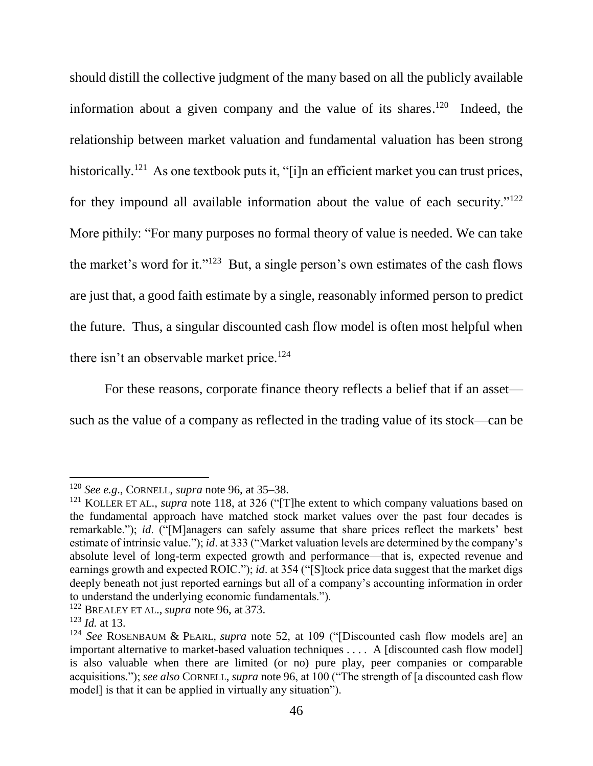should distill the collective judgment of the many based on all the publicly available information about a given company and the value of its shares.<sup>120</sup> Indeed, the relationship between market valuation and fundamental valuation has been strong historically.<sup>121</sup> As one textbook puts it, "[i]n an efficient market you can trust prices, for they impound all available information about the value of each security."<sup>122</sup> More pithily: "For many purposes no formal theory of value is needed. We can take the market's word for it."<sup>123</sup> But, a single person's own estimates of the cash flows are just that, a good faith estimate by a single, reasonably informed person to predict the future. Thus, a singular discounted cash flow model is often most helpful when there isn't an observable market price.<sup>124</sup>

For these reasons, corporate finance theory reflects a belief that if an asset such as the value of a company as reflected in the trading value of its stock—can be

l

<sup>120</sup> *See e.g*., CORNELL, *supra* note 96, at 35–38.

<sup>&</sup>lt;sup>121</sup> KOLLER ET AL., *supra* note 118, at 326 ("The extent to which company valuations based on the fundamental approach have matched stock market values over the past four decades is remarkable."); *id*. ("[M]anagers can safely assume that share prices reflect the markets' best estimate of intrinsic value."); *id*. at 333 ("Market valuation levels are determined by the company's absolute level of long-term expected growth and performance—that is, expected revenue and earnings growth and expected ROIC."); *id*. at 354 ("[S]tock price data suggest that the market digs deeply beneath not just reported earnings but all of a company's accounting information in order to understand the underlying economic fundamentals.").

<sup>122</sup> BREALEY ET AL., *supra* note 96, at 373.

<sup>123</sup> *Id.* at 13.

<sup>124</sup> *See* ROSENBAUM & PEARL, *supra* note 52, at 109 ("[Discounted cash flow models are] an important alternative to market-based valuation techniques . . . . A [discounted cash flow model] is also valuable when there are limited (or no) pure play, peer companies or comparable acquisitions."); *see also* CORNELL, *supra* note 96, at 100 ("The strength of [a discounted cash flow model] is that it can be applied in virtually any situation").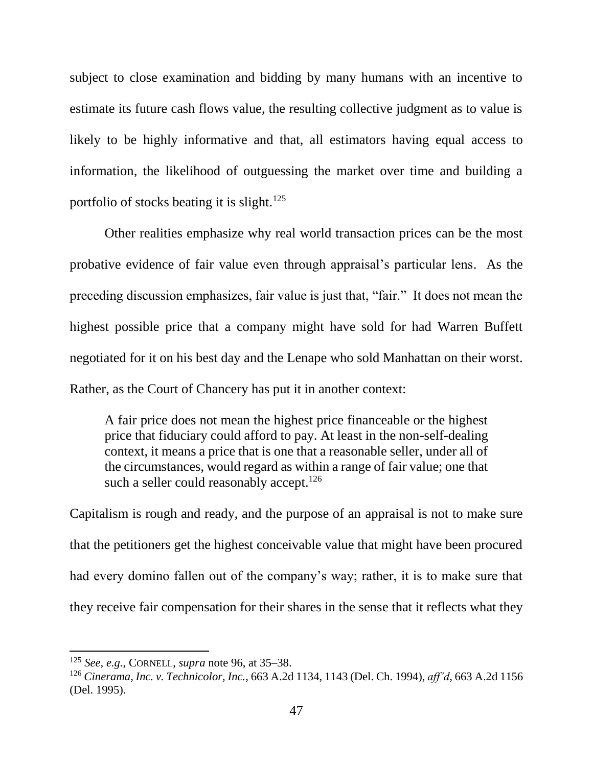subject to close examination and bidding by many humans with an incentive to estimate its future cash flows value, the resulting collective judgment as to value is likely to be highly informative and that, all estimators having equal access to information, the likelihood of outguessing the market over time and building a portfolio of stocks beating it is slight. $125$ 

Other realities emphasize why real world transaction prices can be the most probative evidence of fair value even through appraisal's particular lens. As the preceding discussion emphasizes, fair value is just that, "fair." It does not mean the highest possible price that a company might have sold for had Warren Buffett negotiated for it on his best day and the Lenape who sold Manhattan on their worst. Rather, as the Court of Chancery has put it in another context:

A fair price does not mean the highest price financeable or the highest price that fiduciary could afford to pay. At least in the non-self-dealing context, it means a price that is one that a reasonable seller, under all of the circumstances, would regard as within a range of fair value; one that such a seller could reasonably accept.<sup>126</sup>

Capitalism is rough and ready, and the purpose of an appraisal is not to make sure that the petitioners get the highest conceivable value that might have been procured had every domino fallen out of the company's way; rather, it is to make sure that they receive fair compensation for their shares in the sense that it reflects what they

<sup>125</sup> *See, e.g.*, CORNELL, *supra* note 96, at 35–38.

<sup>126</sup> *Cinerama, Inc. v. Technicolor, Inc.*, 663 A.2d 1134, 1143 (Del. Ch. 1994), *aff'd*, 663 A.2d 1156 (Del. 1995).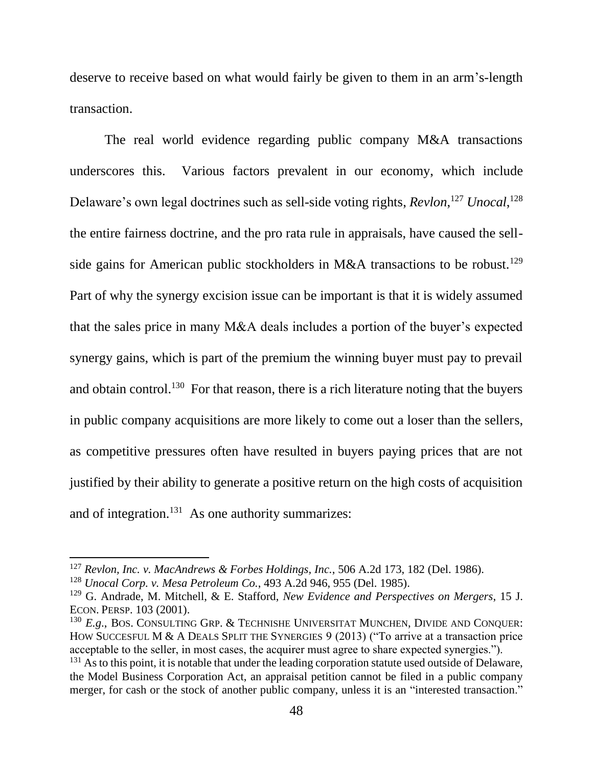deserve to receive based on what would fairly be given to them in an arm's-length transaction.

The real world evidence regarding public company M&A transactions underscores this. Various factors prevalent in our economy, which include Delaware's own legal doctrines such as sell-side voting rights, *Revlon*,<sup>127</sup> *Unocal*,<sup>128</sup> the entire fairness doctrine, and the pro rata rule in appraisals, have caused the sellside gains for American public stockholders in M&A transactions to be robust.<sup>129</sup> Part of why the synergy excision issue can be important is that it is widely assumed that the sales price in many M&A deals includes a portion of the buyer's expected synergy gains, which is part of the premium the winning buyer must pay to prevail and obtain control.<sup>130</sup> For that reason, there is a rich literature noting that the buyers in public company acquisitions are more likely to come out a loser than the sellers, as competitive pressures often have resulted in buyers paying prices that are not justified by their ability to generate a positive return on the high costs of acquisition and of integration. $^{131}$  As one authority summarizes:

<sup>127</sup> *Revlon, Inc. v. MacAndrews & Forbes Holdings, Inc.*, 506 A.2d 173, 182 (Del. 1986).

<sup>128</sup> *Unocal Corp. v. Mesa Petroleum Co.*, 493 A.2d 946, 955 (Del. 1985).

<sup>129</sup> G. Andrade, M. Mitchell, & E. Stafford, *New Evidence and Perspectives on Mergers*, 15 J. ECON. PERSP. 103 (2001).

<sup>130</sup> *E.g*., BOS. CONSULTING GRP. & TECHNISHE UNIVERSITAT MUNCHEN, DIVIDE AND CONQUER: HOW SUCCESFUL M & A DEALS SPLIT THE SYNERGIES 9 (2013) ("To arrive at a transaction price acceptable to the seller, in most cases, the acquirer must agree to share expected synergies.").

 $131$  As to this point, it is notable that under the leading corporation statute used outside of Delaware, the Model Business Corporation Act, an appraisal petition cannot be filed in a public company merger, for cash or the stock of another public company, unless it is an "interested transaction."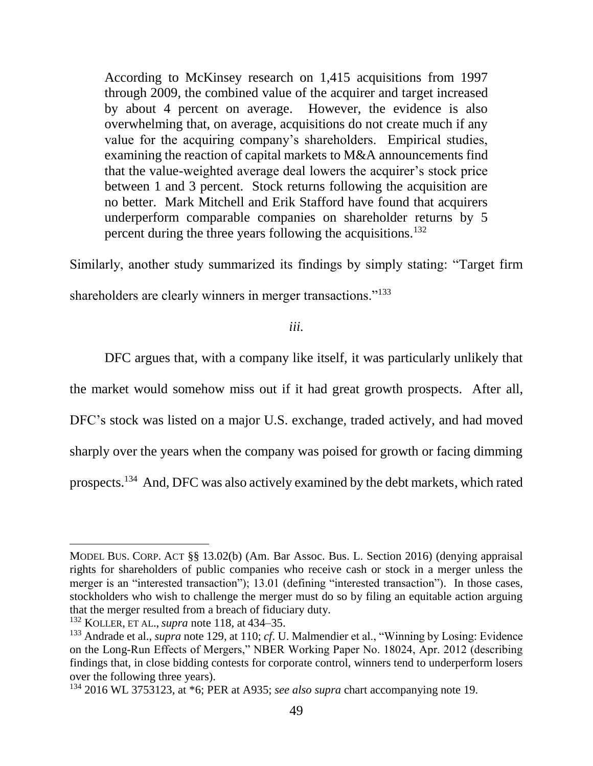According to McKinsey research on 1,415 acquisitions from 1997 through 2009, the combined value of the acquirer and target increased by about 4 percent on average. However, the evidence is also overwhelming that, on average, acquisitions do not create much if any value for the acquiring company's shareholders. Empirical studies, examining the reaction of capital markets to M&A announcements find that the value-weighted average deal lowers the acquirer's stock price between 1 and 3 percent. Stock returns following the acquisition are no better. Mark Mitchell and Erik Stafford have found that acquirers underperform comparable companies on shareholder returns by 5 percent during the three years following the acquisitions.<sup>132</sup>

Similarly, another study summarized its findings by simply stating: "Target firm

shareholders are clearly winners in merger transactions."<sup>133</sup>

*iii.*

DFC argues that, with a company like itself, it was particularly unlikely that

the market would somehow miss out if it had great growth prospects. After all,

DFC's stock was listed on a major U.S. exchange, traded actively, and had moved

sharply over the years when the company was poised for growth or facing dimming

prospects.<sup>134</sup> And, DFC was also actively examined by the debt markets, which rated

l

MODEL BUS. CORP. ACT §§ 13.02(b) (Am. Bar Assoc. Bus. L. Section 2016) (denying appraisal rights for shareholders of public companies who receive cash or stock in a merger unless the merger is an "interested transaction"); 13.01 (defining "interested transaction"). In those cases, stockholders who wish to challenge the merger must do so by filing an equitable action arguing that the merger resulted from a breach of fiduciary duty.

<sup>132</sup> KOLLER, ET AL., *supra* note 118, at 434–35.

<sup>133</sup> Andrade et al., *supra* note 129, at 110; *cf*. U. Malmendier et al., "Winning by Losing: Evidence on the Long-Run Effects of Mergers," NBER Working Paper No. 18024, Apr. 2012 (describing findings that, in close bidding contests for corporate control, winners tend to underperform losers over the following three years).

<sup>134</sup> 2016 WL 3753123, at \*6; PER at A935; *see also supra* chart accompanying note [19.](#page-11-0)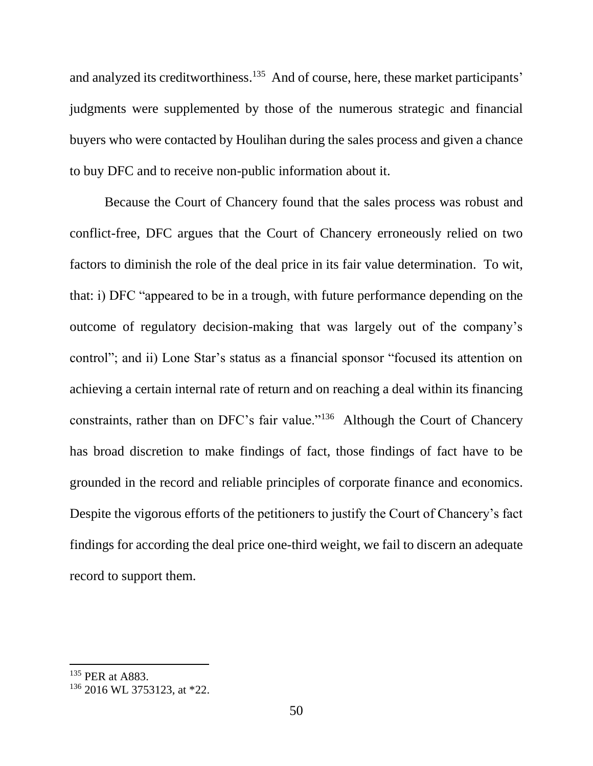and analyzed its creditworthiness.<sup>135</sup> And of course, here, these market participants' judgments were supplemented by those of the numerous strategic and financial buyers who were contacted by Houlihan during the sales process and given a chance to buy DFC and to receive non-public information about it.

Because the Court of Chancery found that the sales process was robust and conflict-free, DFC argues that the Court of Chancery erroneously relied on two factors to diminish the role of the deal price in its fair value determination. To wit, that: i) DFC "appeared to be in a trough, with future performance depending on the outcome of regulatory decision-making that was largely out of the company's control"; and ii) Lone Star's status as a financial sponsor "focused its attention on achieving a certain internal rate of return and on reaching a deal within its financing constraints, rather than on DFC's fair value."<sup>136</sup> Although the Court of Chancery has broad discretion to make findings of fact, those findings of fact have to be grounded in the record and reliable principles of corporate finance and economics. Despite the vigorous efforts of the petitioners to justify the Court of Chancery's fact findings for according the deal price one-third weight, we fail to discern an adequate record to support them.

<sup>&</sup>lt;sup>135</sup> PER at A883.

<sup>136</sup> 2016 WL 3753123, at \*22.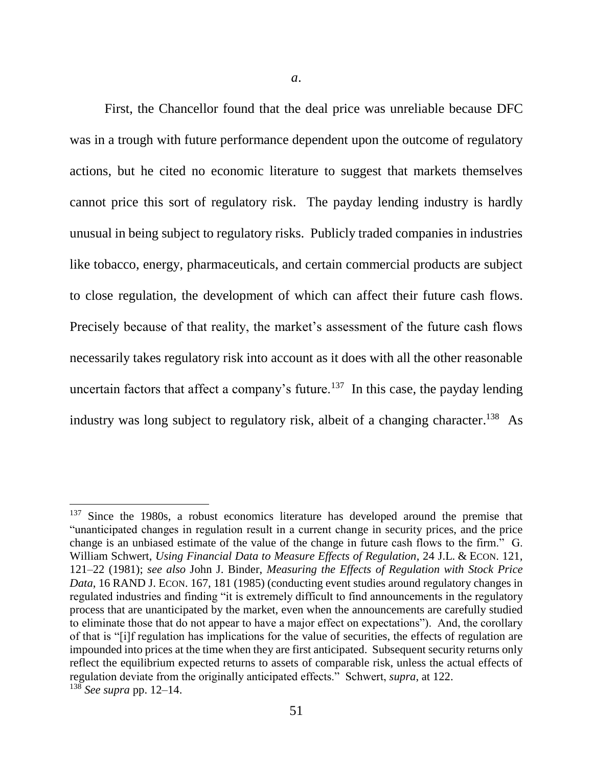First, the Chancellor found that the deal price was unreliable because DFC was in a trough with future performance dependent upon the outcome of regulatory actions, but he cited no economic literature to suggest that markets themselves cannot price this sort of regulatory risk. The payday lending industry is hardly unusual in being subject to regulatory risks. Publicly traded companies in industries like tobacco, energy, pharmaceuticals, and certain commercial products are subject to close regulation, the development of which can affect their future cash flows. Precisely because of that reality, the market's assessment of the future cash flows necessarily takes regulatory risk into account as it does with all the other reasonable uncertain factors that affect a company's future.<sup>137</sup> In this case, the payday lending industry was long subject to regulatory risk, albeit of a changing character.<sup>138</sup> As

<sup>&</sup>lt;sup>137</sup> Since the 1980s, a robust economics literature has developed around the premise that "unanticipated changes in regulation result in a current change in security prices, and the price change is an unbiased estimate of the value of the change in future cash flows to the firm." G. William Schwert, *Using Financial Data to Measure Effects of Regulation*, 24 J.L. & ECON. 121, 121–22 (1981); *see also* John J. Binder, *Measuring the Effects of Regulation with Stock Price Data*, 16 RAND J. ECON. 167, 181 (1985) (conducting event studies around regulatory changes in regulated industries and finding "it is extremely difficult to find announcements in the regulatory process that are unanticipated by the market, even when the announcements are carefully studied to eliminate those that do not appear to have a major effect on expectations"). And, the corollary of that is "[i]f regulation has implications for the value of securities, the effects of regulation are impounded into prices at the time when they are first anticipated. Subsequent security returns only reflect the equilibrium expected returns to assets of comparable risk, unless the actual effects of regulation deviate from the originally anticipated effects." Schwert, *supra*, at 122. <sup>138</sup> *See supra* pp. 12–14.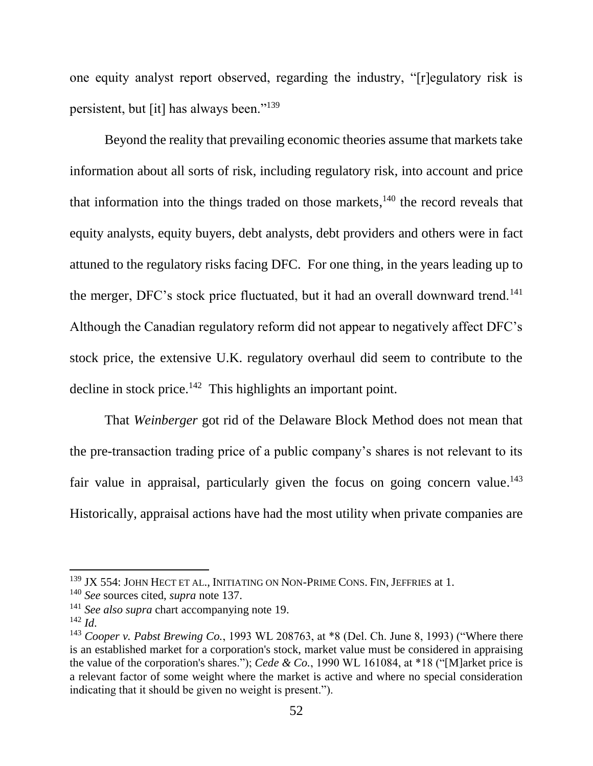one equity analyst report observed, regarding the industry, "[r]egulatory risk is persistent, but [it] has always been."<sup>139</sup>

Beyond the reality that prevailing economic theories assume that markets take information about all sorts of risk, including regulatory risk, into account and price that information into the things traded on those markets,<sup>140</sup> the record reveals that equity analysts, equity buyers, debt analysts, debt providers and others were in fact attuned to the regulatory risks facing DFC. For one thing, in the years leading up to the merger, DFC's stock price fluctuated, but it had an overall downward trend.<sup>141</sup> Although the Canadian regulatory reform did not appear to negatively affect DFC's stock price, the extensive U.K. regulatory overhaul did seem to contribute to the decline in stock price. $142$  This highlights an important point.

That *Weinberger* got rid of the Delaware Block Method does not mean that the pre-transaction trading price of a public company's shares is not relevant to its fair value in appraisal, particularly given the focus on going concern value.<sup>143</sup> Historically, appraisal actions have had the most utility when private companies are

 $^{139}$  JX 554: JOHN HECT ET AL., INITIATING ON NON-PRIME CONS. FIN, JEFFRIES at 1.

<sup>140</sup> *See* sources cited, *supra* note 137.

<sup>141</sup> *See also supra* chart accompanying note [19.](#page-11-0)

<sup>142</sup> *Id*.

<sup>143</sup> *Cooper v. Pabst Brewing Co.*, 1993 WL 208763, at \*8 (Del. Ch. June 8, 1993) ("Where there is an established market for a corporation's stock, market value must be considered in appraising the value of the corporation's shares."); *Cede & Co.*, 1990 WL 161084, at \*18 ("[M]arket price is a relevant factor of some weight where the market is active and where no special consideration indicating that it should be given no weight is present.").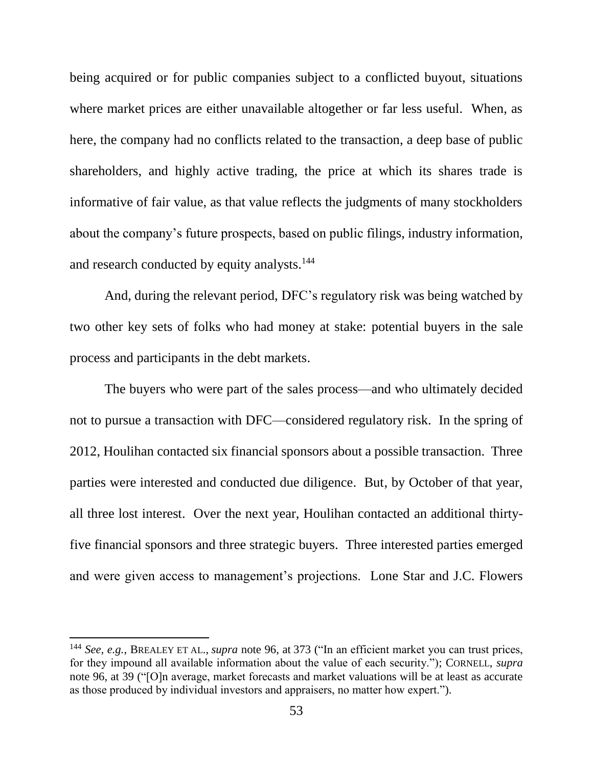being acquired or for public companies subject to a conflicted buyout, situations where market prices are either unavailable altogether or far less useful. When, as here, the company had no conflicts related to the transaction, a deep base of public shareholders, and highly active trading, the price at which its shares trade is informative of fair value, as that value reflects the judgments of many stockholders about the company's future prospects, based on public filings, industry information, and research conducted by equity analysts.<sup>144</sup>

And, during the relevant period, DFC's regulatory risk was being watched by two other key sets of folks who had money at stake: potential buyers in the sale process and participants in the debt markets.

The buyers who were part of the sales process—and who ultimately decided not to pursue a transaction with DFC—considered regulatory risk. In the spring of 2012, Houlihan contacted six financial sponsors about a possible transaction. Three parties were interested and conducted due diligence. But, by October of that year, all three lost interest. Over the next year, Houlihan contacted an additional thirtyfive financial sponsors and three strategic buyers. Three interested parties emerged and were given access to management's projections. Lone Star and J.C. Flowers

<sup>144</sup> *See, e.g.*, BREALEY ET AL., *supra* note 96, at 373 ("In an efficient market you can trust prices, for they impound all available information about the value of each security."); CORNELL, *supra* note 96, at 39 ("[O]n average, market forecasts and market valuations will be at least as accurate as those produced by individual investors and appraisers, no matter how expert.").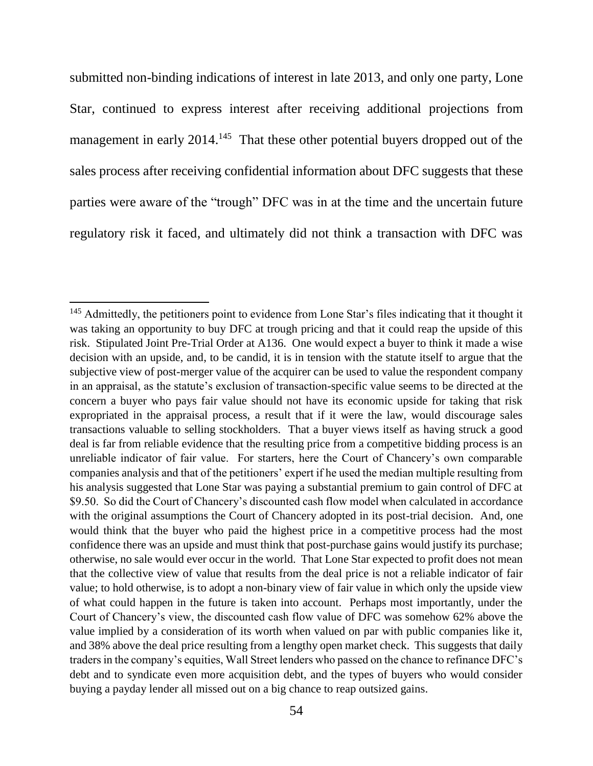submitted non-binding indications of interest in late 2013, and only one party, Lone Star, continued to express interest after receiving additional projections from management in early 2014.<sup>145</sup> That these other potential buyers dropped out of the sales process after receiving confidential information about DFC suggests that these parties were aware of the "trough" DFC was in at the time and the uncertain future regulatory risk it faced, and ultimately did not think a transaction with DFC was

<sup>&</sup>lt;sup>145</sup> Admittedly, the petitioners point to evidence from Lone Star's files indicating that it thought it was taking an opportunity to buy DFC at trough pricing and that it could reap the upside of this risk. Stipulated Joint Pre-Trial Order at A136. One would expect a buyer to think it made a wise decision with an upside, and, to be candid, it is in tension with the statute itself to argue that the subjective view of post-merger value of the acquirer can be used to value the respondent company in an appraisal, as the statute's exclusion of transaction-specific value seems to be directed at the concern a buyer who pays fair value should not have its economic upside for taking that risk expropriated in the appraisal process, a result that if it were the law, would discourage sales transactions valuable to selling stockholders. That a buyer views itself as having struck a good deal is far from reliable evidence that the resulting price from a competitive bidding process is an unreliable indicator of fair value. For starters, here the Court of Chancery's own comparable companies analysis and that of the petitioners' expert if he used the median multiple resulting from his analysis suggested that Lone Star was paying a substantial premium to gain control of DFC at \$9.50. So did the Court of Chancery's discounted cash flow model when calculated in accordance with the original assumptions the Court of Chancery adopted in its post-trial decision. And, one would think that the buyer who paid the highest price in a competitive process had the most confidence there was an upside and must think that post-purchase gains would justify its purchase; otherwise, no sale would ever occur in the world. That Lone Star expected to profit does not mean that the collective view of value that results from the deal price is not a reliable indicator of fair value; to hold otherwise, is to adopt a non-binary view of fair value in which only the upside view of what could happen in the future is taken into account. Perhaps most importantly, under the Court of Chancery's view, the discounted cash flow value of DFC was somehow 62% above the value implied by a consideration of its worth when valued on par with public companies like it, and 38% above the deal price resulting from a lengthy open market check. This suggests that daily traders in the company's equities, Wall Street lenders who passed on the chance to refinance DFC's debt and to syndicate even more acquisition debt, and the types of buyers who would consider buying a payday lender all missed out on a big chance to reap outsized gains.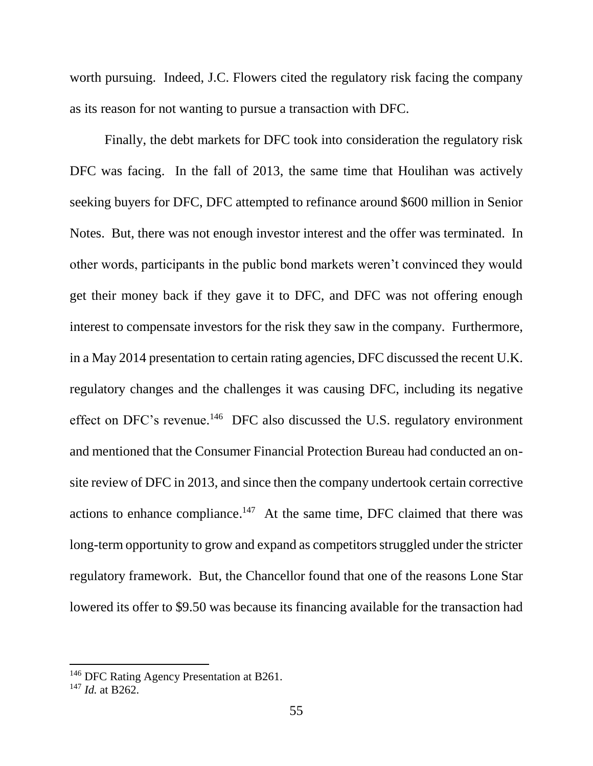worth pursuing. Indeed, J.C. Flowers cited the regulatory risk facing the company as its reason for not wanting to pursue a transaction with DFC.

Finally, the debt markets for DFC took into consideration the regulatory risk DFC was facing. In the fall of 2013, the same time that Houlihan was actively seeking buyers for DFC, DFC attempted to refinance around \$600 million in Senior Notes. But, there was not enough investor interest and the offer was terminated. In other words, participants in the public bond markets weren't convinced they would get their money back if they gave it to DFC, and DFC was not offering enough interest to compensate investors for the risk they saw in the company. Furthermore, in a May 2014 presentation to certain rating agencies, DFC discussed the recent U.K. regulatory changes and the challenges it was causing DFC, including its negative effect on DFC's revenue.<sup>146</sup> DFC also discussed the U.S. regulatory environment and mentioned that the Consumer Financial Protection Bureau had conducted an onsite review of DFC in 2013, and since then the company undertook certain corrective actions to enhance compliance.<sup>147</sup> At the same time, DFC claimed that there was long-term opportunity to grow and expand as competitors struggled under the stricter regulatory framework. But, the Chancellor found that one of the reasons Lone Star lowered its offer to \$9.50 was because its financing available for the transaction had

<sup>&</sup>lt;sup>146</sup> DFC Rating Agency Presentation at B261.

<sup>147</sup> *Id.* at B262.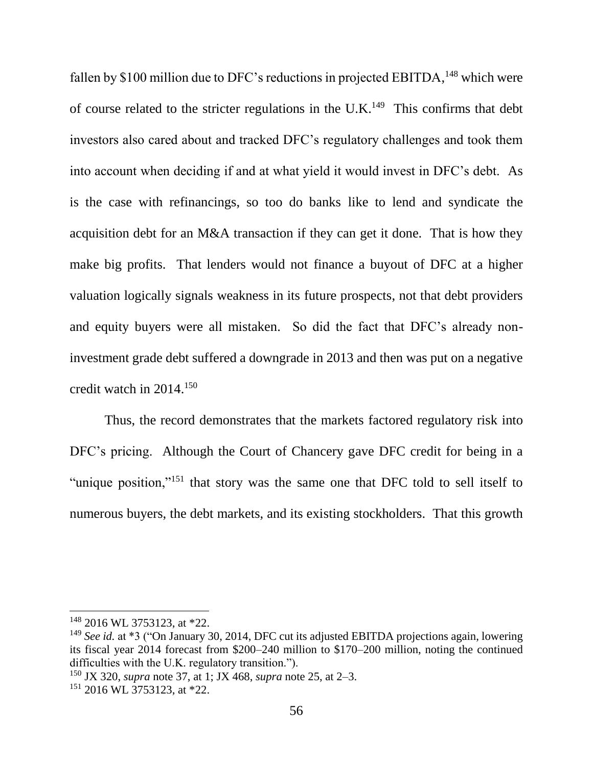fallen by \$100 million due to DFC's reductions in projected EBITDA,  $^{148}$  which were of course related to the stricter regulations in the U.K.<sup>149</sup> This confirms that debt investors also cared about and tracked DFC's regulatory challenges and took them into account when deciding if and at what yield it would invest in DFC's debt. As is the case with refinancings, so too do banks like to lend and syndicate the acquisition debt for an M&A transaction if they can get it done. That is how they make big profits. That lenders would not finance a buyout of DFC at a higher valuation logically signals weakness in its future prospects, not that debt providers and equity buyers were all mistaken. So did the fact that DFC's already noninvestment grade debt suffered a downgrade in 2013 and then was put on a negative credit watch in 2014. 150

Thus, the record demonstrates that the markets factored regulatory risk into DFC's pricing. Although the Court of Chancery gave DFC credit for being in a "unique position,"<sup>151</sup> that story was the same one that DFC told to sell itself to numerous buyers, the debt markets, and its existing stockholders. That this growth

<sup>148</sup> 2016 WL 3753123, at \*22.

<sup>149</sup> *See id.* at \*3 ("On January 30, 2014, DFC cut its adjusted EBITDA projections again, lowering its fiscal year 2014 forecast from \$200–240 million to \$170–200 million, noting the continued difficulties with the U.K. regulatory transition.").

<sup>150</sup> JX 320, *supra* note [37,](#page-16-0) at 1; JX 468, *supra* not[e 25,](#page-12-0) at 2–3.

<sup>151</sup> 2016 WL 3753123, at \*22.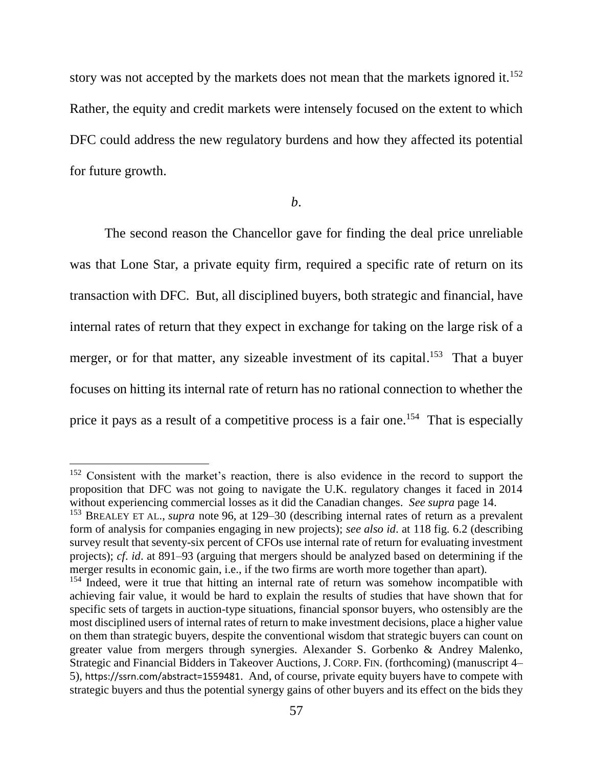story was not accepted by the markets does not mean that the markets ignored it.<sup>152</sup> Rather, the equity and credit markets were intensely focused on the extent to which DFC could address the new regulatory burdens and how they affected its potential for future growth.

#### *b*.

The second reason the Chancellor gave for finding the deal price unreliable was that Lone Star, a private equity firm, required a specific rate of return on its transaction with DFC. But, all disciplined buyers, both strategic and financial, have internal rates of return that they expect in exchange for taking on the large risk of a merger, or for that matter, any sizeable investment of its capital.<sup>153</sup> That a buyer focuses on hitting its internal rate of return has no rational connection to whether the price it pays as a result of a competitive process is a fair one.<sup>154</sup> That is especially

<sup>&</sup>lt;sup>152</sup> Consistent with the market's reaction, there is also evidence in the record to support the proposition that DFC was not going to navigate the U.K. regulatory changes it faced in 2014 without experiencing commercial losses as it did the Canadian changes. *See supra* page 14.

<sup>153</sup> BREALEY ET AL., *supra* note 96, at 129–30 (describing internal rates of return as a prevalent form of analysis for companies engaging in new projects); *see also id*. at 118 fig. 6.2 (describing survey result that seventy-six percent of CFOs use internal rate of return for evaluating investment projects); *cf*. *id*. at 891–93 (arguing that mergers should be analyzed based on determining if the merger results in economic gain, i.e., if the two firms are worth more together than apart).

<sup>&</sup>lt;sup>154</sup> Indeed, were it true that hitting an internal rate of return was somehow incompatible with achieving fair value, it would be hard to explain the results of studies that have shown that for specific sets of targets in auction-type situations, financial sponsor buyers, who ostensibly are the most disciplined users of internal rates of return to make investment decisions, place a higher value on them than strategic buyers, despite the conventional wisdom that strategic buyers can count on greater value from mergers through synergies. Alexander S. Gorbenko & Andrey Malenko, Strategic and Financial Bidders in Takeover Auctions, J. CORP. FIN. (forthcoming) (manuscript 4– 5), https://ssrn.com/abstract=1559481. And, of course, private equity buyers have to compete with strategic buyers and thus the potential synergy gains of other buyers and its effect on the bids they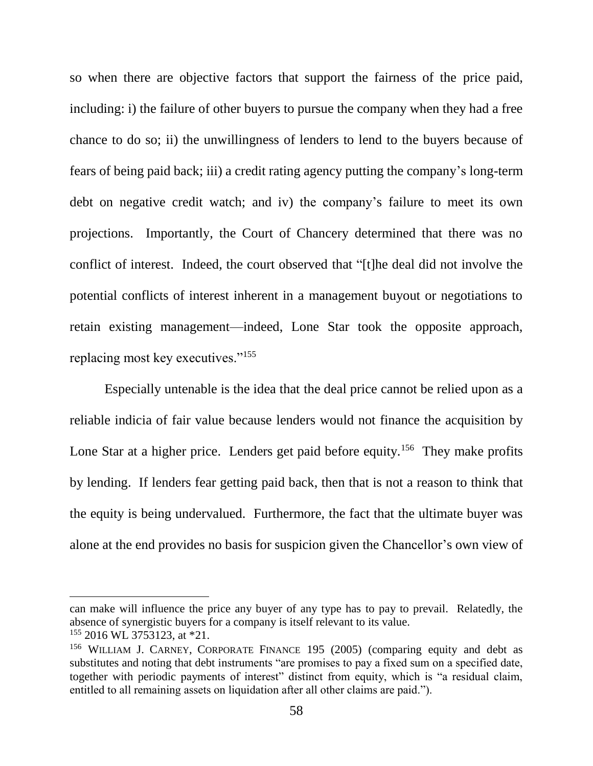so when there are objective factors that support the fairness of the price paid, including: i) the failure of other buyers to pursue the company when they had a free chance to do so; ii) the unwillingness of lenders to lend to the buyers because of fears of being paid back; iii) a credit rating agency putting the company's long-term debt on negative credit watch; and iv) the company's failure to meet its own projections. Importantly, the Court of Chancery determined that there was no conflict of interest. Indeed, the court observed that "[t]he deal did not involve the potential conflicts of interest inherent in a management buyout or negotiations to retain existing management—indeed, Lone Star took the opposite approach, replacing most key executives."<sup>155</sup>

Especially untenable is the idea that the deal price cannot be relied upon as a reliable indicia of fair value because lenders would not finance the acquisition by Lone Star at a higher price. Lenders get paid before equity.<sup>156</sup> They make profits by lending. If lenders fear getting paid back, then that is not a reason to think that the equity is being undervalued. Furthermore, the fact that the ultimate buyer was alone at the end provides no basis for suspicion given the Chancellor's own view of

can make will influence the price any buyer of any type has to pay to prevail. Relatedly, the absence of synergistic buyers for a company is itself relevant to its value.  $155$  2016 WL 3753123, at \*21.

<sup>156</sup> WILLIAM J. CARNEY, CORPORATE FINANCE 195 (2005) (comparing equity and debt as substitutes and noting that debt instruments "are promises to pay a fixed sum on a specified date, together with periodic payments of interest" distinct from equity, which is "a residual claim, entitled to all remaining assets on liquidation after all other claims are paid.").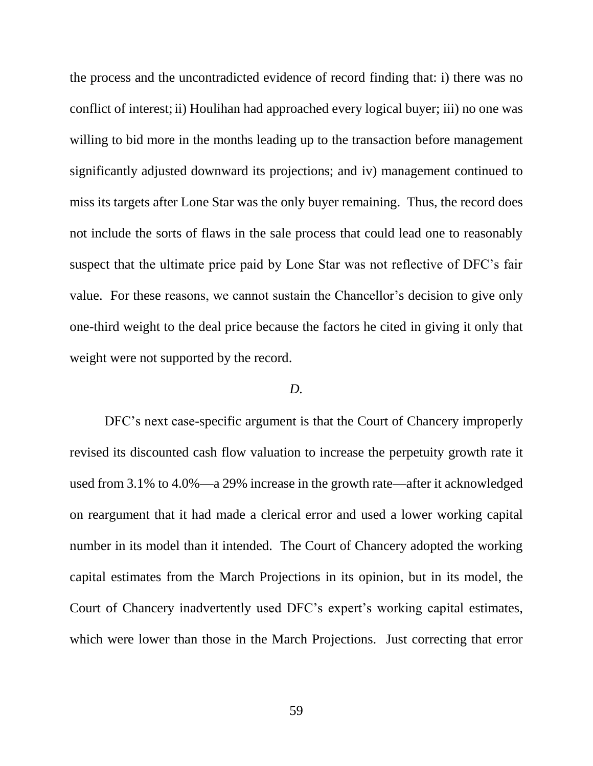the process and the uncontradicted evidence of record finding that: i) there was no conflict of interest; ii) Houlihan had approached every logical buyer; iii) no one was willing to bid more in the months leading up to the transaction before management significantly adjusted downward its projections; and iv) management continued to miss its targets after Lone Star was the only buyer remaining. Thus, the record does not include the sorts of flaws in the sale process that could lead one to reasonably suspect that the ultimate price paid by Lone Star was not reflective of DFC's fair value. For these reasons, we cannot sustain the Chancellor's decision to give only one-third weight to the deal price because the factors he cited in giving it only that weight were not supported by the record.

## *D.*

DFC's next case-specific argument is that the Court of Chancery improperly revised its discounted cash flow valuation to increase the perpetuity growth rate it used from 3.1% to 4.0%—a 29% increase in the growth rate—after it acknowledged on reargument that it had made a clerical error and used a lower working capital number in its model than it intended. The Court of Chancery adopted the working capital estimates from the March Projections in its opinion, but in its model, the Court of Chancery inadvertently used DFC's expert's working capital estimates, which were lower than those in the March Projections. Just correcting that error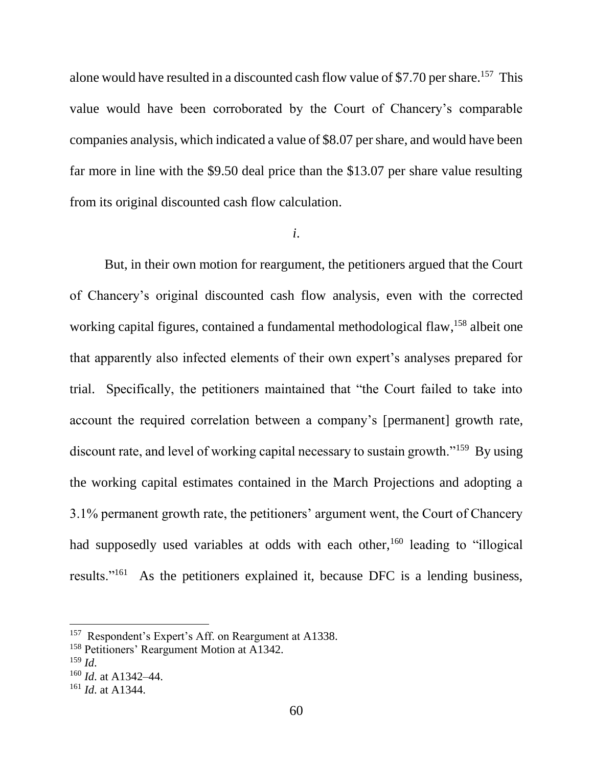alone would have resulted in a discounted cash flow value of \$7.70 per share.<sup>157</sup> This value would have been corroborated by the Court of Chancery's comparable companies analysis, which indicated a value of \$8.07 per share, and would have been far more in line with the \$9.50 deal price than the \$13.07 per share value resulting from its original discounted cash flow calculation.

### *i*.

But, in their own motion for reargument, the petitioners argued that the Court of Chancery's original discounted cash flow analysis, even with the corrected working capital figures, contained a fundamental methodological flaw, <sup>158</sup> albeit one that apparently also infected elements of their own expert's analyses prepared for trial. Specifically, the petitioners maintained that "the Court failed to take into account the required correlation between a company's [permanent] growth rate, discount rate, and level of working capital necessary to sustain growth."<sup>159</sup> By using the working capital estimates contained in the March Projections and adopting a 3.1% permanent growth rate, the petitioners' argument went, the Court of Chancery had supposedly used variables at odds with each other,<sup>160</sup> leading to "illogical" results."<sup>161</sup> As the petitioners explained it, because DFC is a lending business,

l

<sup>&</sup>lt;sup>157</sup> Respondent's Expert's Aff. on Reargument at A1338.

<sup>158</sup> Petitioners' Reargument Motion at A1342.

<sup>159</sup> *Id*.

<sup>160</sup> *Id*. at A1342–44.

<sup>161</sup> *Id*. at A1344.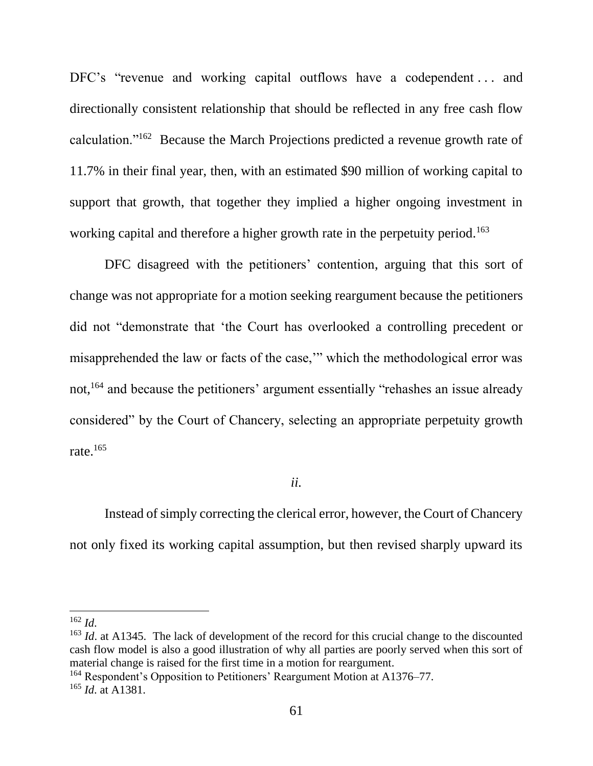DFC's "revenue and working capital outflows have a codependent ... and directionally consistent relationship that should be reflected in any free cash flow calculation."<sup>162</sup> Because the March Projections predicted a revenue growth rate of 11.7% in their final year, then, with an estimated \$90 million of working capital to support that growth, that together they implied a higher ongoing investment in working capital and therefore a higher growth rate in the perpetuity period.<sup>163</sup>

DFC disagreed with the petitioners' contention, arguing that this sort of change was not appropriate for a motion seeking reargument because the petitioners did not "demonstrate that 'the Court has overlooked a controlling precedent or misapprehended the law or facts of the case,'" which the methodological error was not,<sup>164</sup> and because the petitioners' argument essentially "rehashes an issue already" considered" by the Court of Chancery, selecting an appropriate perpetuity growth rate. $165$ 

## *ii.*

Instead of simply correcting the clerical error, however, the Court of Chancery not only fixed its working capital assumption, but then revised sharply upward its

 $\overline{\phantom{a}}$ <sup>162</sup> *Id*.

<sup>&</sup>lt;sup>163</sup> *Id.* at A1345. The lack of development of the record for this crucial change to the discounted cash flow model is also a good illustration of why all parties are poorly served when this sort of material change is raised for the first time in a motion for reargument.

<sup>&</sup>lt;sup>164</sup> Respondent's Opposition to Petitioners' Reargument Motion at A1376–77.

<sup>165</sup> *Id*. at A1381.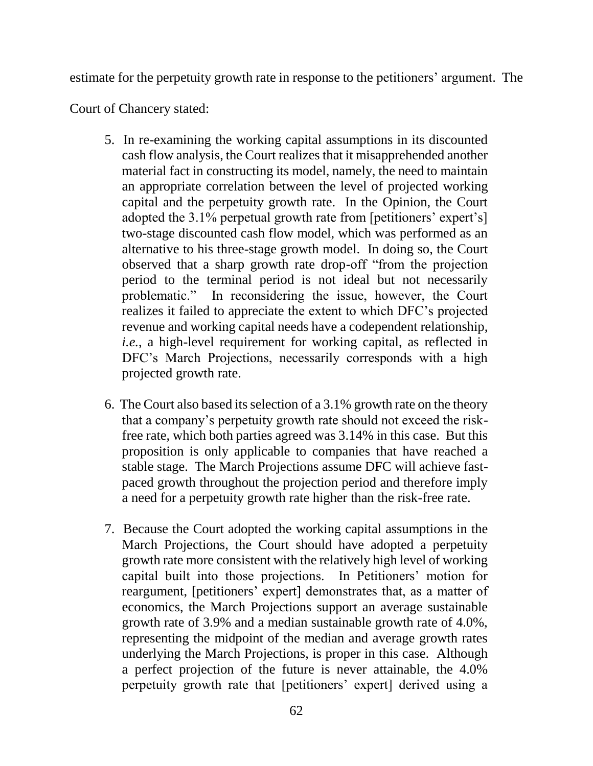estimate for the perpetuity growth rate in response to the petitioners' argument. The

Court of Chancery stated:

- 5. In re-examining the working capital assumptions in its discounted cash flow analysis, the Court realizes that it misapprehended another material fact in constructing its model, namely, the need to maintain an appropriate correlation between the level of projected working capital and the perpetuity growth rate. In the Opinion, the Court adopted the 3.1% perpetual growth rate from [petitioners' expert's] two-stage discounted cash flow model, which was performed as an alternative to his three-stage growth model. In doing so, the Court observed that a sharp growth rate drop-off "from the projection period to the terminal period is not ideal but not necessarily problematic." In reconsidering the issue, however, the Court realizes it failed to appreciate the extent to which DFC's projected revenue and working capital needs have a codependent relationship, *i.e.*, a high-level requirement for working capital, as reflected in DFC's March Projections, necessarily corresponds with a high projected growth rate.
- 6. The Court also based its selection of a 3.1% growth rate on the theory that a company's perpetuity growth rate should not exceed the riskfree rate, which both parties agreed was 3.14% in this case. But this proposition is only applicable to companies that have reached a stable stage. The March Projections assume DFC will achieve fastpaced growth throughout the projection period and therefore imply a need for a perpetuity growth rate higher than the risk-free rate.
- 7. Because the Court adopted the working capital assumptions in the March Projections, the Court should have adopted a perpetuity growth rate more consistent with the relatively high level of working capital built into those projections. In Petitioners' motion for reargument, [petitioners' expert] demonstrates that, as a matter of economics, the March Projections support an average sustainable growth rate of 3.9% and a median sustainable growth rate of 4.0%, representing the midpoint of the median and average growth rates underlying the March Projections, is proper in this case. Although a perfect projection of the future is never attainable, the 4.0% perpetuity growth rate that [petitioners' expert] derived using a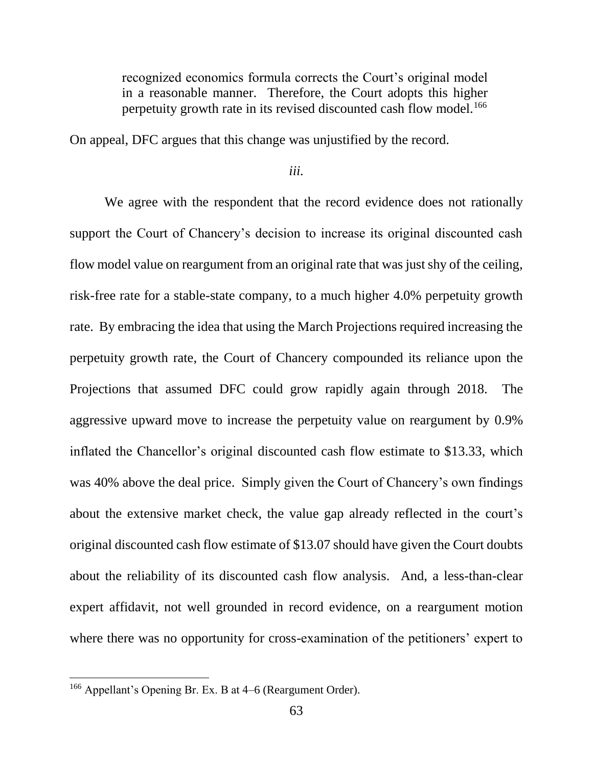recognized economics formula corrects the Court's original model in a reasonable manner. Therefore, the Court adopts this higher perpetuity growth rate in its revised discounted cash flow model.<sup>166</sup>

On appeal, DFC argues that this change was unjustified by the record.

*iii.*

We agree with the respondent that the record evidence does not rationally support the Court of Chancery's decision to increase its original discounted cash flow model value on reargument from an original rate that was just shy of the ceiling, risk-free rate for a stable-state company, to a much higher 4.0% perpetuity growth rate. By embracing the idea that using the March Projections required increasing the perpetuity growth rate, the Court of Chancery compounded its reliance upon the Projections that assumed DFC could grow rapidly again through 2018. The aggressive upward move to increase the perpetuity value on reargument by 0.9% inflated the Chancellor's original discounted cash flow estimate to \$13.33, which was 40% above the deal price. Simply given the Court of Chancery's own findings about the extensive market check, the value gap already reflected in the court's original discounted cash flow estimate of \$13.07 should have given the Court doubts about the reliability of its discounted cash flow analysis. And, a less-than-clear expert affidavit, not well grounded in record evidence, on a reargument motion where there was no opportunity for cross-examination of the petitioners' expert to

<sup>166</sup> Appellant's Opening Br. Ex. B at 4–6 (Reargument Order).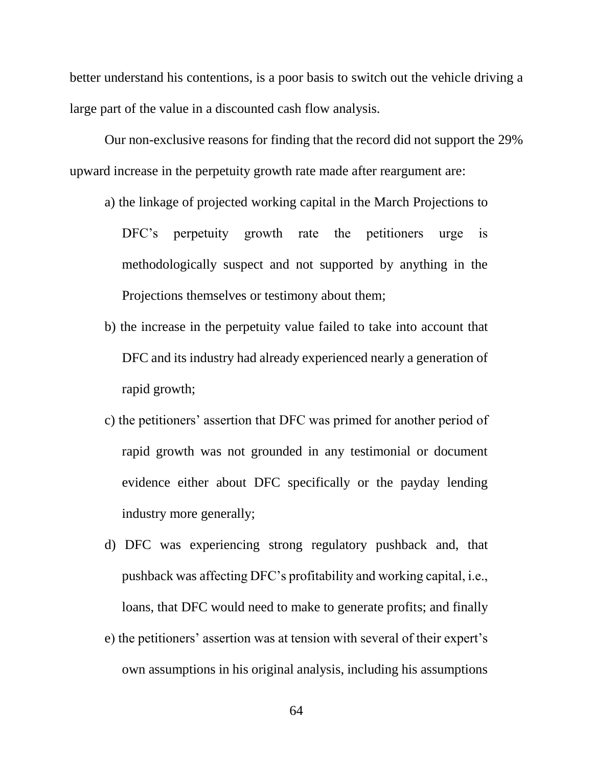better understand his contentions, is a poor basis to switch out the vehicle driving a large part of the value in a discounted cash flow analysis.

Our non-exclusive reasons for finding that the record did not support the 29% upward increase in the perpetuity growth rate made after reargument are:

- a) the linkage of projected working capital in the March Projections to DFC's perpetuity growth rate the petitioners urge is methodologically suspect and not supported by anything in the Projections themselves or testimony about them;
- b) the increase in the perpetuity value failed to take into account that DFC and its industry had already experienced nearly a generation of rapid growth;
- c) the petitioners' assertion that DFC was primed for another period of rapid growth was not grounded in any testimonial or document evidence either about DFC specifically or the payday lending industry more generally;
- d) DFC was experiencing strong regulatory pushback and, that pushback was affecting DFC's profitability and working capital, i.e., loans, that DFC would need to make to generate profits; and finally
- e) the petitioners' assertion was at tension with several of their expert's own assumptions in his original analysis, including his assumptions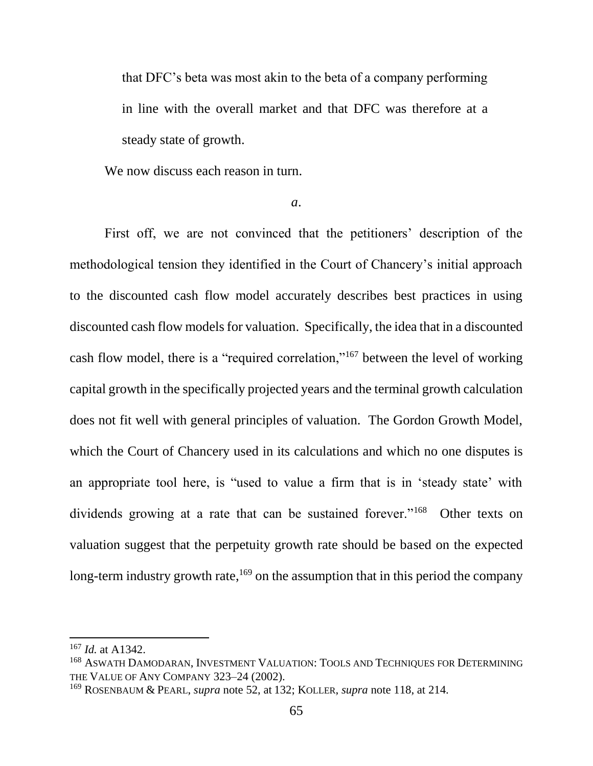that DFC's beta was most akin to the beta of a company performing in line with the overall market and that DFC was therefore at a steady state of growth.

We now discuss each reason in turn.

*a*.

First off, we are not convinced that the petitioners' description of the methodological tension they identified in the Court of Chancery's initial approach to the discounted cash flow model accurately describes best practices in using discounted cash flow models for valuation. Specifically, the idea that in a discounted cash flow model, there is a "required correlation,"<sup>167</sup> between the level of working capital growth in the specifically projected years and the terminal growth calculation does not fit well with general principles of valuation. The Gordon Growth Model, which the Court of Chancery used in its calculations and which no one disputes is an appropriate tool here, is "used to value a firm that is in 'steady state' with dividends growing at a rate that can be sustained forever."<sup>168</sup> Other texts on valuation suggest that the perpetuity growth rate should be based on the expected long-term industry growth rate, <sup>169</sup> on the assumption that in this period the company

<sup>167</sup> *Id.* at A1342.

<sup>168</sup> ASWATH DAMODARAN, INVESTMENT VALUATION: TOOLS AND TECHNIQUES FOR DETERMINING THE VALUE OF ANY COMPANY 323–24 (2002).

<sup>169</sup> ROSENBAUM & PEARL, *supra* note 52, at 132; KOLLER, *supra* note 118, at 214.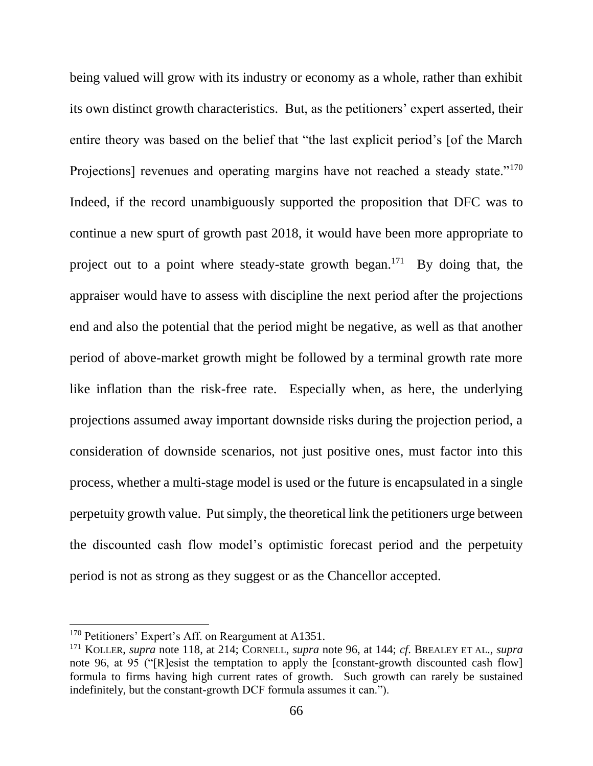being valued will grow with its industry or economy as a whole, rather than exhibit its own distinct growth characteristics. But, as the petitioners' expert asserted, their entire theory was based on the belief that "the last explicit period's [of the March Projections] revenues and operating margins have not reached a steady state."<sup>170</sup> Indeed, if the record unambiguously supported the proposition that DFC was to continue a new spurt of growth past 2018, it would have been more appropriate to project out to a point where steady-state growth began.<sup>171</sup> By doing that, the appraiser would have to assess with discipline the next period after the projections end and also the potential that the period might be negative, as well as that another period of above-market growth might be followed by a terminal growth rate more like inflation than the risk-free rate. Especially when, as here, the underlying projections assumed away important downside risks during the projection period, a consideration of downside scenarios, not just positive ones, must factor into this process, whether a multi-stage model is used or the future is encapsulated in a single perpetuity growth value. Put simply, the theoretical link the petitioners urge between the discounted cash flow model's optimistic forecast period and the perpetuity period is not as strong as they suggest or as the Chancellor accepted.

l

<sup>&</sup>lt;sup>170</sup> Petitioners' Expert's Aff. on Reargument at A1351.

<sup>171</sup> KOLLER, *supra* note 118, at 214; CORNELL, *supra* note 96, at 144; *cf*. BREALEY ET AL., *supra* note 96, at 95 ("[R]esist the temptation to apply the [constant-growth discounted cash flow] formula to firms having high current rates of growth. Such growth can rarely be sustained indefinitely, but the constant-growth DCF formula assumes it can.").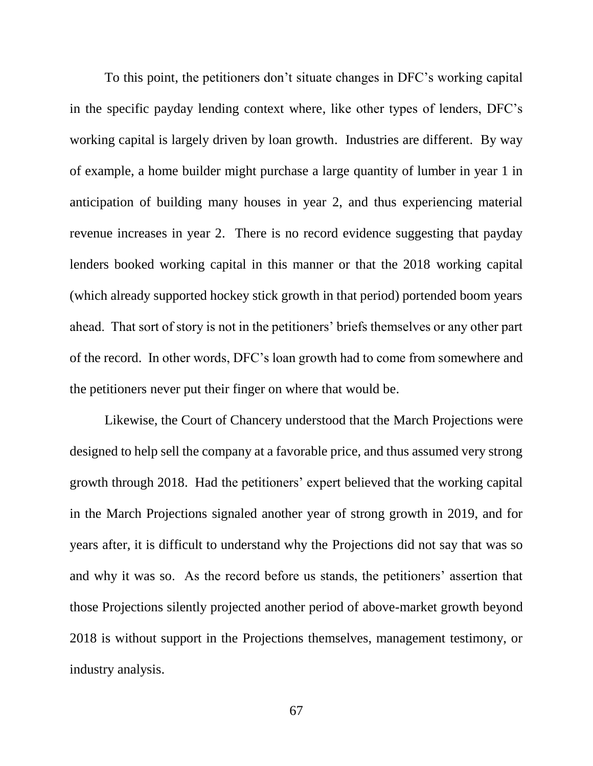To this point, the petitioners don't situate changes in DFC's working capital in the specific payday lending context where, like other types of lenders, DFC's working capital is largely driven by loan growth. Industries are different. By way of example, a home builder might purchase a large quantity of lumber in year 1 in anticipation of building many houses in year 2, and thus experiencing material revenue increases in year 2. There is no record evidence suggesting that payday lenders booked working capital in this manner or that the 2018 working capital (which already supported hockey stick growth in that period) portended boom years ahead. That sort of story is not in the petitioners' briefs themselves or any other part of the record. In other words, DFC's loan growth had to come from somewhere and the petitioners never put their finger on where that would be.

Likewise, the Court of Chancery understood that the March Projections were designed to help sell the company at a favorable price, and thus assumed very strong growth through 2018. Had the petitioners' expert believed that the working capital in the March Projections signaled another year of strong growth in 2019, and for years after, it is difficult to understand why the Projections did not say that was so and why it was so. As the record before us stands, the petitioners' assertion that those Projections silently projected another period of above-market growth beyond 2018 is without support in the Projections themselves, management testimony, or industry analysis.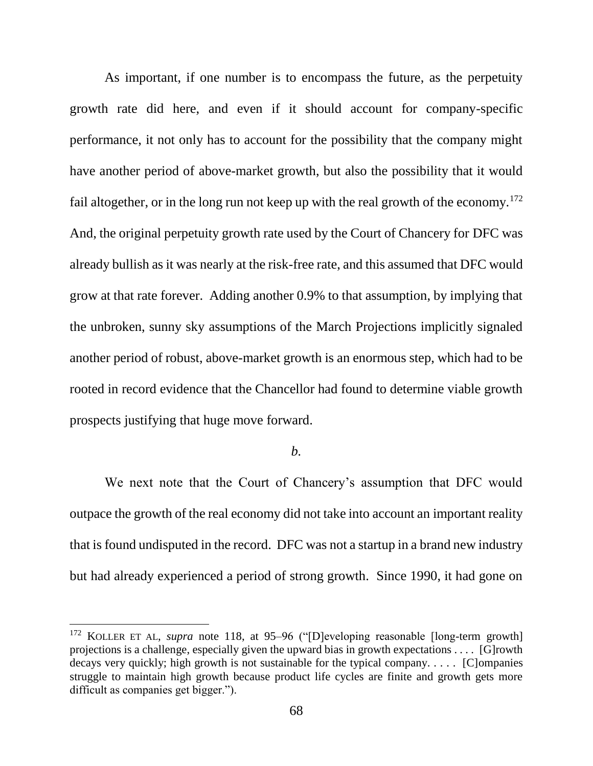As important, if one number is to encompass the future, as the perpetuity growth rate did here, and even if it should account for company-specific performance, it not only has to account for the possibility that the company might have another period of above-market growth, but also the possibility that it would fail altogether, or in the long run not keep up with the real growth of the economy.<sup>172</sup> And, the original perpetuity growth rate used by the Court of Chancery for DFC was already bullish as it was nearly at the risk-free rate, and this assumed that DFC would grow at that rate forever. Adding another 0.9% to that assumption, by implying that the unbroken, sunny sky assumptions of the March Projections implicitly signaled another period of robust, above-market growth is an enormous step, which had to be rooted in record evidence that the Chancellor had found to determine viable growth prospects justifying that huge move forward.

# *b.*

We next note that the Court of Chancery's assumption that DFC would outpace the growth of the real economy did not take into account an important reality that is found undisputed in the record. DFC was not a startup in a brand new industry but had already experienced a period of strong growth. Since 1990, it had gone on

l

<sup>&</sup>lt;sup>172</sup> KOLLER ET AL, *supra* note 118, at 95–96 ("[D]eveloping reasonable [long-term growth] projections is a challenge, especially given the upward bias in growth expectations . . . . [G]rowth decays very quickly; high growth is not sustainable for the typical company. . . . . [C]ompanies struggle to maintain high growth because product life cycles are finite and growth gets more difficult as companies get bigger.").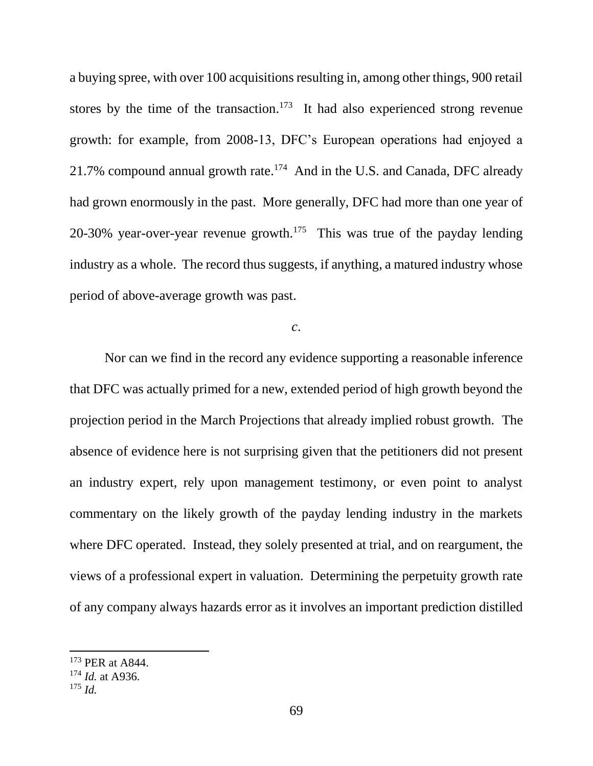a buying spree, with over 100 acquisitions resulting in, among other things, 900 retail stores by the time of the transaction.<sup>173</sup> It had also experienced strong revenue growth: for example, from 2008-13, DFC's European operations had enjoyed a 21.7% compound annual growth rate. $174$  And in the U.S. and Canada, DFC already had grown enormously in the past. More generally, DFC had more than one year of 20-30% year-over-year revenue growth.<sup>175</sup> This was true of the payday lending industry as a whole. The record thus suggests, if anything, a matured industry whose period of above-average growth was past.

*c*.

Nor can we find in the record any evidence supporting a reasonable inference that DFC was actually primed for a new, extended period of high growth beyond the projection period in the March Projections that already implied robust growth. The absence of evidence here is not surprising given that the petitioners did not present an industry expert, rely upon management testimony, or even point to analyst commentary on the likely growth of the payday lending industry in the markets where DFC operated. Instead, they solely presented at trial, and on reargument, the views of a professional expert in valuation. Determining the perpetuity growth rate of any company always hazards error as it involves an important prediction distilled

<sup>173</sup> PER at A844.

<sup>174</sup> *Id.* at A936.

 $175$  *Id.*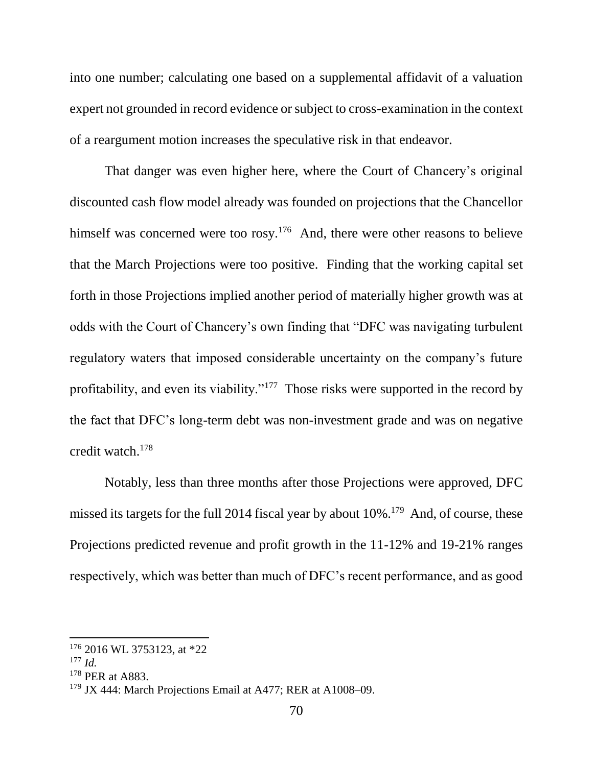into one number; calculating one based on a supplemental affidavit of a valuation expert not grounded in record evidence or subject to cross-examination in the context of a reargument motion increases the speculative risk in that endeavor.

That danger was even higher here, where the Court of Chancery's original discounted cash flow model already was founded on projections that the Chancellor himself was concerned were too rosy.<sup>176</sup> And, there were other reasons to believe that the March Projections were too positive. Finding that the working capital set forth in those Projections implied another period of materially higher growth was at odds with the Court of Chancery's own finding that "DFC was navigating turbulent regulatory waters that imposed considerable uncertainty on the company's future profitability, and even its viability."<sup>177</sup> Those risks were supported in the record by the fact that DFC's long-term debt was non-investment grade and was on negative credit watch.<sup>178</sup>

Notably, less than three months after those Projections were approved, DFC missed its targets for the full 2014 fiscal year by about 10%.<sup>179</sup> And, of course, these Projections predicted revenue and profit growth in the 11-12% and 19-21% ranges respectively, which was better than much of DFC's recent performance, and as good

<sup>176</sup> 2016 WL 3753123, at \*22

<sup>177</sup> *Id.*

<sup>&</sup>lt;sup>178</sup> PER at A883.

<sup>&</sup>lt;sup>179</sup> JX 444: March Projections Email at A477; RER at A1008–09.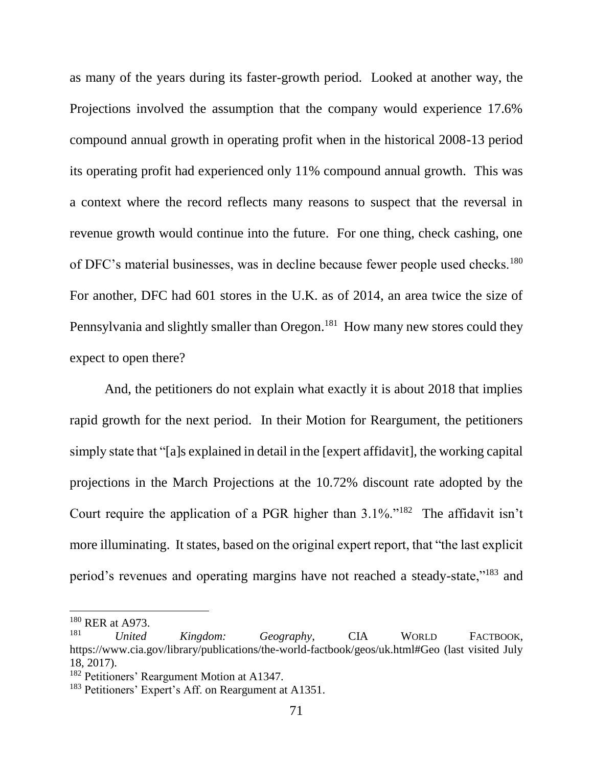as many of the years during its faster-growth period. Looked at another way, the Projections involved the assumption that the company would experience 17.6% compound annual growth in operating profit when in the historical 2008-13 period its operating profit had experienced only 11% compound annual growth. This was a context where the record reflects many reasons to suspect that the reversal in revenue growth would continue into the future. For one thing, check cashing, one of DFC's material businesses, was in decline because fewer people used checks.<sup>180</sup> For another, DFC had 601 stores in the U.K. as of 2014, an area twice the size of Pennsylvania and slightly smaller than Oregon.<sup>181</sup> How many new stores could they expect to open there?

And, the petitioners do not explain what exactly it is about 2018 that implies rapid growth for the next period. In their Motion for Reargument, the petitioners simply state that "[a]s explained in detail in the [expert affidavit], the working capital projections in the March Projections at the 10.72% discount rate adopted by the Court require the application of a PGR higher than 3.1%."<sup>182</sup> The affidavit isn't more illuminating. It states, based on the original expert report, that "the last explicit period's revenues and operating margins have not reached a steady-state,"<sup>183</sup> and

 $^{180}_{181}$  RER at A973.

<sup>181</sup> *United Kingdom: Geography*, CIA WORLD FACTBOOK, https://www.cia.gov/library/publications/the-world-factbook/geos/uk.html#Geo (last visited July 18, 2017).

<sup>182</sup> Petitioners' Reargument Motion at A1347.

<sup>&</sup>lt;sup>183</sup> Petitioners' Expert's Aff. on Reargument at A1351.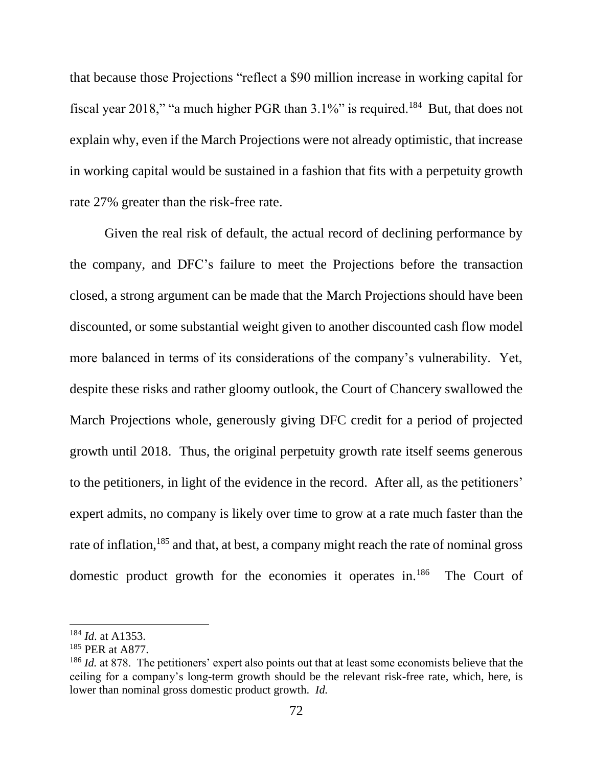that because those Projections "reflect a \$90 million increase in working capital for fiscal year 2018," "a much higher PGR than  $3.1\%$ " is required.<sup>184</sup> But, that does not explain why, even if the March Projections were not already optimistic, that increase in working capital would be sustained in a fashion that fits with a perpetuity growth rate 27% greater than the risk-free rate.

Given the real risk of default, the actual record of declining performance by the company, and DFC's failure to meet the Projections before the transaction closed, a strong argument can be made that the March Projections should have been discounted, or some substantial weight given to another discounted cash flow model more balanced in terms of its considerations of the company's vulnerability. Yet, despite these risks and rather gloomy outlook, the Court of Chancery swallowed the March Projections whole, generously giving DFC credit for a period of projected growth until 2018. Thus, the original perpetuity growth rate itself seems generous to the petitioners, in light of the evidence in the record. After all, as the petitioners' expert admits, no company is likely over time to grow at a rate much faster than the rate of inflation,<sup>185</sup> and that, at best, a company might reach the rate of nominal gross domestic product growth for the economies it operates in.<sup>186</sup> The Court of

<sup>184</sup> *Id*. at A1353.

<sup>185</sup> PER at A877.

<sup>&</sup>lt;sup>186</sup> *Id.* at 878. The petitioners' expert also points out that at least some economists believe that the ceiling for a company's long-term growth should be the relevant risk-free rate, which, here, is lower than nominal gross domestic product growth. *Id.*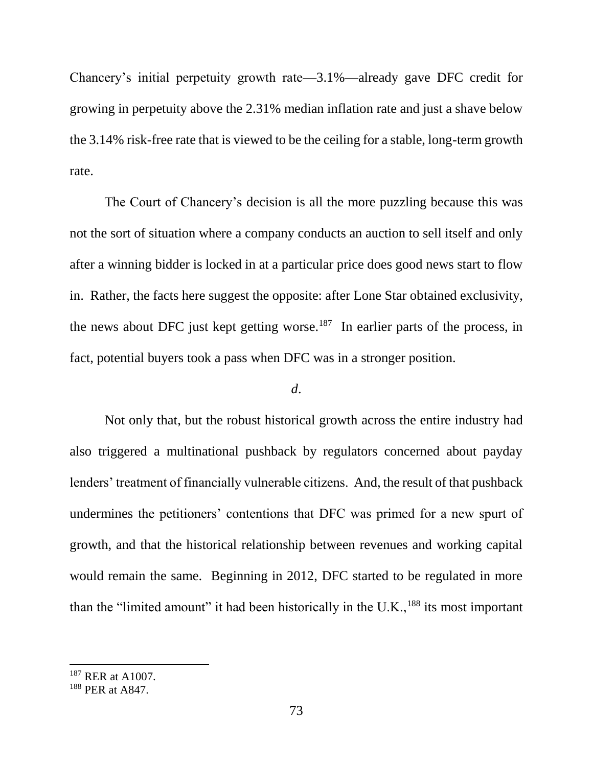Chancery's initial perpetuity growth rate—3.1%—already gave DFC credit for growing in perpetuity above the 2.31% median inflation rate and just a shave below the 3.14% risk-free rate that is viewed to be the ceiling for a stable, long-term growth rate.

The Court of Chancery's decision is all the more puzzling because this was not the sort of situation where a company conducts an auction to sell itself and only after a winning bidder is locked in at a particular price does good news start to flow in. Rather, the facts here suggest the opposite: after Lone Star obtained exclusivity, the news about DFC just kept getting worse.<sup>187</sup> In earlier parts of the process, in fact, potential buyers took a pass when DFC was in a stronger position.

## *d*.

Not only that, but the robust historical growth across the entire industry had also triggered a multinational pushback by regulators concerned about payday lenders' treatment of financially vulnerable citizens. And, the result of that pushback undermines the petitioners' contentions that DFC was primed for a new spurt of growth, and that the historical relationship between revenues and working capital would remain the same. Beginning in 2012, DFC started to be regulated in more than the "limited amount" it had been historically in the U.K., $^{188}$  its most important

<sup>187</sup> RER at A1007.

<sup>188</sup> PER at A847.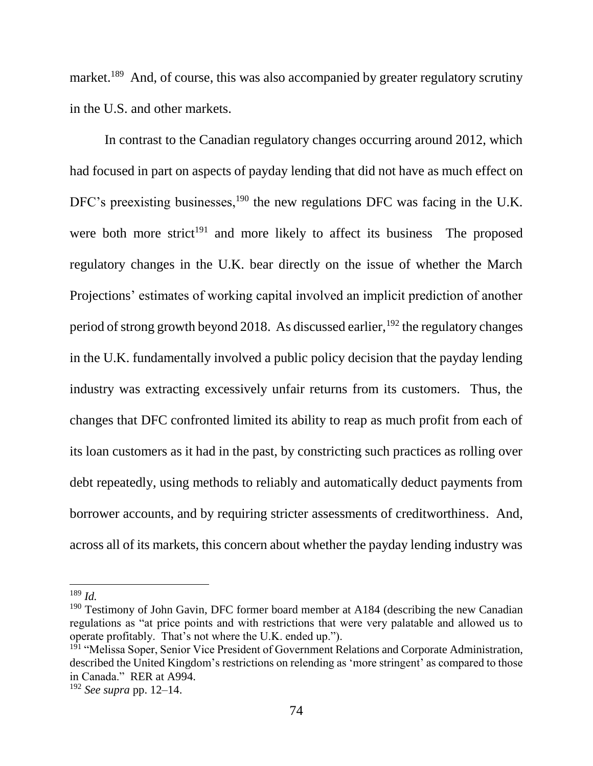market.<sup>189</sup> And, of course, this was also accompanied by greater regulatory scrutiny in the U.S. and other markets.

In contrast to the Canadian regulatory changes occurring around 2012, which had focused in part on aspects of payday lending that did not have as much effect on DFC's preexisting businesses,<sup>190</sup> the new regulations DFC was facing in the U.K. were both more strict<sup>191</sup> and more likely to affect its business The proposed regulatory changes in the U.K. bear directly on the issue of whether the March Projections' estimates of working capital involved an implicit prediction of another period of strong growth beyond 2018. As discussed earlier,  $192$  the regulatory changes in the U.K. fundamentally involved a public policy decision that the payday lending industry was extracting excessively unfair returns from its customers. Thus, the changes that DFC confronted limited its ability to reap as much profit from each of its loan customers as it had in the past, by constricting such practices as rolling over debt repeatedly, using methods to reliably and automatically deduct payments from borrower accounts, and by requiring stricter assessments of creditworthiness. And, across all of its markets, this concern about whether the payday lending industry was

<sup>189</sup> *Id.*

 $190$  Testimony of John Gavin, DFC former board member at A184 (describing the new Canadian regulations as "at price points and with restrictions that were very palatable and allowed us to operate profitably. That's not where the U.K. ended up.").

<sup>&</sup>lt;sup>191</sup> "Melissa Soper, Senior Vice President of Government Relations and Corporate Administration, described the United Kingdom's restrictions on relending as 'more stringent' as compared to those in Canada." RER at A994.

<sup>192</sup> *See supra* pp. 12–14.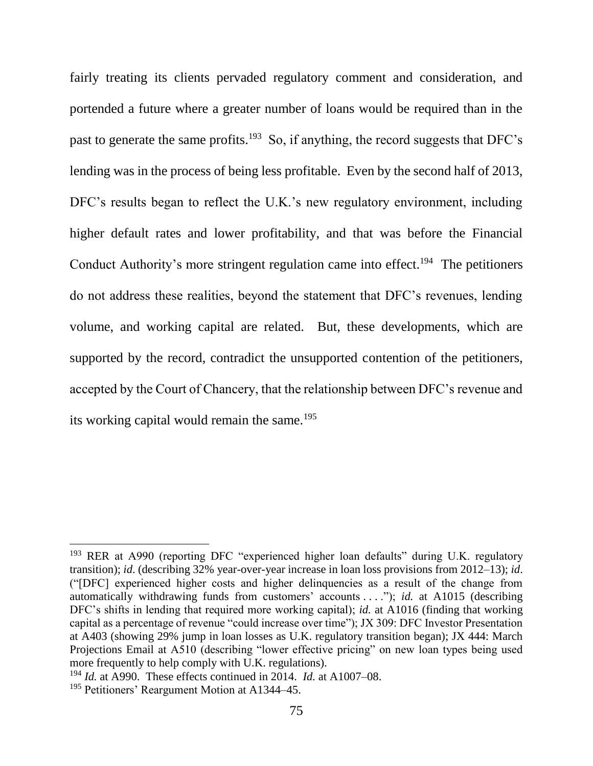fairly treating its clients pervaded regulatory comment and consideration, and portended a future where a greater number of loans would be required than in the past to generate the same profits.<sup>193</sup> So, if anything, the record suggests that DFC's lending was in the process of being less profitable. Even by the second half of 2013, DFC's results began to reflect the U.K.'s new regulatory environment, including higher default rates and lower profitability, and that was before the Financial Conduct Authority's more stringent regulation came into effect.<sup>194</sup> The petitioners do not address these realities, beyond the statement that DFC's revenues, lending volume, and working capital are related. But, these developments, which are supported by the record, contradict the unsupported contention of the petitioners, accepted by the Court of Chancery, that the relationship between DFC's revenue and its working capital would remain the same.<sup>195</sup>

<sup>&</sup>lt;sup>193</sup> RER at A990 (reporting DFC "experienced higher loan defaults" during U.K. regulatory transition); *id*. (describing 32% year-over-year increase in loan loss provisions from 2012–13); *id*. ("[DFC] experienced higher costs and higher delinquencies as a result of the change from automatically withdrawing funds from customers' accounts . . . ."); *id.* at A1015 (describing DFC's shifts in lending that required more working capital); *id.* at A1016 (finding that working capital as a percentage of revenue "could increase over time"); JX 309: DFC Investor Presentation at A403 (showing 29% jump in loan losses as U.K. regulatory transition began); JX 444: March Projections Email at A510 (describing "lower effective pricing" on new loan types being used more frequently to help comply with U.K. regulations).

<sup>194</sup> *Id.* at A990. These effects continued in 2014. *Id.* at A1007–08.

<sup>195</sup> Petitioners' Reargument Motion at A1344–45.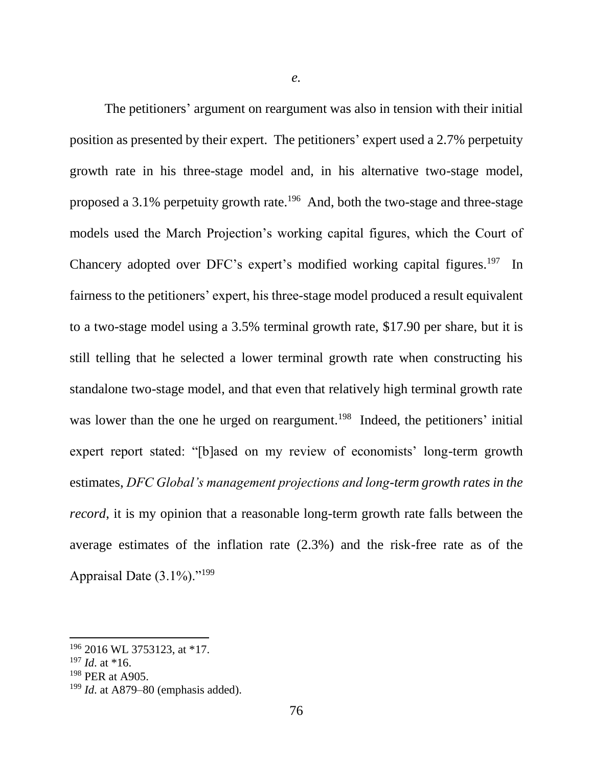The petitioners' argument on reargument was also in tension with their initial position as presented by their expert. The petitioners' expert used a 2.7% perpetuity growth rate in his three-stage model and, in his alternative two-stage model, proposed a 3.1% perpetuity growth rate.<sup>196</sup> And, both the two-stage and three-stage models used the March Projection's working capital figures, which the Court of Chancery adopted over DFC's expert's modified working capital figures.<sup>197</sup> In fairness to the petitioners' expert, his three-stage model produced a result equivalent to a two-stage model using a 3.5% terminal growth rate, \$17.90 per share, but it is still telling that he selected a lower terminal growth rate when constructing his standalone two-stage model, and that even that relatively high terminal growth rate was lower than the one he urged on reargument.<sup>198</sup> Indeed, the petitioners' initial expert report stated: "[b]ased on my review of economists' long-term growth estimates, *DFC Global's management projections and long-term growth rates in the record*, it is my opinion that a reasonable long-term growth rate falls between the average estimates of the inflation rate (2.3%) and the risk-free rate as of the Appraisal Date  $(3.1\%)$ ."<sup>199</sup>

 $\overline{a}$ 

<sup>196</sup> 2016 WL 3753123, at \*17.

 $197$  *Id.* at \*16.

<sup>198</sup> PER at A905.

<sup>199</sup> *Id*. at A879–80 (emphasis added).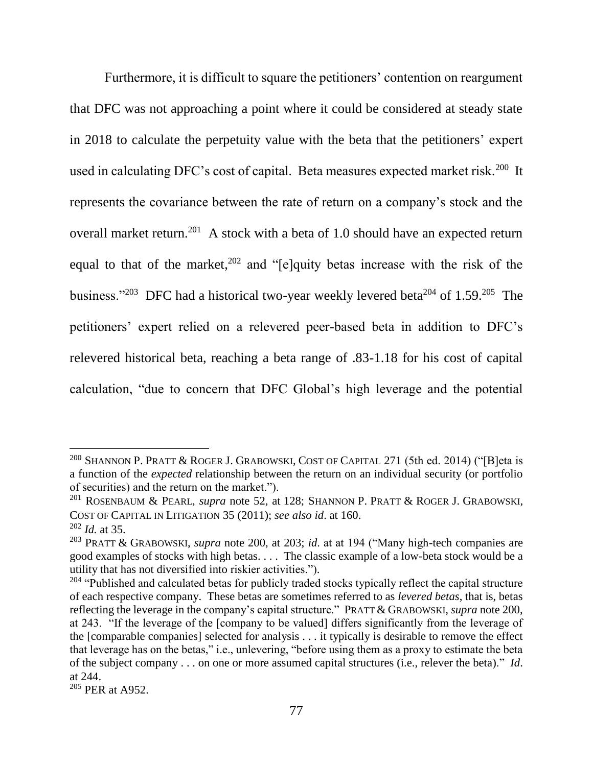<span id="page-78-0"></span>Furthermore, it is difficult to square the petitioners' contention on reargument that DFC was not approaching a point where it could be considered at steady state in 2018 to calculate the perpetuity value with the beta that the petitioners' expert used in calculating DFC's cost of capital. Beta measures expected market risk.<sup>200</sup> It represents the covariance between the rate of return on a company's stock and the overall market return.<sup>201</sup> A stock with a beta of 1.0 should have an expected return equal to that of the market,  $202$  and "[e]quity betas increase with the risk of the business."<sup>203</sup> DFC had a historical two-year weekly levered beta<sup>204</sup> of 1.59.<sup>205</sup> The petitioners' expert relied on a relevered peer-based beta in addition to DFC's relevered historical beta, reaching a beta range of .83-1.18 for his cost of capital calculation, "due to concern that DFC Global's high leverage and the potential

 $\overline{a}$ 

<sup>&</sup>lt;sup>200</sup> SHANNON P. PRATT & ROGER J. GRABOWSKI, COST OF CAPITAL 271 (5th ed. 2014) ("[B]eta is a function of the *expected* relationship between the return on an individual security (or portfolio of securities) and the return on the market.").

<sup>201</sup> ROSENBAUM & PEARL, *supra* note 52, at 128; SHANNON P. PRATT & ROGER J. GRABOWSKI, COST OF CAPITAL IN LITIGATION 35 (2011); *see also id*. at 160. <sup>202</sup> *Id.* at 35.

<sup>203</sup> PRATT & GRABOWSKI, *supra* note [200,](#page-78-0) at 203; *id*. at at 194 ("Many high-tech companies are good examples of stocks with high betas. . . . The classic example of a low-beta stock would be a utility that has not diversified into riskier activities.").

<sup>&</sup>lt;sup>204</sup> "Published and calculated betas for publicly traded stocks typically reflect the capital structure of each respective company. These betas are sometimes referred to as *levered betas*, that is, betas reflecting the leverage in the company's capital structure." PRATT & GRABOWSKI, *supra* note [200,](#page-78-0) at 243. "If the leverage of the [company to be valued] differs significantly from the leverage of the [comparable companies] selected for analysis . . . it typically is desirable to remove the effect that leverage has on the betas," i.e., unlevering, "before using them as a proxy to estimate the beta of the subject company . . . on one or more assumed capital structures (i.e., relever the beta)." *Id*. at 244.

<sup>205</sup> PER at A952.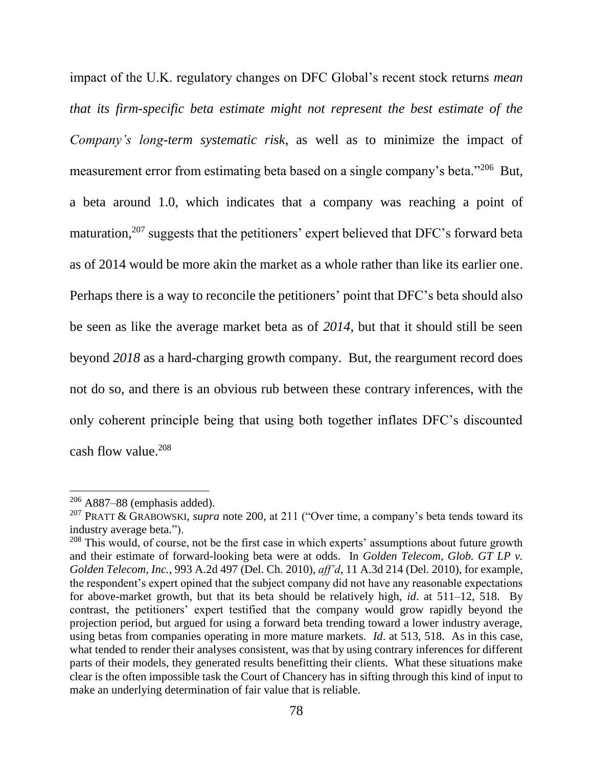impact of the U.K. regulatory changes on DFC Global's recent stock returns *mean that its firm-specific beta estimate might not represent the best estimate of the Company's long-term systematic risk*, as well as to minimize the impact of measurement error from estimating beta based on a single company's beta."<sup>206</sup> But, a beta around 1.0, which indicates that a company was reaching a point of maturation, <sup>207</sup> suggests that the petitioners' expert believed that DFC's forward beta as of 2014 would be more akin the market as a whole rather than like its earlier one. Perhaps there is a way to reconcile the petitioners' point that DFC's beta should also be seen as like the average market beta as of *2014*, but that it should still be seen beyond *2018* as a hard-charging growth company. But, the reargument record does not do so, and there is an obvious rub between these contrary inferences, with the only coherent principle being that using both together inflates DFC's discounted cash flow value. $208$ 

 $\overline{a}$ 

 $206$  A887–88 (emphasis added).

<sup>207</sup> PRATT & GRABOWSKI, *supra* note [200,](#page-78-0) at 211 ("Over time, a company's beta tends toward its industry average beta.").

 $208$  This would, of course, not be the first case in which experts' assumptions about future growth and their estimate of forward-looking beta were at odds. In *Golden Telecom*, *Glob. GT LP v. Golden Telecom, Inc.*, 993 A.2d 497 (Del. Ch. 2010), *aff'd*, 11 A.3d 214 (Del. 2010), for example, the respondent's expert opined that the subject company did not have any reasonable expectations for above-market growth, but that its beta should be relatively high, *id*. at 511–12, 518. By contrast, the petitioners' expert testified that the company would grow rapidly beyond the projection period, but argued for using a forward beta trending toward a lower industry average, using betas from companies operating in more mature markets. *Id*. at 513, 518. As in this case, what tended to render their analyses consistent, was that by using contrary inferences for different parts of their models, they generated results benefitting their clients. What these situations make clear is the often impossible task the Court of Chancery has in sifting through this kind of input to make an underlying determination of fair value that is reliable.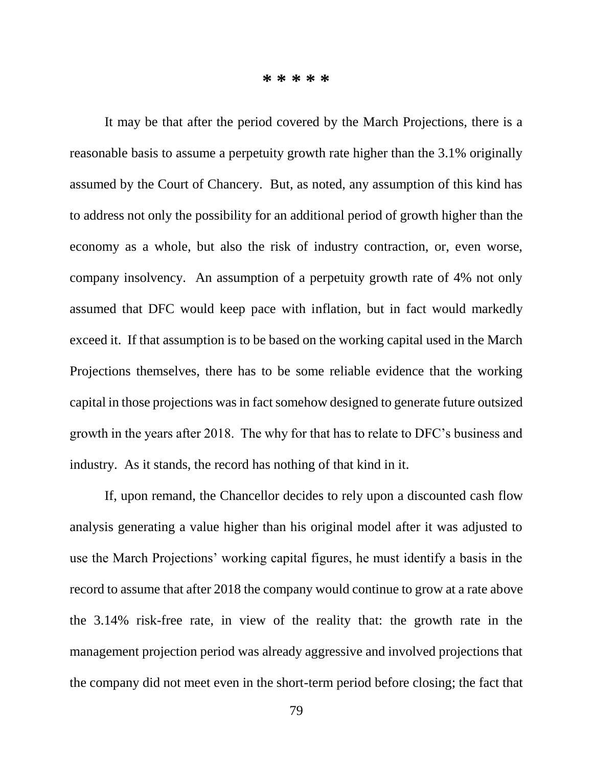**\* \* \* \* \***

It may be that after the period covered by the March Projections, there is a reasonable basis to assume a perpetuity growth rate higher than the 3.1% originally assumed by the Court of Chancery. But, as noted, any assumption of this kind has to address not only the possibility for an additional period of growth higher than the economy as a whole, but also the risk of industry contraction, or, even worse, company insolvency. An assumption of a perpetuity growth rate of 4% not only assumed that DFC would keep pace with inflation, but in fact would markedly exceed it. If that assumption is to be based on the working capital used in the March Projections themselves, there has to be some reliable evidence that the working capital in those projections was in fact somehow designed to generate future outsized growth in the years after 2018. The why for that has to relate to DFC's business and industry. As it stands, the record has nothing of that kind in it.

If, upon remand, the Chancellor decides to rely upon a discounted cash flow analysis generating a value higher than his original model after it was adjusted to use the March Projections' working capital figures, he must identify a basis in the record to assume that after 2018 the company would continue to grow at a rate above the 3.14% risk-free rate, in view of the reality that: the growth rate in the management projection period was already aggressive and involved projections that the company did not meet even in the short-term period before closing; the fact that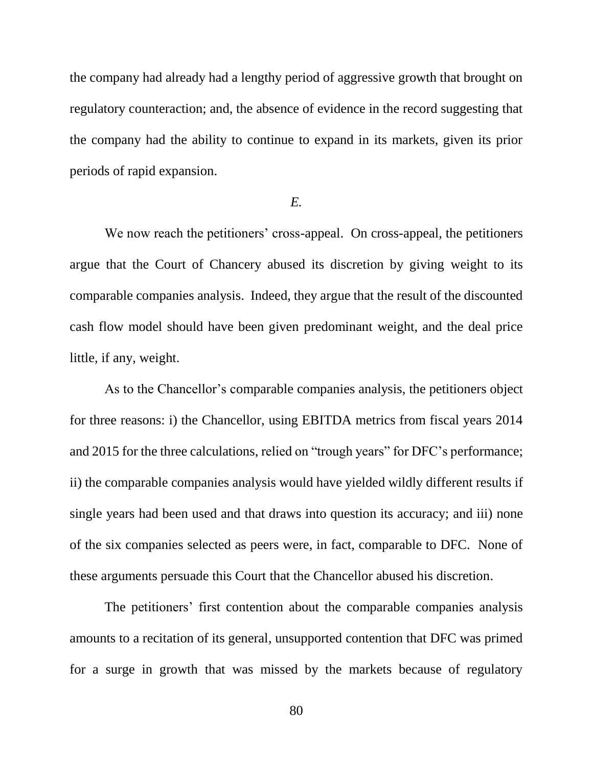the company had already had a lengthy period of aggressive growth that brought on regulatory counteraction; and, the absence of evidence in the record suggesting that the company had the ability to continue to expand in its markets, given its prior periods of rapid expansion.

## *E.*

We now reach the petitioners' cross-appeal. On cross-appeal, the petitioners argue that the Court of Chancery abused its discretion by giving weight to its comparable companies analysis. Indeed, they argue that the result of the discounted cash flow model should have been given predominant weight, and the deal price little, if any, weight.

As to the Chancellor's comparable companies analysis, the petitioners object for three reasons: i) the Chancellor, using EBITDA metrics from fiscal years 2014 and 2015 for the three calculations, relied on "trough years" for DFC's performance; ii) the comparable companies analysis would have yielded wildly different results if single years had been used and that draws into question its accuracy; and iii) none of the six companies selected as peers were, in fact, comparable to DFC. None of these arguments persuade this Court that the Chancellor abused his discretion.

The petitioners' first contention about the comparable companies analysis amounts to a recitation of its general, unsupported contention that DFC was primed for a surge in growth that was missed by the markets because of regulatory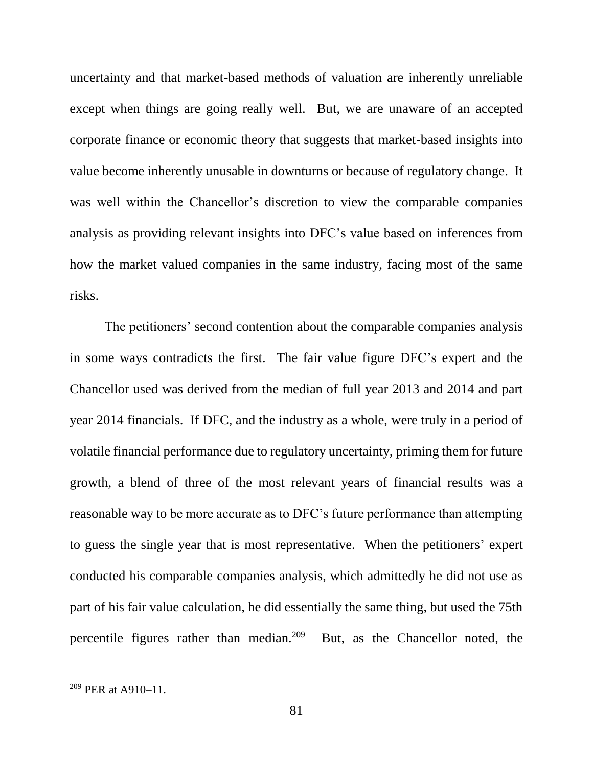uncertainty and that market-based methods of valuation are inherently unreliable except when things are going really well. But, we are unaware of an accepted corporate finance or economic theory that suggests that market-based insights into value become inherently unusable in downturns or because of regulatory change. It was well within the Chancellor's discretion to view the comparable companies analysis as providing relevant insights into DFC's value based on inferences from how the market valued companies in the same industry, facing most of the same risks.

The petitioners' second contention about the comparable companies analysis in some ways contradicts the first. The fair value figure DFC's expert and the Chancellor used was derived from the median of full year 2013 and 2014 and part year 2014 financials. If DFC, and the industry as a whole, were truly in a period of volatile financial performance due to regulatory uncertainty, priming them for future growth, a blend of three of the most relevant years of financial results was a reasonable way to be more accurate as to DFC's future performance than attempting to guess the single year that is most representative. When the petitioners' expert conducted his comparable companies analysis, which admittedly he did not use as part of his fair value calculation, he did essentially the same thing, but used the 75th percentile figures rather than median. $209$ But, as the Chancellor noted, the

<sup>209</sup> PER at A910–11.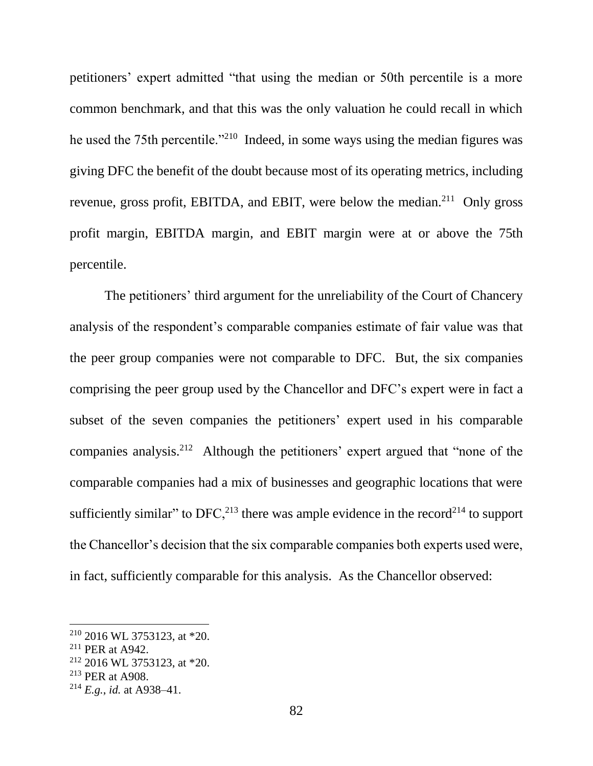petitioners' expert admitted "that using the median or 50th percentile is a more common benchmark, and that this was the only valuation he could recall in which he used the 75th percentile.<sup>"210</sup> Indeed, in some ways using the median figures was giving DFC the benefit of the doubt because most of its operating metrics, including revenue, gross profit, EBITDA, and EBIT, were below the median.<sup>211</sup> Only gross profit margin, EBITDA margin, and EBIT margin were at or above the 75th percentile.

The petitioners' third argument for the unreliability of the Court of Chancery analysis of the respondent's comparable companies estimate of fair value was that the peer group companies were not comparable to DFC. But, the six companies comprising the peer group used by the Chancellor and DFC's expert were in fact a subset of the seven companies the petitioners' expert used in his comparable companies analysis.<sup>212</sup> Although the petitioners' expert argued that "none of the comparable companies had a mix of businesses and geographic locations that were sufficiently similar" to  $DFC<sub>13</sub><sup>213</sup>$  there was ample evidence in the record<sup>214</sup> to support the Chancellor's decision that the six comparable companies both experts used were, in fact, sufficiently comparable for this analysis. As the Chancellor observed:

 $2^{210}$  2016 WL 3753123, at \*20.

<sup>211</sup> PER at A942.

<sup>212</sup> 2016 WL 3753123, at \*20.

<sup>213</sup> PER at A908.

<sup>214</sup> *E.g.*, *id.* at A938–41.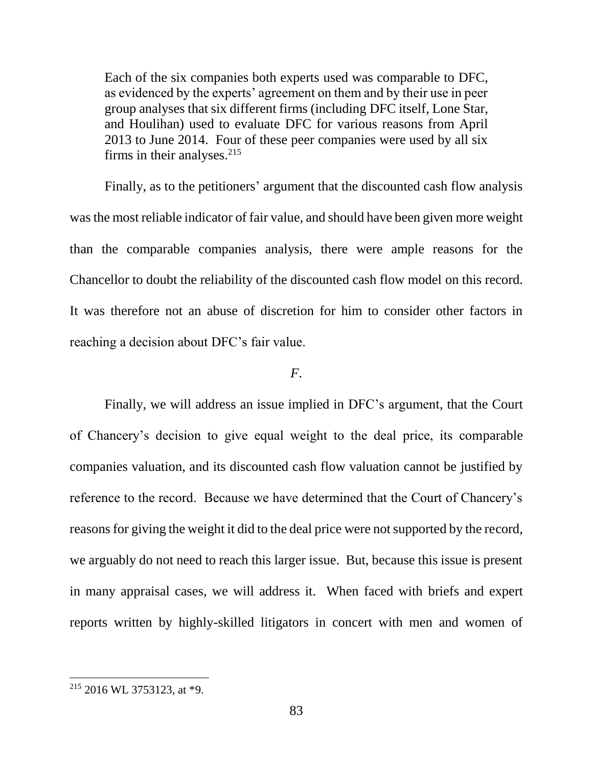Each of the six companies both experts used was comparable to DFC, as evidenced by the experts' agreement on them and by their use in peer group analyses that six different firms (including DFC itself, Lone Star, and Houlihan) used to evaluate DFC for various reasons from April 2013 to June 2014. Four of these peer companies were used by all six firms in their analyses. $215$ 

Finally, as to the petitioners' argument that the discounted cash flow analysis was the most reliable indicator of fair value, and should have been given more weight than the comparable companies analysis, there were ample reasons for the Chancellor to doubt the reliability of the discounted cash flow model on this record. It was therefore not an abuse of discretion for him to consider other factors in reaching a decision about DFC's fair value.

## *F*.

Finally, we will address an issue implied in DFC's argument, that the Court of Chancery's decision to give equal weight to the deal price, its comparable companies valuation, and its discounted cash flow valuation cannot be justified by reference to the record. Because we have determined that the Court of Chancery's reasons for giving the weight it did to the deal price were not supported by the record, we arguably do not need to reach this larger issue. But, because this issue is present in many appraisal cases, we will address it. When faced with briefs and expert reports written by highly-skilled litigators in concert with men and women of

 $215$  2016 WL 3753123, at \*9.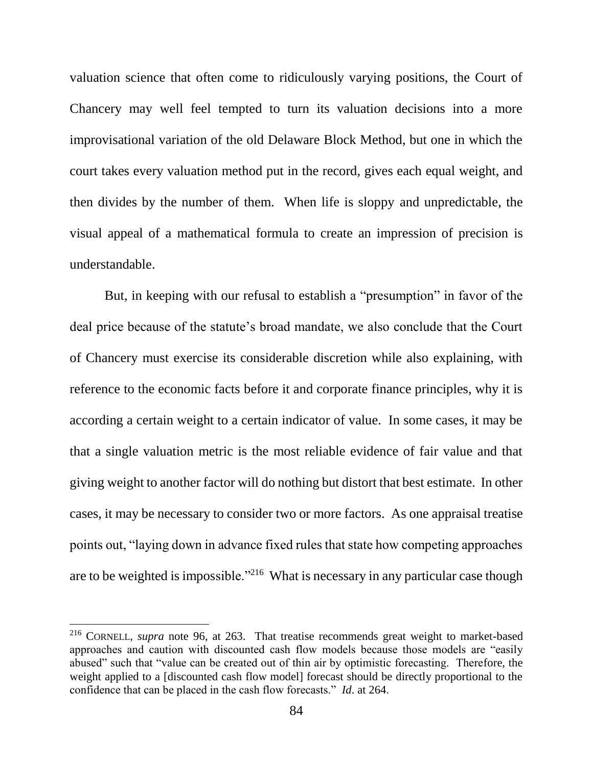valuation science that often come to ridiculously varying positions, the Court of Chancery may well feel tempted to turn its valuation decisions into a more improvisational variation of the old Delaware Block Method, but one in which the court takes every valuation method put in the record, gives each equal weight, and then divides by the number of them. When life is sloppy and unpredictable, the visual appeal of a mathematical formula to create an impression of precision is understandable.

But, in keeping with our refusal to establish a "presumption" in favor of the deal price because of the statute's broad mandate, we also conclude that the Court of Chancery must exercise its considerable discretion while also explaining, with reference to the economic facts before it and corporate finance principles, why it is according a certain weight to a certain indicator of value. In some cases, it may be that a single valuation metric is the most reliable evidence of fair value and that giving weight to another factor will do nothing but distort that best estimate. In other cases, it may be necessary to consider two or more factors. As one appraisal treatise points out, "laying down in advance fixed rules that state how competing approaches are to be weighted is impossible."<sup>216</sup> What is necessary in any particular case though

<sup>216</sup> CORNELL, *supra* note 96, at 263. That treatise recommends great weight to market-based approaches and caution with discounted cash flow models because those models are "easily abused" such that "value can be created out of thin air by optimistic forecasting. Therefore, the weight applied to a [discounted cash flow model] forecast should be directly proportional to the confidence that can be placed in the cash flow forecasts." *Id*. at 264.